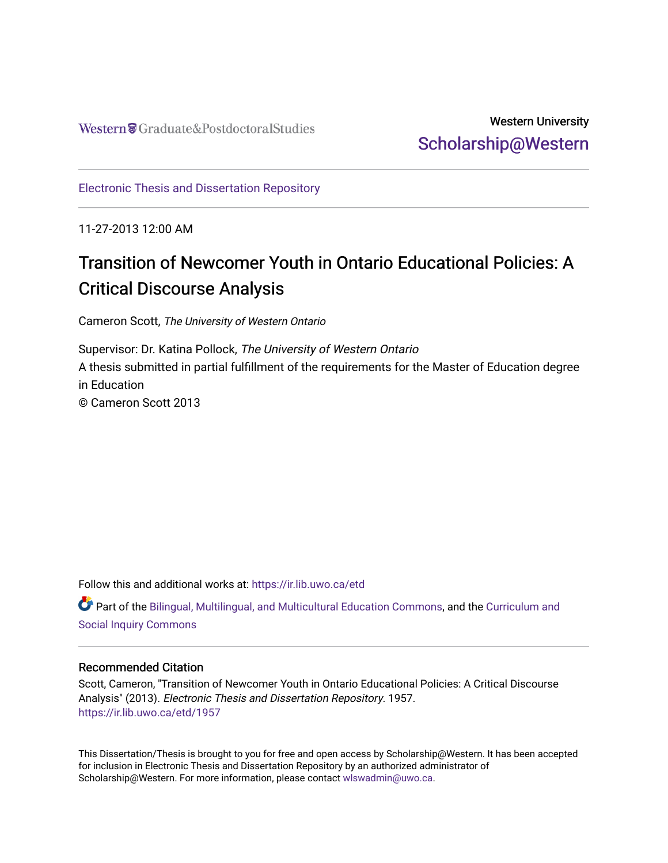# Western University [Scholarship@Western](https://ir.lib.uwo.ca/)

[Electronic Thesis and Dissertation Repository](https://ir.lib.uwo.ca/etd)

11-27-2013 12:00 AM

# Transition of Newcomer Youth in Ontario Educational Policies: A Critical Discourse Analysis

Cameron Scott, The University of Western Ontario

Supervisor: Dr. Katina Pollock, The University of Western Ontario A thesis submitted in partial fulfillment of the requirements for the Master of Education degree in Education © Cameron Scott 2013

Follow this and additional works at: [https://ir.lib.uwo.ca/etd](https://ir.lib.uwo.ca/etd?utm_source=ir.lib.uwo.ca%2Fetd%2F1957&utm_medium=PDF&utm_campaign=PDFCoverPages) 

Part of the [Bilingual, Multilingual, and Multicultural Education Commons,](http://network.bepress.com/hgg/discipline/785?utm_source=ir.lib.uwo.ca%2Fetd%2F1957&utm_medium=PDF&utm_campaign=PDFCoverPages) and the [Curriculum and](http://network.bepress.com/hgg/discipline/1038?utm_source=ir.lib.uwo.ca%2Fetd%2F1957&utm_medium=PDF&utm_campaign=PDFCoverPages) [Social Inquiry Commons](http://network.bepress.com/hgg/discipline/1038?utm_source=ir.lib.uwo.ca%2Fetd%2F1957&utm_medium=PDF&utm_campaign=PDFCoverPages)

### Recommended Citation

Scott, Cameron, "Transition of Newcomer Youth in Ontario Educational Policies: A Critical Discourse Analysis" (2013). Electronic Thesis and Dissertation Repository. 1957. [https://ir.lib.uwo.ca/etd/1957](https://ir.lib.uwo.ca/etd/1957?utm_source=ir.lib.uwo.ca%2Fetd%2F1957&utm_medium=PDF&utm_campaign=PDFCoverPages)

This Dissertation/Thesis is brought to you for free and open access by Scholarship@Western. It has been accepted for inclusion in Electronic Thesis and Dissertation Repository by an authorized administrator of Scholarship@Western. For more information, please contact [wlswadmin@uwo.ca.](mailto:wlswadmin@uwo.ca)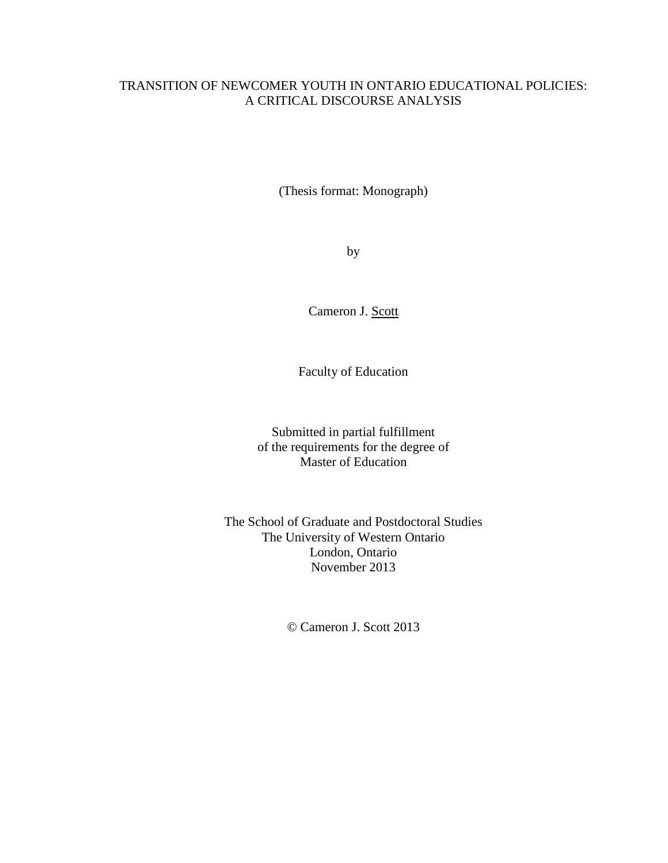### TRANSITION OF NEWCOMER YOUTH IN ONTARIO EDUCATIONAL POLICIES: A CRITICAL DISCOURSE ANALYSIS

(Thesis format: Monograph)

by

Cameron J. Scott

Faculty of Education

Submitted in partial fulfillment of the requirements for the degree of Master of Education

The School of Graduate and Postdoctoral Studies The University of Western Ontario London, Ontario November 2013

© Cameron J. Scott 2013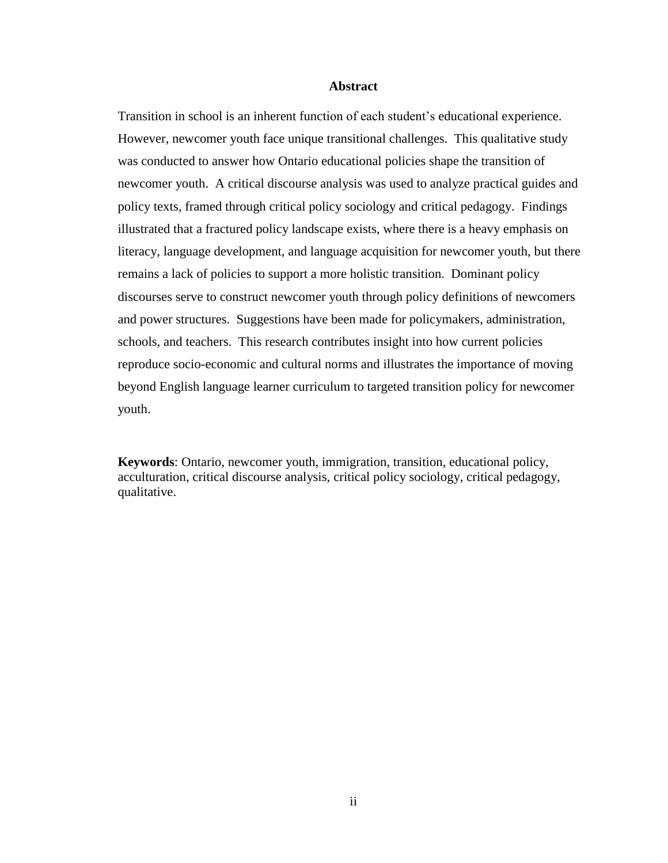#### **Abstract**

<span id="page-2-0"></span>Transition in school is an inherent function of each student's educational experience. However, newcomer youth face unique transitional challenges. This qualitative study was conducted to answer how Ontario educational policies shape the transition of newcomer youth. A critical discourse analysis was used to analyze practical guides and policy texts, framed through critical policy sociology and critical pedagogy. Findings illustrated that a fractured policy landscape exists, where there is a heavy emphasis on literacy, language development, and language acquisition for newcomer youth, but there remains a lack of policies to support a more holistic transition. Dominant policy discourses serve to construct newcomer youth through policy definitions of newcomers and power structures. Suggestions have been made for policymakers, administration, schools, and teachers. This research contributes insight into how current policies reproduce socio-economic and cultural norms and illustrates the importance of moving beyond English language learner curriculum to targeted transition policy for newcomer youth.

**Keywords**: Ontario, newcomer youth, immigration, transition, educational policy, acculturation, critical discourse analysis, critical policy sociology, critical pedagogy, qualitative.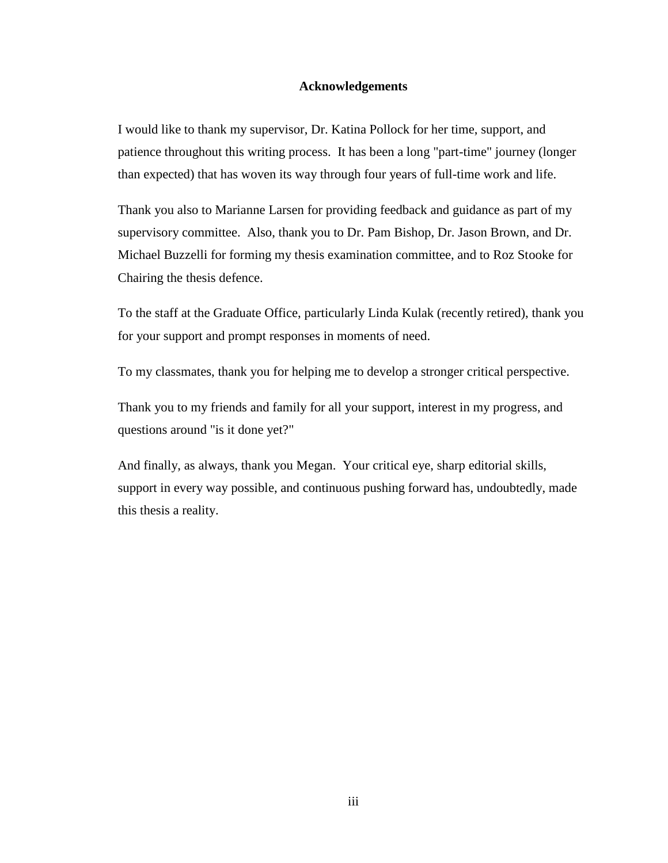#### **Acknowledgements**

<span id="page-3-0"></span>I would like to thank my supervisor, Dr. Katina Pollock for her time, support, and patience throughout this writing process. It has been a long "part-time" journey (longer than expected) that has woven its way through four years of full-time work and life.

Thank you also to Marianne Larsen for providing feedback and guidance as part of my supervisory committee. Also, thank you to Dr. Pam Bishop, Dr. Jason Brown, and Dr. Michael Buzzelli for forming my thesis examination committee, and to Roz Stooke for Chairing the thesis defence.

To the staff at the Graduate Office, particularly Linda Kulak (recently retired), thank you for your support and prompt responses in moments of need.

To my classmates, thank you for helping me to develop a stronger critical perspective.

Thank you to my friends and family for all your support, interest in my progress, and questions around "is it done yet?"

And finally, as always, thank you Megan. Your critical eye, sharp editorial skills, support in every way possible, and continuous pushing forward has, undoubtedly, made this thesis a reality.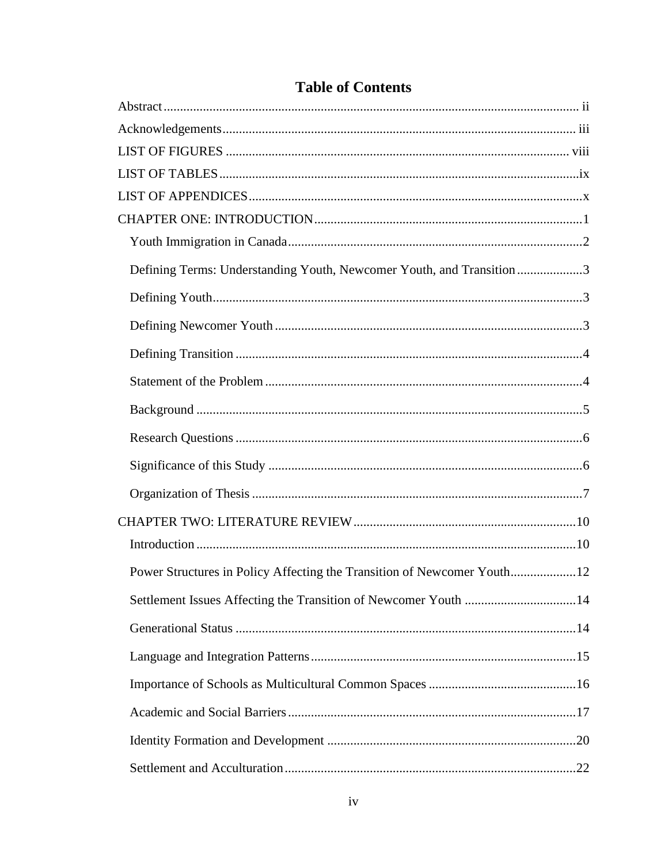| Defining Terms: Understanding Youth, Newcomer Youth, and Transition 3   |  |
|-------------------------------------------------------------------------|--|
|                                                                         |  |
|                                                                         |  |
|                                                                         |  |
|                                                                         |  |
|                                                                         |  |
|                                                                         |  |
|                                                                         |  |
|                                                                         |  |
|                                                                         |  |
|                                                                         |  |
| Power Structures in Policy Affecting the Transition of Newcomer Youth12 |  |
|                                                                         |  |
|                                                                         |  |
|                                                                         |  |
|                                                                         |  |
|                                                                         |  |
|                                                                         |  |
|                                                                         |  |

# **Table of Contents**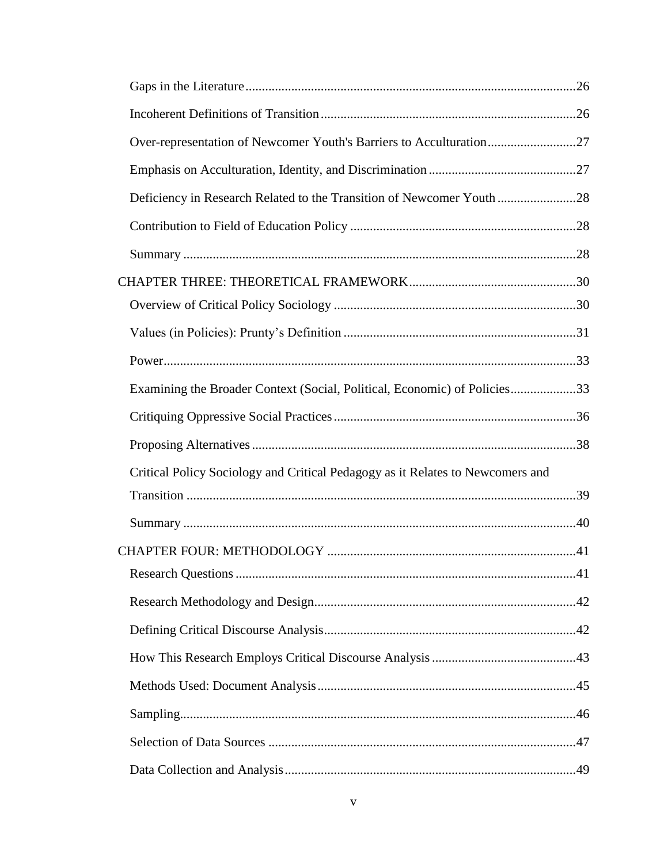| Over-representation of Newcomer Youth's Barriers to Acculturation27            |  |
|--------------------------------------------------------------------------------|--|
|                                                                                |  |
| Deficiency in Research Related to the Transition of Newcomer Youth 28          |  |
|                                                                                |  |
|                                                                                |  |
|                                                                                |  |
|                                                                                |  |
|                                                                                |  |
|                                                                                |  |
| Examining the Broader Context (Social, Political, Economic) of Policies33      |  |
|                                                                                |  |
|                                                                                |  |
| Critical Policy Sociology and Critical Pedagogy as it Relates to Newcomers and |  |
|                                                                                |  |
|                                                                                |  |
|                                                                                |  |
|                                                                                |  |
|                                                                                |  |
|                                                                                |  |
|                                                                                |  |
|                                                                                |  |
|                                                                                |  |
|                                                                                |  |
|                                                                                |  |
|                                                                                |  |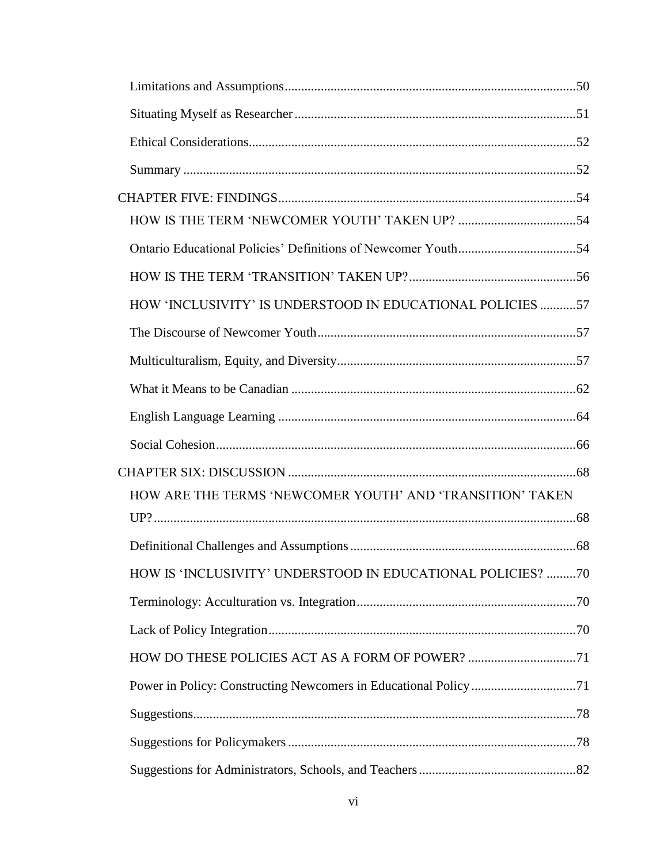| HOW 'INCLUSIVITY' IS UNDERSTOOD IN EDUCATIONAL POLICIES 57  |  |
|-------------------------------------------------------------|--|
|                                                             |  |
|                                                             |  |
|                                                             |  |
|                                                             |  |
|                                                             |  |
|                                                             |  |
| HOW ARE THE TERMS 'NEWCOMER YOUTH' AND 'TRANSITION' TAKEN   |  |
|                                                             |  |
|                                                             |  |
| HOW IS 'INCLUSIVITY' UNDERSTOOD IN EDUCATIONAL POLICIES? 70 |  |
|                                                             |  |
|                                                             |  |
|                                                             |  |
|                                                             |  |
|                                                             |  |
|                                                             |  |
|                                                             |  |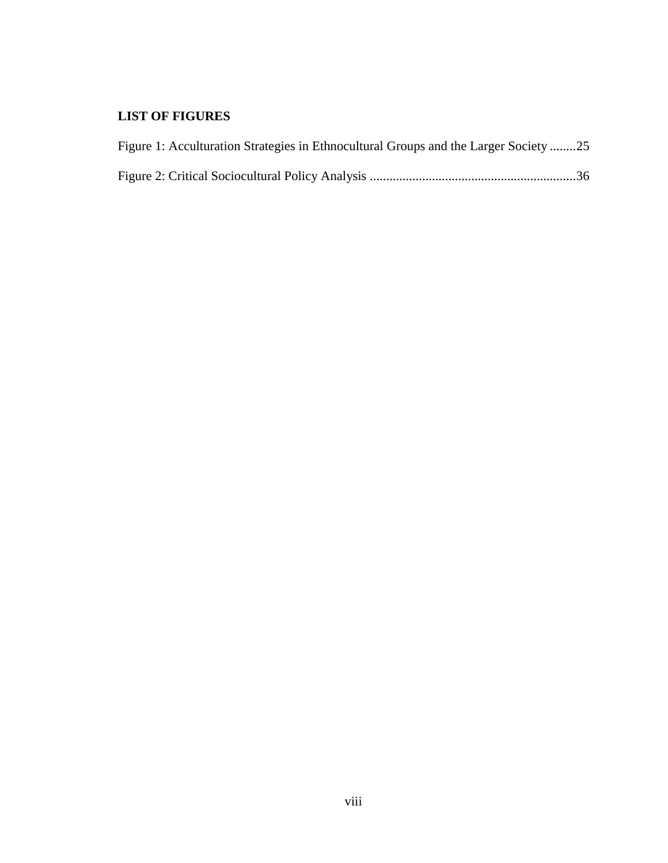# <span id="page-8-0"></span>**LIST OF FIGURES**

| Figure 1: Acculturation Strategies in Ethnocultural Groups and the Larger Society 25 |  |
|--------------------------------------------------------------------------------------|--|
|                                                                                      |  |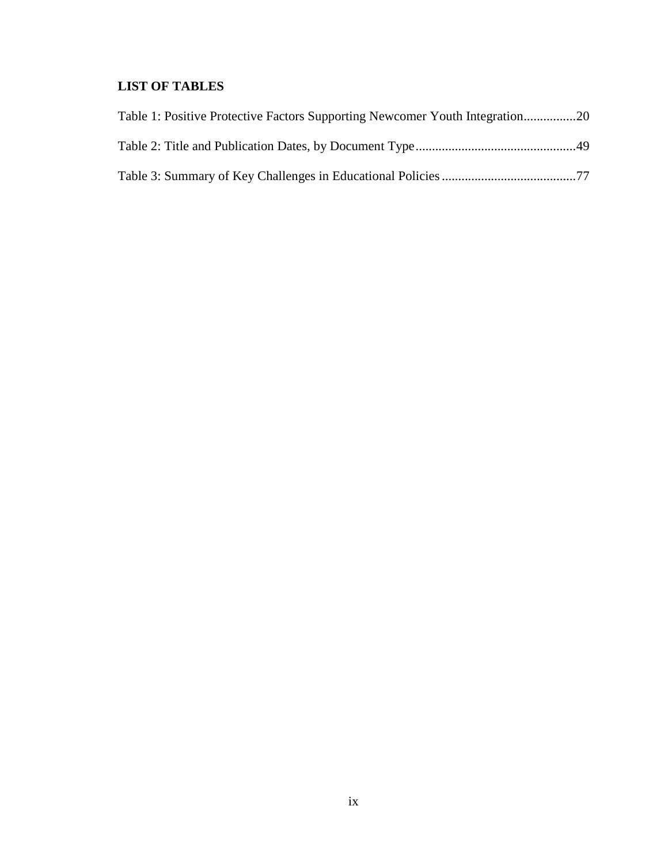# <span id="page-9-0"></span>**LIST OF TABLES**

| Table 1: Positive Protective Factors Supporting Newcomer Youth Integration20 |  |
|------------------------------------------------------------------------------|--|
|                                                                              |  |
|                                                                              |  |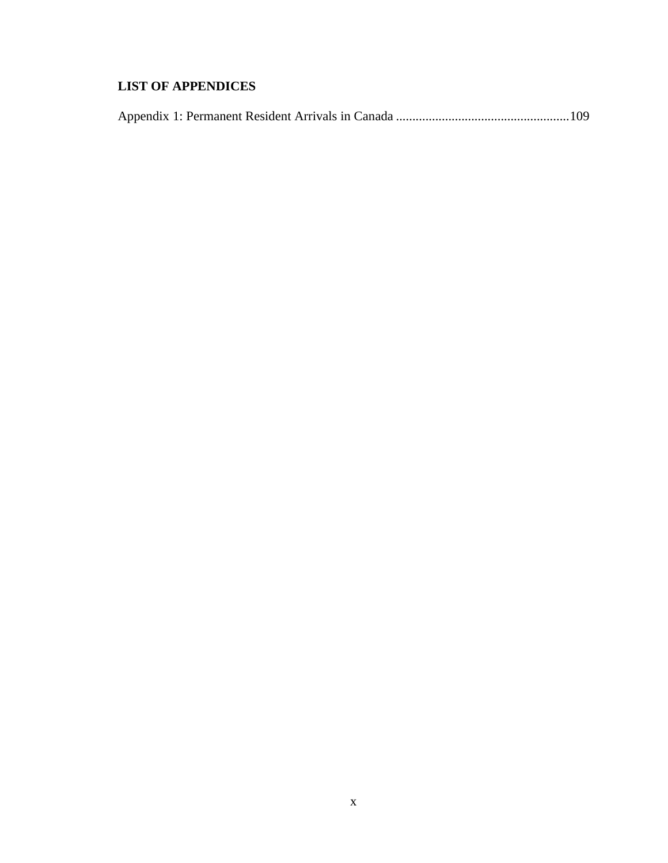# <span id="page-10-0"></span>**LIST OF APPENDICES**

|--|--|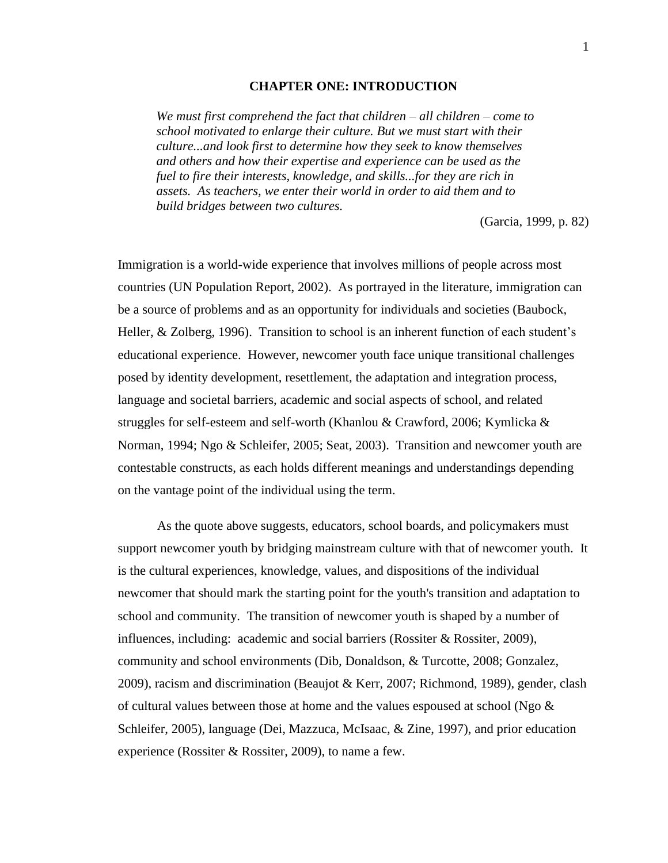#### **CHAPTER ONE: INTRODUCTION**

<span id="page-11-0"></span>*We must first comprehend the fact that children – all children – come to school motivated to enlarge their culture. But we must start with their culture...and look first to determine how they seek to know themselves and others and how their expertise and experience can be used as the fuel to fire their interests, knowledge, and skills...for they are rich in assets. As teachers, we enter their world in order to aid them and to build bridges between two cultures.*

(Garcia, 1999, p. 82)

Immigration is a world-wide experience that involves millions of people across most countries (UN Population Report, 2002). As portrayed in the literature, immigration can be a source of problems and as an opportunity for individuals and societies (Baubock, Heller, & Zolberg, 1996). Transition to school is an inherent function of each student's educational experience. However, newcomer youth face unique transitional challenges posed by identity development, resettlement, the adaptation and integration process, language and societal barriers, academic and social aspects of school, and related struggles for self-esteem and self-worth (Khanlou & Crawford, 2006; Kymlicka & Norman, 1994; Ngo & Schleifer, 2005; Seat, 2003). Transition and newcomer youth are contestable constructs, as each holds different meanings and understandings depending on the vantage point of the individual using the term.

As the quote above suggests, educators, school boards, and policymakers must support newcomer youth by bridging mainstream culture with that of newcomer youth. It is the cultural experiences, knowledge, values, and dispositions of the individual newcomer that should mark the starting point for the youth's transition and adaptation to school and community. The transition of newcomer youth is shaped by a number of influences, including: academic and social barriers (Rossiter & Rossiter, 2009), community and school environments (Dib, Donaldson, & Turcotte, 2008; Gonzalez, 2009), racism and discrimination (Beaujot & Kerr, 2007; Richmond, 1989), gender, clash of cultural values between those at home and the values espoused at school (Ngo  $\&$ Schleifer, 2005), language (Dei, Mazzuca, McIsaac, & Zine, 1997), and prior education experience (Rossiter & Rossiter, 2009), to name a few.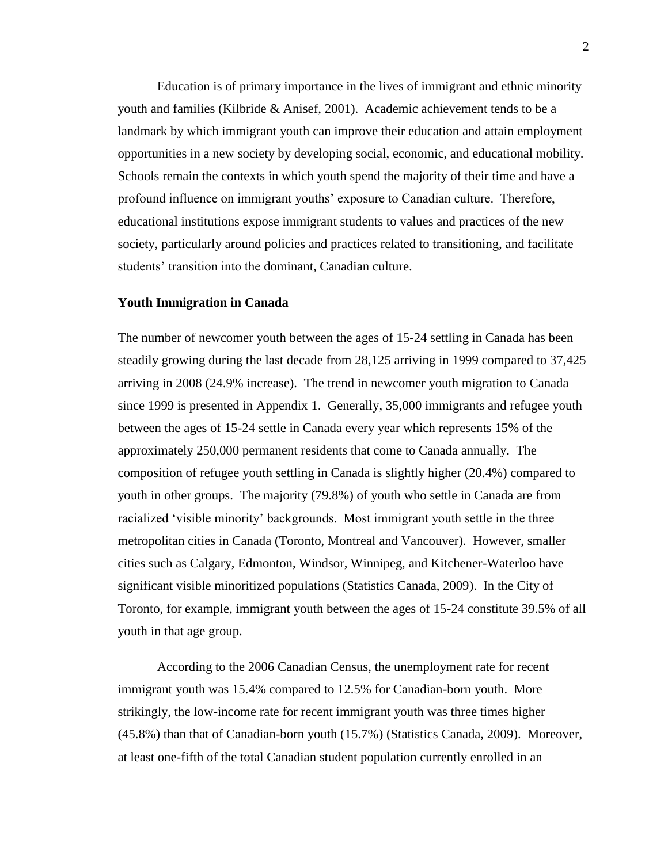Education is of primary importance in the lives of immigrant and ethnic minority youth and families (Kilbride & Anisef, 2001). Academic achievement tends to be a landmark by which immigrant youth can improve their education and attain employment opportunities in a new society by developing social, economic, and educational mobility. Schools remain the contexts in which youth spend the majority of their time and have a profound influence on immigrant youths' exposure to Canadian culture. Therefore, educational institutions expose immigrant students to values and practices of the new society, particularly around policies and practices related to transitioning, and facilitate students' transition into the dominant, Canadian culture.

#### <span id="page-12-0"></span>**Youth Immigration in Canada**

The number of newcomer youth between the ages of 15-24 settling in Canada has been steadily growing during the last decade from 28,125 arriving in 1999 compared to 37,425 arriving in 2008 (24.9% increase). The trend in newcomer youth migration to Canada since 1999 is presented in Appendix 1. Generally, 35,000 immigrants and refugee youth between the ages of 15-24 settle in Canada every year which represents 15% of the approximately 250,000 permanent residents that come to Canada annually. The composition of refugee youth settling in Canada is slightly higher (20.4%) compared to youth in other groups. The majority (79.8%) of youth who settle in Canada are from racialized 'visible minority' backgrounds. Most immigrant youth settle in the three metropolitan cities in Canada (Toronto, Montreal and Vancouver). However, smaller cities such as Calgary, Edmonton, Windsor, Winnipeg, and Kitchener-Waterloo have significant visible minoritized populations (Statistics Canada, 2009). In the City of Toronto, for example, immigrant youth between the ages of 15-24 constitute 39.5% of all youth in that age group.

According to the 2006 Canadian Census, the unemployment rate for recent immigrant youth was 15.4% compared to 12.5% for Canadian-born youth. More strikingly, the low-income rate for recent immigrant youth was three times higher (45.8%) than that of Canadian-born youth (15.7%) (Statistics Canada, 2009). Moreover, at least one-fifth of the total Canadian student population currently enrolled in an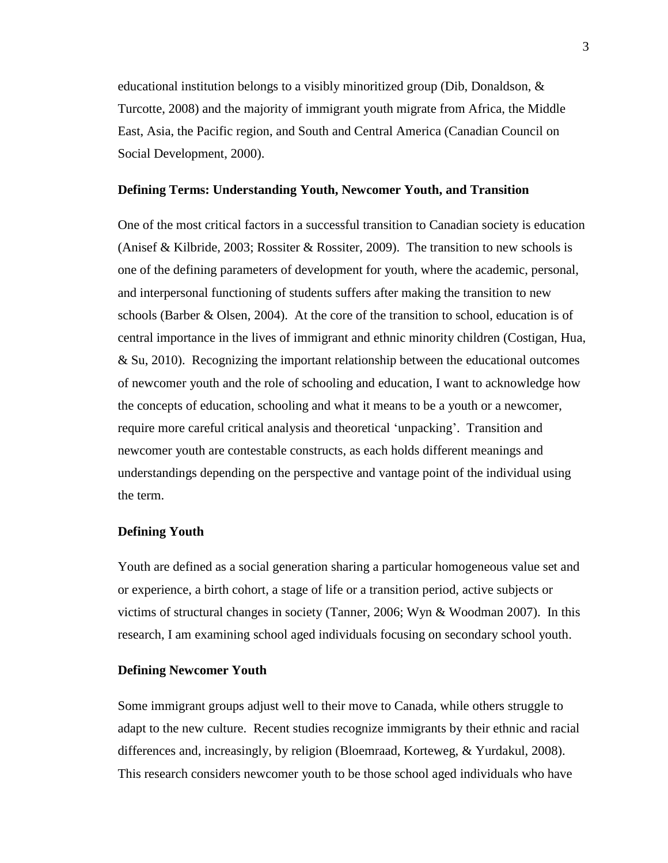educational institution belongs to a visibly minoritized group (Dib, Donaldson, & Turcotte, 2008) and the majority of immigrant youth migrate from Africa, the Middle East, Asia, the Pacific region, and South and Central America (Canadian Council on Social Development, 2000).

#### <span id="page-13-0"></span>**Defining Terms: Understanding Youth, Newcomer Youth, and Transition**

One of the most critical factors in a successful transition to Canadian society is education (Anisef & Kilbride, 2003; Rossiter & Rossiter, 2009). The transition to new schools is one of the defining parameters of development for youth, where the academic, personal, and interpersonal functioning of students suffers after making the transition to new schools (Barber & Olsen, 2004). At the core of the transition to school, education is of central importance in the lives of immigrant and ethnic minority children (Costigan, Hua, & Su, 2010). Recognizing the important relationship between the educational outcomes of newcomer youth and the role of schooling and education, I want to acknowledge how the concepts of education, schooling and what it means to be a youth or a newcomer, require more careful critical analysis and theoretical 'unpacking'. Transition and newcomer youth are contestable constructs, as each holds different meanings and understandings depending on the perspective and vantage point of the individual using the term.

#### <span id="page-13-1"></span>**Defining Youth**

Youth are defined as a social generation sharing a particular homogeneous value set and or experience, a birth cohort, a stage of life or a transition period, active subjects or victims of structural changes in society (Tanner, 2006; Wyn & Woodman 2007). In this research, I am examining school aged individuals focusing on secondary school youth.

### <span id="page-13-2"></span>**Defining Newcomer Youth**

Some immigrant groups adjust well to their move to Canada, while others struggle to adapt to the new culture. Recent studies recognize immigrants by their ethnic and racial differences and, increasingly, by religion (Bloemraad, Korteweg, & Yurdakul, 2008). This research considers newcomer youth to be those school aged individuals who have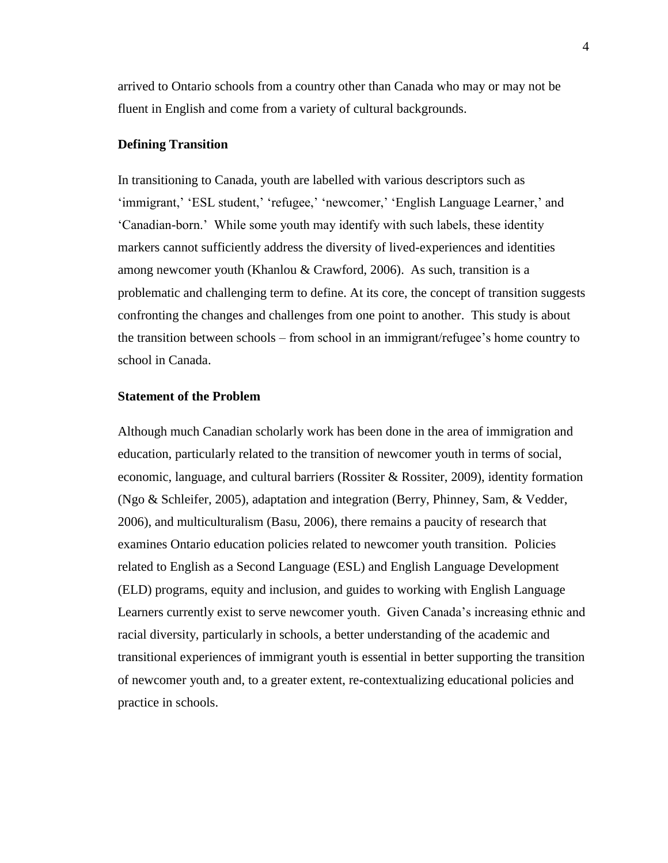arrived to Ontario schools from a country other than Canada who may or may not be fluent in English and come from a variety of cultural backgrounds.

### <span id="page-14-0"></span>**Defining Transition**

In transitioning to Canada, youth are labelled with various descriptors such as 'immigrant,' 'ESL student,' 'refugee,' 'newcomer,' 'English Language Learner,' and 'Canadian-born.' While some youth may identify with such labels, these identity markers cannot sufficiently address the diversity of lived-experiences and identities among newcomer youth (Khanlou & Crawford, 2006). As such, transition is a problematic and challenging term to define. At its core, the concept of transition suggests confronting the changes and challenges from one point to another. This study is about the transition between schools – from school in an immigrant/refugee's home country to school in Canada.

### <span id="page-14-1"></span>**Statement of the Problem**

Although much Canadian scholarly work has been done in the area of immigration and education, particularly related to the transition of newcomer youth in terms of social, economic, language, and cultural barriers (Rossiter & Rossiter, 2009), identity formation (Ngo & Schleifer, 2005), adaptation and integration (Berry, Phinney, Sam, & Vedder, 2006), and multiculturalism (Basu, 2006), there remains a paucity of research that examines Ontario education policies related to newcomer youth transition. Policies related to English as a Second Language (ESL) and English Language Development (ELD) programs, equity and inclusion, and guides to working with English Language Learners currently exist to serve newcomer youth. Given Canada's increasing ethnic and racial diversity, particularly in schools, a better understanding of the academic and transitional experiences of immigrant youth is essential in better supporting the transition of newcomer youth and, to a greater extent, re-contextualizing educational policies and practice in schools.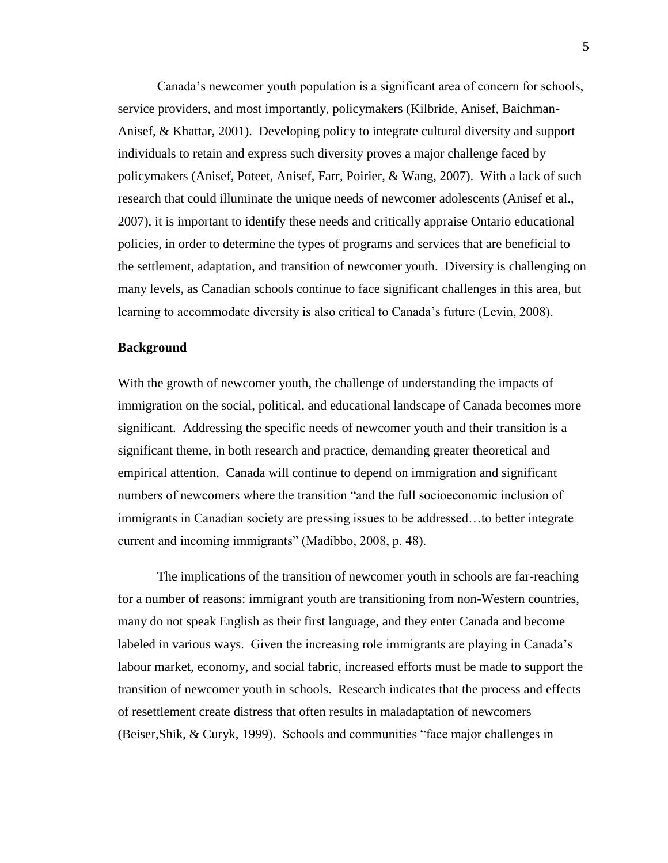Canada's newcomer youth population is a significant area of concern for schools, service providers, and most importantly, policymakers (Kilbride, Anisef, Baichman-Anisef, & Khattar, 2001). Developing policy to integrate cultural diversity and support individuals to retain and express such diversity proves a major challenge faced by policymakers (Anisef, Poteet, Anisef, Farr, Poirier, & Wang, 2007). With a lack of such research that could illuminate the unique needs of newcomer adolescents (Anisef et al., 2007), it is important to identify these needs and critically appraise Ontario educational policies, in order to determine the types of programs and services that are beneficial to the settlement, adaptation, and transition of newcomer youth. Diversity is challenging on many levels, as Canadian schools continue to face significant challenges in this area, but learning to accommodate diversity is also critical to Canada's future (Levin, 2008).

#### <span id="page-15-0"></span>**Background**

With the growth of newcomer youth, the challenge of understanding the impacts of immigration on the social, political, and educational landscape of Canada becomes more significant. Addressing the specific needs of newcomer youth and their transition is a significant theme, in both research and practice, demanding greater theoretical and empirical attention. Canada will continue to depend on immigration and significant numbers of newcomers where the transition "and the full socioeconomic inclusion of immigrants in Canadian society are pressing issues to be addressed…to better integrate current and incoming immigrants" (Madibbo, 2008, p. 48).

The implications of the transition of newcomer youth in schools are far-reaching for a number of reasons: immigrant youth are transitioning from non-Western countries, many do not speak English as their first language, and they enter Canada and become labeled in various ways. Given the increasing role immigrants are playing in Canada's labour market, economy, and social fabric, increased efforts must be made to support the transition of newcomer youth in schools. Research indicates that the process and effects of resettlement create distress that often results in maladaptation of newcomers (Beiser,Shik, & Curyk, 1999). Schools and communities "face major challenges in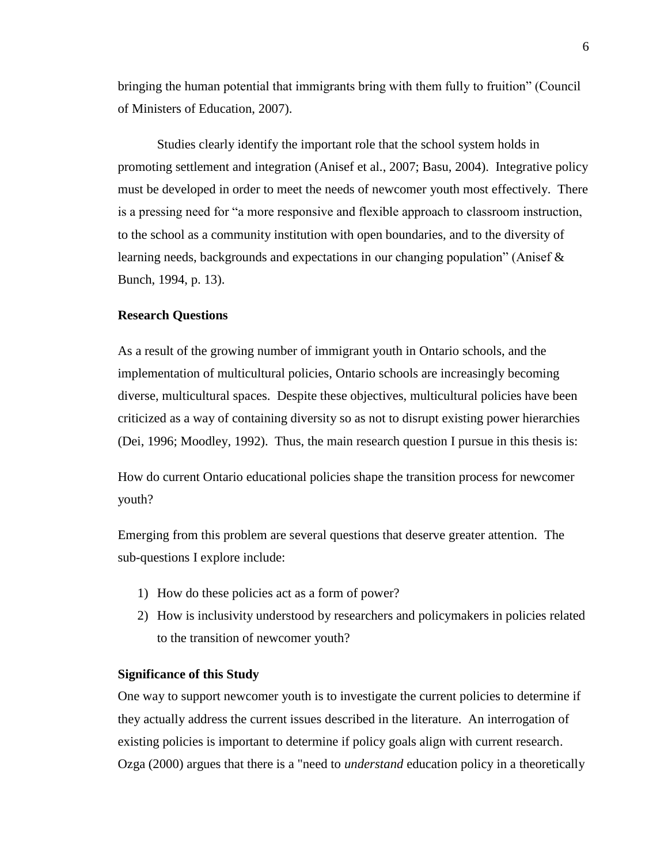bringing the human potential that immigrants bring with them fully to fruition" (Council of Ministers of Education, 2007).

Studies clearly identify the important role that the school system holds in promoting settlement and integration (Anisef et al., 2007; Basu, 2004). Integrative policy must be developed in order to meet the needs of newcomer youth most effectively. There is a pressing need for "a more responsive and flexible approach to classroom instruction, to the school as a community institution with open boundaries, and to the diversity of learning needs, backgrounds and expectations in our changing population" (Anisef & Bunch, 1994, p. 13).

#### <span id="page-16-0"></span>**Research Questions**

As a result of the growing number of immigrant youth in Ontario schools, and the implementation of multicultural policies, Ontario schools are increasingly becoming diverse, multicultural spaces. Despite these objectives, multicultural policies have been criticized as a way of containing diversity so as not to disrupt existing power hierarchies (Dei, 1996; Moodley, 1992). Thus, the main research question I pursue in this thesis is:

How do current Ontario educational policies shape the transition process for newcomer youth?

Emerging from this problem are several questions that deserve greater attention. The sub-questions I explore include:

- 1) How do these policies act as a form of power?
- 2) How is inclusivity understood by researchers and policymakers in policies related to the transition of newcomer youth?

### <span id="page-16-1"></span>**Significance of this Study**

One way to support newcomer youth is to investigate the current policies to determine if they actually address the current issues described in the literature. An interrogation of existing policies is important to determine if policy goals align with current research. Ozga (2000) argues that there is a "need to *understand* education policy in a theoretically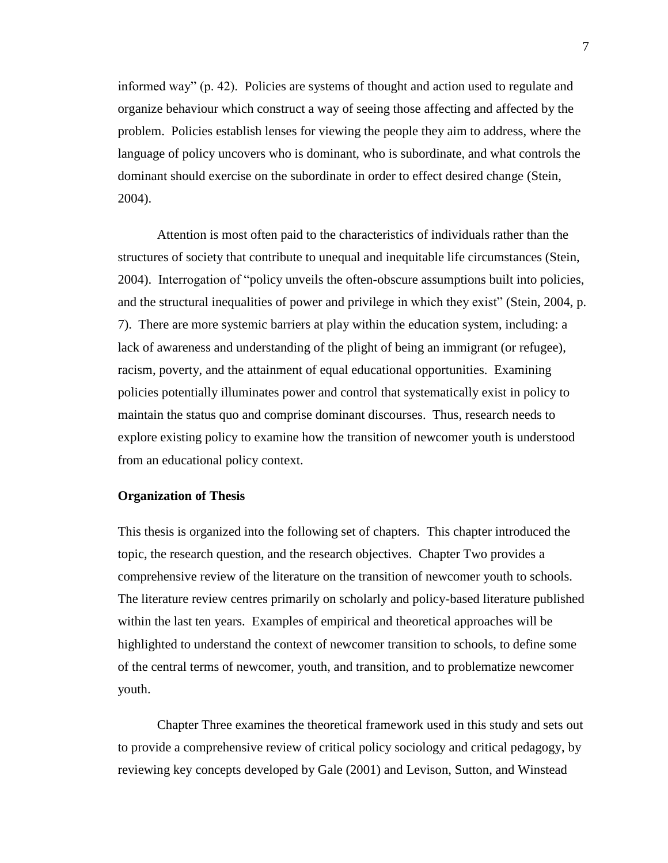informed way" (p. 42). Policies are systems of thought and action used to regulate and organize behaviour which construct a way of seeing those affecting and affected by the problem. Policies establish lenses for viewing the people they aim to address, where the language of policy uncovers who is dominant, who is subordinate, and what controls the dominant should exercise on the subordinate in order to effect desired change (Stein, 2004).

Attention is most often paid to the characteristics of individuals rather than the structures of society that contribute to unequal and inequitable life circumstances (Stein, 2004). Interrogation of "policy unveils the often-obscure assumptions built into policies, and the structural inequalities of power and privilege in which they exist" (Stein, 2004, p. 7). There are more systemic barriers at play within the education system, including: a lack of awareness and understanding of the plight of being an immigrant (or refugee), racism, poverty, and the attainment of equal educational opportunities. Examining policies potentially illuminates power and control that systematically exist in policy to maintain the status quo and comprise dominant discourses. Thus, research needs to explore existing policy to examine how the transition of newcomer youth is understood from an educational policy context.

#### <span id="page-17-0"></span>**Organization of Thesis**

This thesis is organized into the following set of chapters. This chapter introduced the topic, the research question, and the research objectives. Chapter Two provides a comprehensive review of the literature on the transition of newcomer youth to schools. The literature review centres primarily on scholarly and policy-based literature published within the last ten years. Examples of empirical and theoretical approaches will be highlighted to understand the context of newcomer transition to schools, to define some of the central terms of newcomer, youth, and transition, and to problematize newcomer youth.

Chapter Three examines the theoretical framework used in this study and sets out to provide a comprehensive review of critical policy sociology and critical pedagogy, by reviewing key concepts developed by Gale (2001) and Levison, Sutton, and Winstead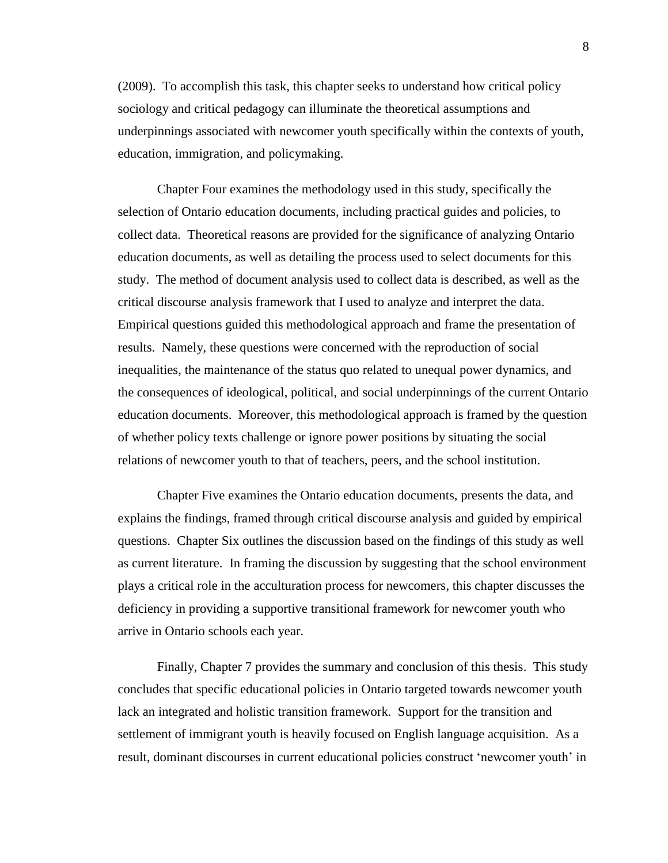(2009). To accomplish this task, this chapter seeks to understand how critical policy sociology and critical pedagogy can illuminate the theoretical assumptions and underpinnings associated with newcomer youth specifically within the contexts of youth, education, immigration, and policymaking.

Chapter Four examines the methodology used in this study, specifically the selection of Ontario education documents, including practical guides and policies, to collect data. Theoretical reasons are provided for the significance of analyzing Ontario education documents, as well as detailing the process used to select documents for this study. The method of document analysis used to collect data is described, as well as the critical discourse analysis framework that I used to analyze and interpret the data. Empirical questions guided this methodological approach and frame the presentation of results. Namely, these questions were concerned with the reproduction of social inequalities, the maintenance of the status quo related to unequal power dynamics, and the consequences of ideological, political, and social underpinnings of the current Ontario education documents. Moreover, this methodological approach is framed by the question of whether policy texts challenge or ignore power positions by situating the social relations of newcomer youth to that of teachers, peers, and the school institution.

Chapter Five examines the Ontario education documents, presents the data, and explains the findings, framed through critical discourse analysis and guided by empirical questions. Chapter Six outlines the discussion based on the findings of this study as well as current literature. In framing the discussion by suggesting that the school environment plays a critical role in the acculturation process for newcomers, this chapter discusses the deficiency in providing a supportive transitional framework for newcomer youth who arrive in Ontario schools each year.

Finally, Chapter 7 provides the summary and conclusion of this thesis. This study concludes that specific educational policies in Ontario targeted towards newcomer youth lack an integrated and holistic transition framework. Support for the transition and settlement of immigrant youth is heavily focused on English language acquisition. As a result, dominant discourses in current educational policies construct 'newcomer youth' in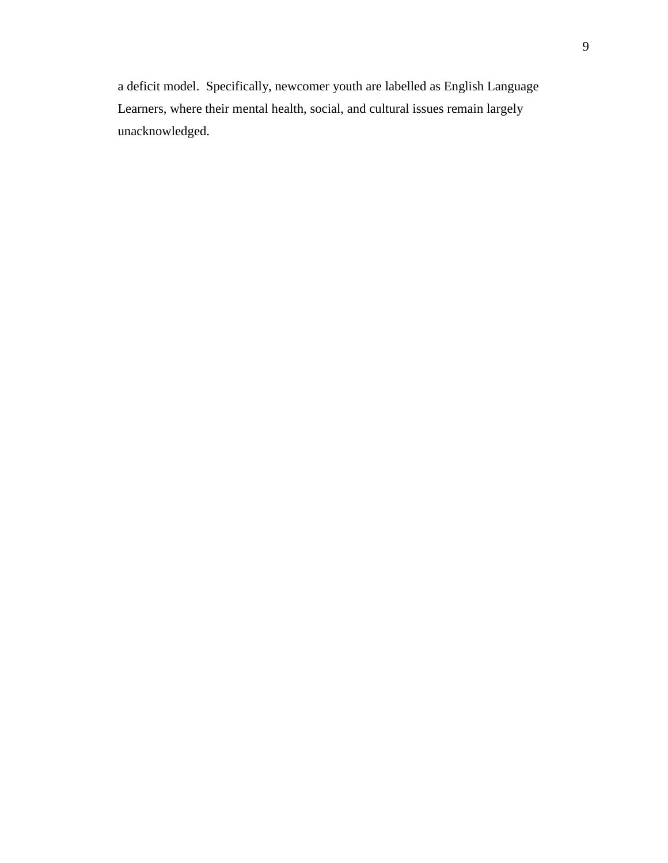a deficit model. Specifically, newcomer youth are labelled as English Language Learners, where their mental health, social, and cultural issues remain largely unacknowledged.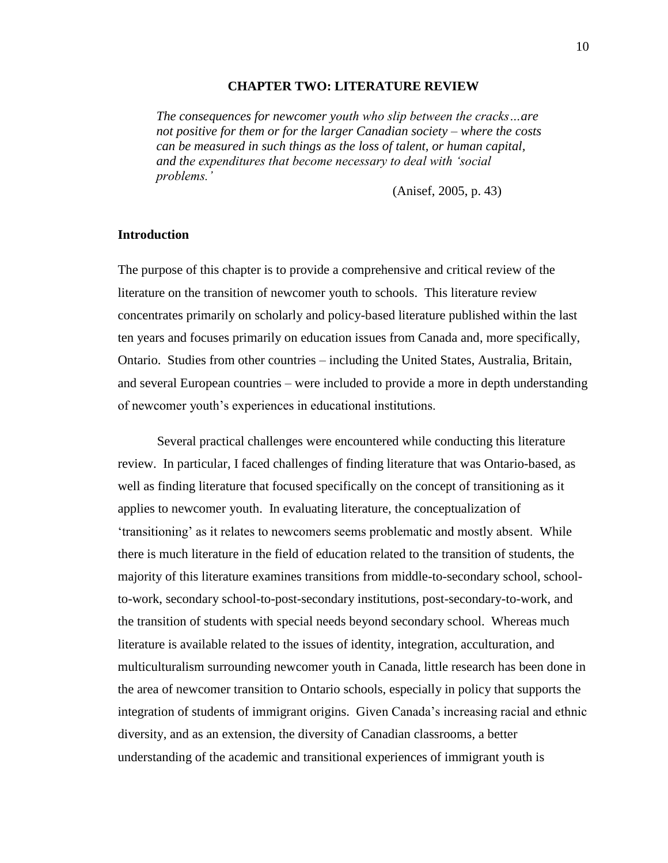#### **CHAPTER TWO: LITERATURE REVIEW**

<span id="page-20-0"></span>*The consequences for newcomer youth who slip between the cracks…are not positive for them or for the larger Canadian society – where the costs can be measured in such things as the loss of talent, or human capital, and the expenditures that become necessary to deal with 'social problems.'*

(Anisef, 2005, p. 43)

#### <span id="page-20-1"></span>**Introduction**

The purpose of this chapter is to provide a comprehensive and critical review of the literature on the transition of newcomer youth to schools. This literature review concentrates primarily on scholarly and policy-based literature published within the last ten years and focuses primarily on education issues from Canada and, more specifically, Ontario. Studies from other countries – including the United States, Australia, Britain, and several European countries – were included to provide a more in depth understanding of newcomer youth's experiences in educational institutions.

Several practical challenges were encountered while conducting this literature review. In particular, I faced challenges of finding literature that was Ontario-based, as well as finding literature that focused specifically on the concept of transitioning as it applies to newcomer youth. In evaluating literature, the conceptualization of 'transitioning' as it relates to newcomers seems problematic and mostly absent. While there is much literature in the field of education related to the transition of students, the majority of this literature examines transitions from middle-to-secondary school, schoolto-work, secondary school-to-post-secondary institutions, post-secondary-to-work, and the transition of students with special needs beyond secondary school. Whereas much literature is available related to the issues of identity, integration, acculturation, and multiculturalism surrounding newcomer youth in Canada, little research has been done in the area of newcomer transition to Ontario schools, especially in policy that supports the integration of students of immigrant origins. Given Canada's increasing racial and ethnic diversity, and as an extension, the diversity of Canadian classrooms, a better understanding of the academic and transitional experiences of immigrant youth is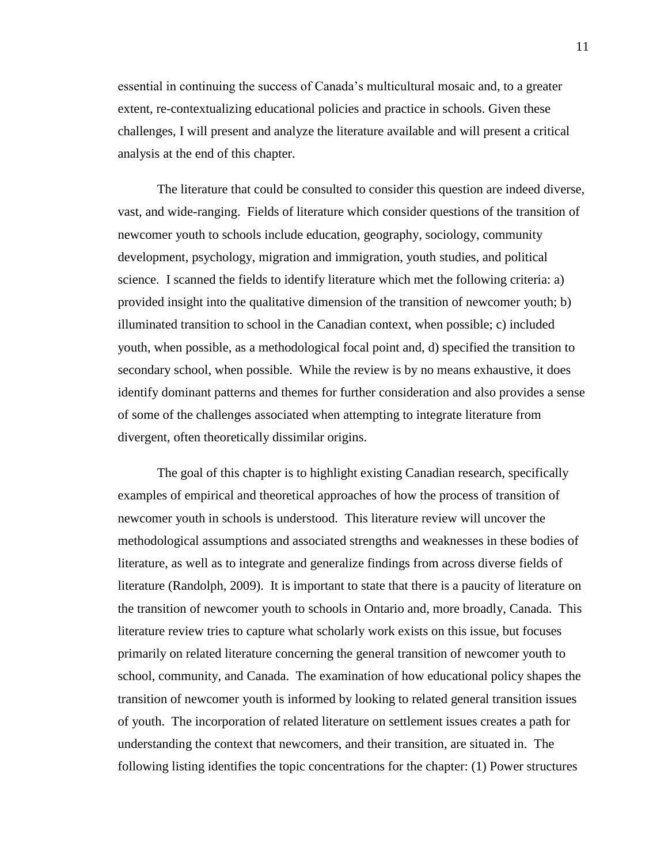essential in continuing the success of Canada's multicultural mosaic and, to a greater extent, re-contextualizing educational policies and practice in schools. Given these challenges, I will present and analyze the literature available and will present a critical analysis at the end of this chapter.

The literature that could be consulted to consider this question are indeed diverse, vast, and wide-ranging. Fields of literature which consider questions of the transition of newcomer youth to schools include education, geography, sociology, community development, psychology, migration and immigration, youth studies, and political science. I scanned the fields to identify literature which met the following criteria: a) provided insight into the qualitative dimension of the transition of newcomer youth; b) illuminated transition to school in the Canadian context, when possible; c) included youth, when possible, as a methodological focal point and, d) specified the transition to secondary school, when possible. While the review is by no means exhaustive, it does identify dominant patterns and themes for further consideration and also provides a sense of some of the challenges associated when attempting to integrate literature from divergent, often theoretically dissimilar origins.

The goal of this chapter is to highlight existing Canadian research, specifically examples of empirical and theoretical approaches of how the process of transition of newcomer youth in schools is understood. This literature review will uncover the methodological assumptions and associated strengths and weaknesses in these bodies of literature, as well as to integrate and generalize findings from across diverse fields of literature (Randolph, 2009). It is important to state that there is a paucity of literature on the transition of newcomer youth to schools in Ontario and, more broadly, Canada. This literature review tries to capture what scholarly work exists on this issue, but focuses primarily on related literature concerning the general transition of newcomer youth to school, community, and Canada. The examination of how educational policy shapes the transition of newcomer youth is informed by looking to related general transition issues of youth. The incorporation of related literature on settlement issues creates a path for understanding the context that newcomers, and their transition, are situated in. The following listing identifies the topic concentrations for the chapter: (1) Power structures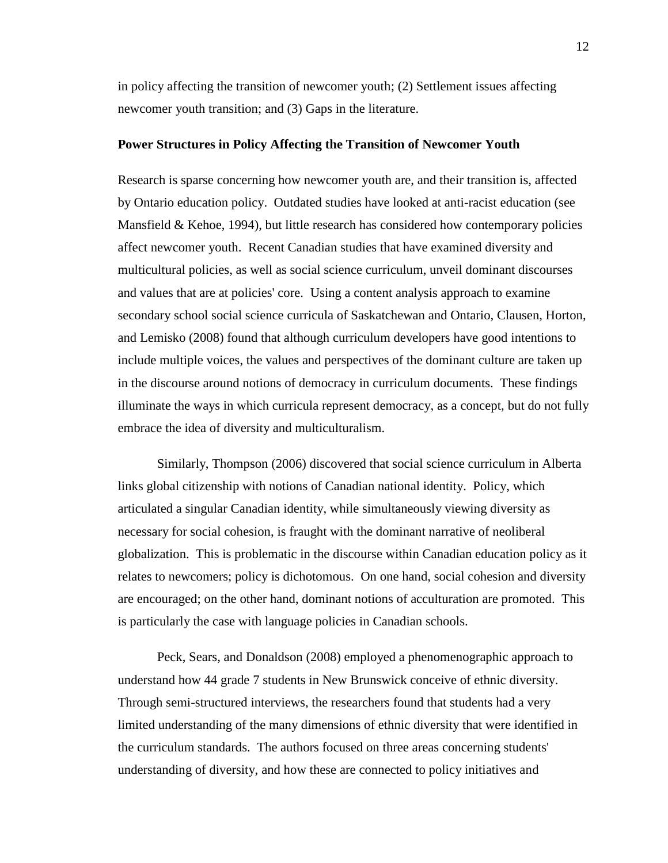in policy affecting the transition of newcomer youth; (2) Settlement issues affecting newcomer youth transition; and (3) Gaps in the literature.

#### <span id="page-22-0"></span>**Power Structures in Policy Affecting the Transition of Newcomer Youth**

Research is sparse concerning how newcomer youth are, and their transition is, affected by Ontario education policy. Outdated studies have looked at anti-racist education (see Mansfield & Kehoe, 1994), but little research has considered how contemporary policies affect newcomer youth. Recent Canadian studies that have examined diversity and multicultural policies, as well as social science curriculum, unveil dominant discourses and values that are at policies' core. Using a content analysis approach to examine secondary school social science curricula of Saskatchewan and Ontario, Clausen, Horton, and Lemisko (2008) found that although curriculum developers have good intentions to include multiple voices, the values and perspectives of the dominant culture are taken up in the discourse around notions of democracy in curriculum documents. These findings illuminate the ways in which curricula represent democracy, as a concept, but do not fully embrace the idea of diversity and multiculturalism.

Similarly, Thompson (2006) discovered that social science curriculum in Alberta links global citizenship with notions of Canadian national identity. Policy, which articulated a singular Canadian identity, while simultaneously viewing diversity as necessary for social cohesion, is fraught with the dominant narrative of neoliberal globalization. This is problematic in the discourse within Canadian education policy as it relates to newcomers; policy is dichotomous. On one hand, social cohesion and diversity are encouraged; on the other hand, dominant notions of acculturation are promoted. This is particularly the case with language policies in Canadian schools.

Peck, Sears, and Donaldson (2008) employed a phenomenographic approach to understand how 44 grade 7 students in New Brunswick conceive of ethnic diversity. Through semi-structured interviews, the researchers found that students had a very limited understanding of the many dimensions of ethnic diversity that were identified in the curriculum standards. The authors focused on three areas concerning students' understanding of diversity, and how these are connected to policy initiatives and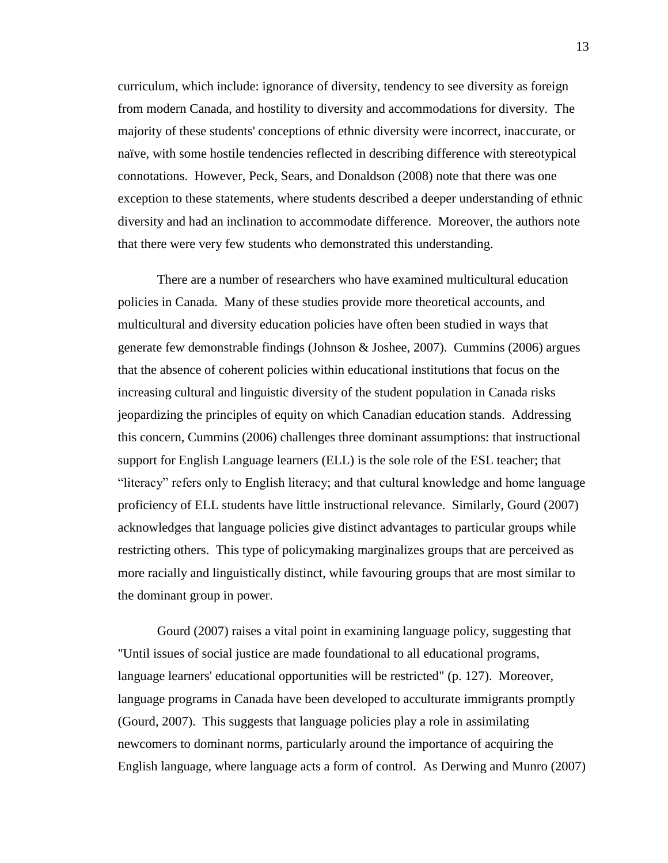curriculum, which include: ignorance of diversity, tendency to see diversity as foreign from modern Canada, and hostility to diversity and accommodations for diversity. The majority of these students' conceptions of ethnic diversity were incorrect, inaccurate, or naïve, with some hostile tendencies reflected in describing difference with stereotypical connotations. However, Peck, Sears, and Donaldson (2008) note that there was one exception to these statements, where students described a deeper understanding of ethnic diversity and had an inclination to accommodate difference. Moreover, the authors note that there were very few students who demonstrated this understanding.

There are a number of researchers who have examined multicultural education policies in Canada. Many of these studies provide more theoretical accounts, and multicultural and diversity education policies have often been studied in ways that generate few demonstrable findings (Johnson & Joshee, 2007). Cummins (2006) argues that the absence of coherent policies within educational institutions that focus on the increasing cultural and linguistic diversity of the student population in Canada risks jeopardizing the principles of equity on which Canadian education stands. Addressing this concern, Cummins (2006) challenges three dominant assumptions: that instructional support for English Language learners (ELL) is the sole role of the ESL teacher; that "literacy" refers only to English literacy; and that cultural knowledge and home language proficiency of ELL students have little instructional relevance. Similarly, Gourd (2007) acknowledges that language policies give distinct advantages to particular groups while restricting others. This type of policymaking marginalizes groups that are perceived as more racially and linguistically distinct, while favouring groups that are most similar to the dominant group in power.

Gourd (2007) raises a vital point in examining language policy, suggesting that "Until issues of social justice are made foundational to all educational programs, language learners' educational opportunities will be restricted" (p. 127). Moreover, language programs in Canada have been developed to acculturate immigrants promptly (Gourd, 2007). This suggests that language policies play a role in assimilating newcomers to dominant norms, particularly around the importance of acquiring the English language, where language acts a form of control. As Derwing and Munro (2007)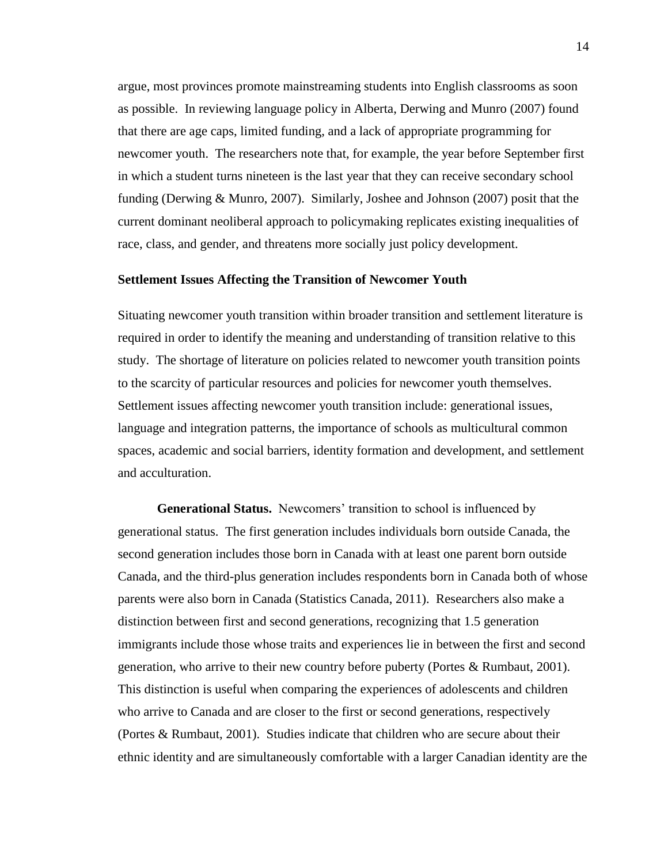argue, most provinces promote mainstreaming students into English classrooms as soon as possible. In reviewing language policy in Alberta, Derwing and Munro (2007) found that there are age caps, limited funding, and a lack of appropriate programming for newcomer youth. The researchers note that, for example, the year before September first in which a student turns nineteen is the last year that they can receive secondary school funding (Derwing & Munro, 2007). Similarly, Joshee and Johnson (2007) posit that the current dominant neoliberal approach to policymaking replicates existing inequalities of race, class, and gender, and threatens more socially just policy development.

#### <span id="page-24-0"></span>**Settlement Issues Affecting the Transition of Newcomer Youth**

Situating newcomer youth transition within broader transition and settlement literature is required in order to identify the meaning and understanding of transition relative to this study. The shortage of literature on policies related to newcomer youth transition points to the scarcity of particular resources and policies for newcomer youth themselves. Settlement issues affecting newcomer youth transition include: generational issues, language and integration patterns, the importance of schools as multicultural common spaces, academic and social barriers, identity formation and development, and settlement and acculturation.

<span id="page-24-1"></span>**Generational Status.** Newcomers' transition to school is influenced by generational status. The first generation includes individuals born outside Canada, the second generation includes those born in Canada with at least one parent born outside Canada, and the third-plus generation includes respondents born in Canada both of whose parents were also born in Canada (Statistics Canada, 2011). Researchers also make a distinction between first and second generations, recognizing that 1.5 generation immigrants include those whose traits and experiences lie in between the first and second generation, who arrive to their new country before puberty (Portes & Rumbaut, 2001). This distinction is useful when comparing the experiences of adolescents and children who arrive to Canada and are closer to the first or second generations, respectively (Portes & Rumbaut, 2001). Studies indicate that children who are secure about their ethnic identity and are simultaneously comfortable with a larger Canadian identity are the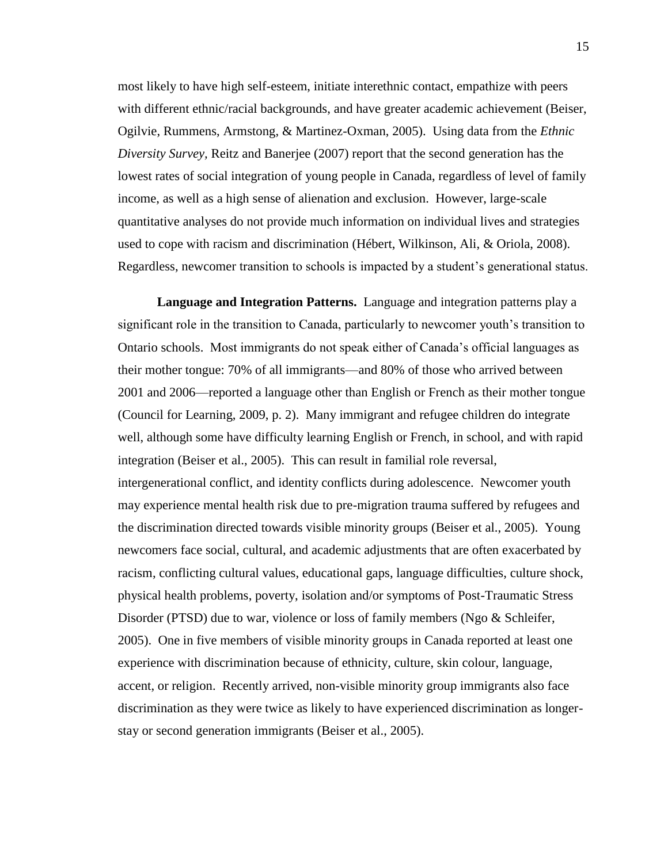most likely to have high self-esteem, initiate interethnic contact, empathize with peers with different ethnic/racial backgrounds, and have greater academic achievement (Beiser, Ogilvie, Rummens, Armstong, & Martinez-Oxman, 2005). Using data from the *Ethnic Diversity Survey,* Reitz and Banerjee (2007) report that the second generation has the lowest rates of social integration of young people in Canada, regardless of level of family income, as well as a high sense of alienation and exclusion. However, large-scale quantitative analyses do not provide much information on individual lives and strategies used to cope with racism and discrimination (Hébert, Wilkinson, Ali, & Oriola, 2008). Regardless, newcomer transition to schools is impacted by a student's generational status.

<span id="page-25-0"></span>**Language and Integration Patterns.** Language and integration patterns play a significant role in the transition to Canada, particularly to newcomer youth's transition to Ontario schools. Most immigrants do not speak either of Canada's official languages as their mother tongue: 70% of all immigrants—and 80% of those who arrived between 2001 and 2006—reported a language other than English or French as their mother tongue (Council for Learning, 2009, p. 2). Many immigrant and refugee children do integrate well, although some have difficulty learning English or French, in school, and with rapid integration (Beiser et al., 2005). This can result in familial role reversal, intergenerational conflict, and identity conflicts during adolescence. Newcomer youth may experience mental health risk due to pre-migration trauma suffered by refugees and the discrimination directed towards visible minority groups (Beiser et al., 2005). Young newcomers face social, cultural, and academic adjustments that are often exacerbated by racism, conflicting cultural values, educational gaps, language difficulties, culture shock, physical health problems, poverty, isolation and/or symptoms of Post-Traumatic Stress Disorder (PTSD) due to war, violence or loss of family members (Ngo & Schleifer, 2005). One in five members of visible minority groups in Canada reported at least one experience with discrimination because of ethnicity, culture, skin colour, language, accent, or religion. Recently arrived, non-visible minority group immigrants also face discrimination as they were twice as likely to have experienced discrimination as longerstay or second generation immigrants (Beiser et al., 2005).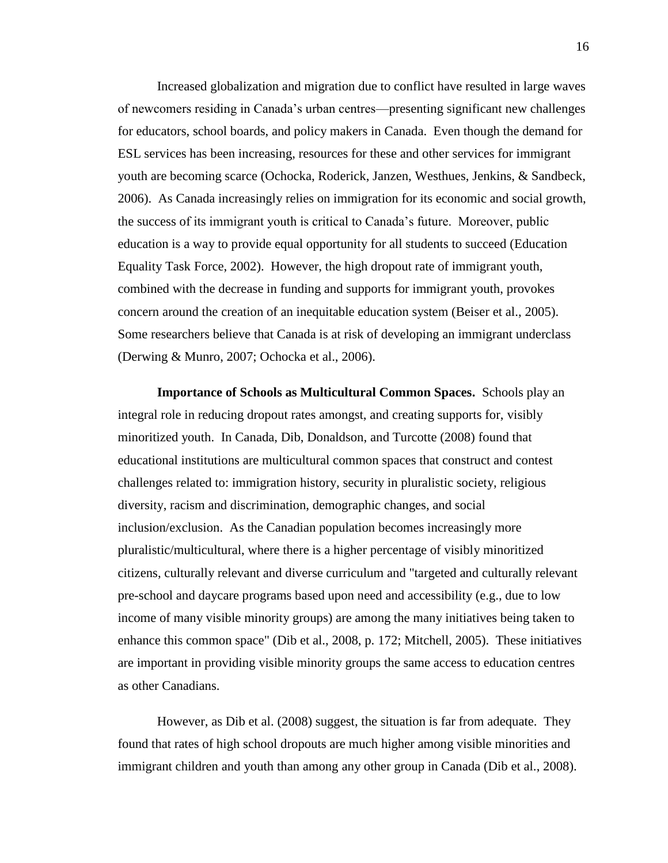Increased globalization and migration due to conflict have resulted in large waves of newcomers residing in Canada's urban centres—presenting significant new challenges for educators, school boards, and policy makers in Canada. Even though the demand for ESL services has been increasing, resources for these and other services for immigrant youth are becoming scarce (Ochocka, Roderick, Janzen, Westhues, Jenkins, & Sandbeck, 2006). As Canada increasingly relies on immigration for its economic and social growth, the success of its immigrant youth is critical to Canada's future. Moreover, public education is a way to provide equal opportunity for all students to succeed (Education Equality Task Force, 2002). However, the high dropout rate of immigrant youth, combined with the decrease in funding and supports for immigrant youth, provokes concern around the creation of an inequitable education system (Beiser et al., 2005). Some researchers believe that Canada is at risk of developing an immigrant underclass (Derwing & Munro, 2007; Ochocka et al., 2006).

<span id="page-26-0"></span>**Importance of Schools as Multicultural Common Spaces.** Schools play an integral role in reducing dropout rates amongst, and creating supports for, visibly minoritized youth. In Canada, Dib, Donaldson, and Turcotte (2008) found that educational institutions are multicultural common spaces that construct and contest challenges related to: immigration history, security in pluralistic society, religious diversity, racism and discrimination, demographic changes, and social inclusion/exclusion. As the Canadian population becomes increasingly more pluralistic/multicultural, where there is a higher percentage of visibly minoritized citizens, culturally relevant and diverse curriculum and "targeted and culturally relevant pre-school and daycare programs based upon need and accessibility (e.g., due to low income of many visible minority groups) are among the many initiatives being taken to enhance this common space" (Dib et al., 2008, p. 172; Mitchell, 2005). These initiatives are important in providing visible minority groups the same access to education centres as other Canadians.

However, as Dib et al. (2008) suggest, the situation is far from adequate. They found that rates of high school dropouts are much higher among visible minorities and immigrant children and youth than among any other group in Canada (Dib et al., 2008).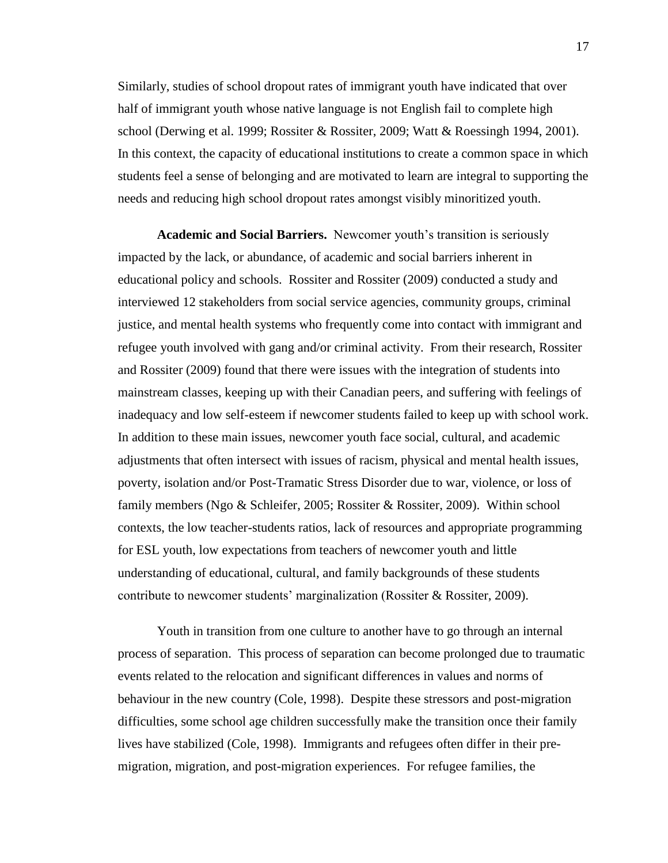Similarly, studies of school dropout rates of immigrant youth have indicated that over half of immigrant youth whose native language is not English fail to complete high school (Derwing et al. 1999; Rossiter & Rossiter, 2009; Watt & Roessingh 1994, 2001). In this context, the capacity of educational institutions to create a common space in which students feel a sense of belonging and are motivated to learn are integral to supporting the needs and reducing high school dropout rates amongst visibly minoritized youth.

<span id="page-27-0"></span>**Academic and Social Barriers.** Newcomer youth's transition is seriously impacted by the lack, or abundance, of academic and social barriers inherent in educational policy and schools. Rossiter and Rossiter (2009) conducted a study and interviewed 12 stakeholders from social service agencies, community groups, criminal justice, and mental health systems who frequently come into contact with immigrant and refugee youth involved with gang and/or criminal activity. From their research, Rossiter and Rossiter (2009) found that there were issues with the integration of students into mainstream classes, keeping up with their Canadian peers, and suffering with feelings of inadequacy and low self-esteem if newcomer students failed to keep up with school work. In addition to these main issues, newcomer youth face social, cultural, and academic adjustments that often intersect with issues of racism, physical and mental health issues, poverty, isolation and/or Post-Tramatic Stress Disorder due to war, violence, or loss of family members (Ngo & Schleifer, 2005; Rossiter & Rossiter, 2009). Within school contexts, the low teacher-students ratios, lack of resources and appropriate programming for ESL youth, low expectations from teachers of newcomer youth and little understanding of educational, cultural, and family backgrounds of these students contribute to newcomer students' marginalization (Rossiter & Rossiter, 2009).

Youth in transition from one culture to another have to go through an internal process of separation. This process of separation can become prolonged due to traumatic events related to the relocation and significant differences in values and norms of behaviour in the new country (Cole, 1998). Despite these stressors and post-migration difficulties, some school age children successfully make the transition once their family lives have stabilized (Cole, 1998). Immigrants and refugees often differ in their premigration, migration, and post-migration experiences. For refugee families, the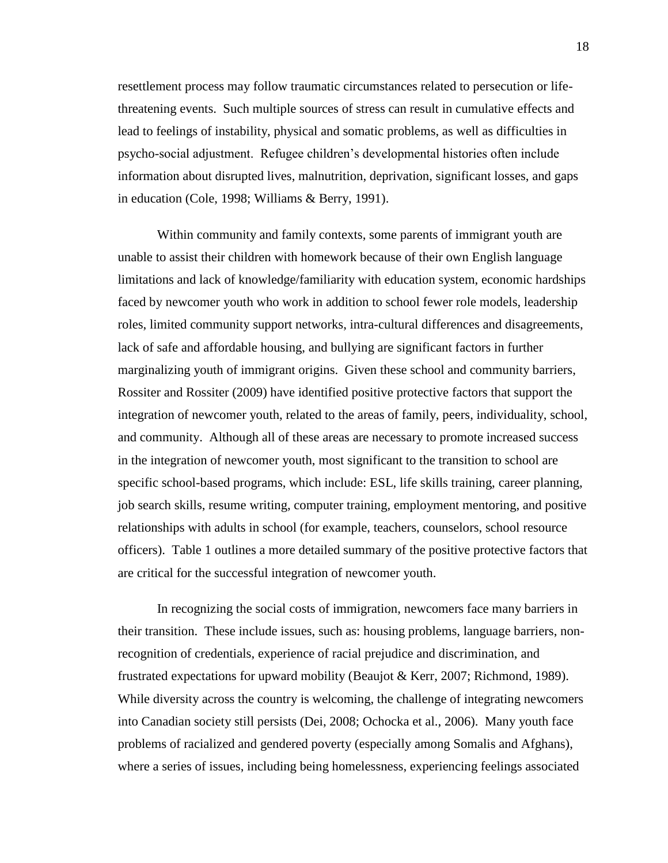resettlement process may follow traumatic circumstances related to persecution or lifethreatening events. Such multiple sources of stress can result in cumulative effects and lead to feelings of instability, physical and somatic problems, as well as difficulties in psycho-social adjustment. Refugee children's developmental histories often include information about disrupted lives, malnutrition, deprivation, significant losses, and gaps in education (Cole, 1998; Williams & Berry, 1991).

Within community and family contexts, some parents of immigrant youth are unable to assist their children with homework because of their own English language limitations and lack of knowledge/familiarity with education system, economic hardships faced by newcomer youth who work in addition to school fewer role models, leadership roles, limited community support networks, intra-cultural differences and disagreements, lack of safe and affordable housing, and bullying are significant factors in further marginalizing youth of immigrant origins. Given these school and community barriers, Rossiter and Rossiter (2009) have identified positive protective factors that support the integration of newcomer youth, related to the areas of family, peers, individuality, school, and community. Although all of these areas are necessary to promote increased success in the integration of newcomer youth, most significant to the transition to school are specific school-based programs, which include: ESL, life skills training, career planning, job search skills, resume writing, computer training, employment mentoring, and positive relationships with adults in school (for example, teachers, counselors, school resource officers). Table 1 outlines a more detailed summary of the positive protective factors that are critical for the successful integration of newcomer youth.

In recognizing the social costs of immigration, newcomers face many barriers in their transition. These include issues, such as: housing problems, language barriers, nonrecognition of credentials, experience of racial prejudice and discrimination, and frustrated expectations for upward mobility (Beaujot & Kerr, 2007; Richmond, 1989). While diversity across the country is welcoming, the challenge of integrating newcomers into Canadian society still persists (Dei, 2008; Ochocka et al., 2006). Many youth face problems of racialized and gendered poverty (especially among Somalis and Afghans), where a series of issues, including being homelessness, experiencing feelings associated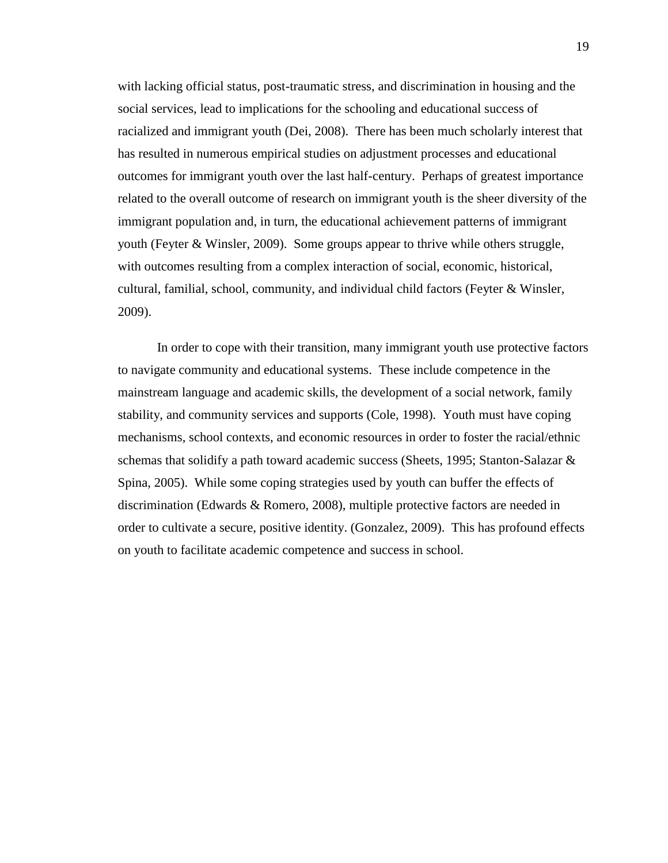with lacking official status, post-traumatic stress, and discrimination in housing and the social services, lead to implications for the schooling and educational success of racialized and immigrant youth (Dei, 2008). There has been much scholarly interest that has resulted in numerous empirical studies on adjustment processes and educational outcomes for immigrant youth over the last half-century. Perhaps of greatest importance related to the overall outcome of research on immigrant youth is the sheer diversity of the immigrant population and, in turn, the educational achievement patterns of immigrant youth (Feyter & Winsler, 2009). Some groups appear to thrive while others struggle, with outcomes resulting from a complex interaction of social, economic, historical, cultural, familial, school, community, and individual child factors (Feyter & Winsler, 2009).

In order to cope with their transition, many immigrant youth use protective factors to navigate community and educational systems. These include competence in the mainstream language and academic skills, the development of a social network, family stability, and community services and supports (Cole, 1998). Youth must have coping mechanisms, school contexts, and economic resources in order to foster the racial/ethnic schemas that solidify a path toward academic success (Sheets, 1995; Stanton-Salazar & Spina, 2005). While some coping strategies used by youth can buffer the effects of discrimination (Edwards & Romero, 2008), multiple protective factors are needed in order to cultivate a secure, positive identity. (Gonzalez, 2009). This has profound effects on youth to facilitate academic competence and success in school.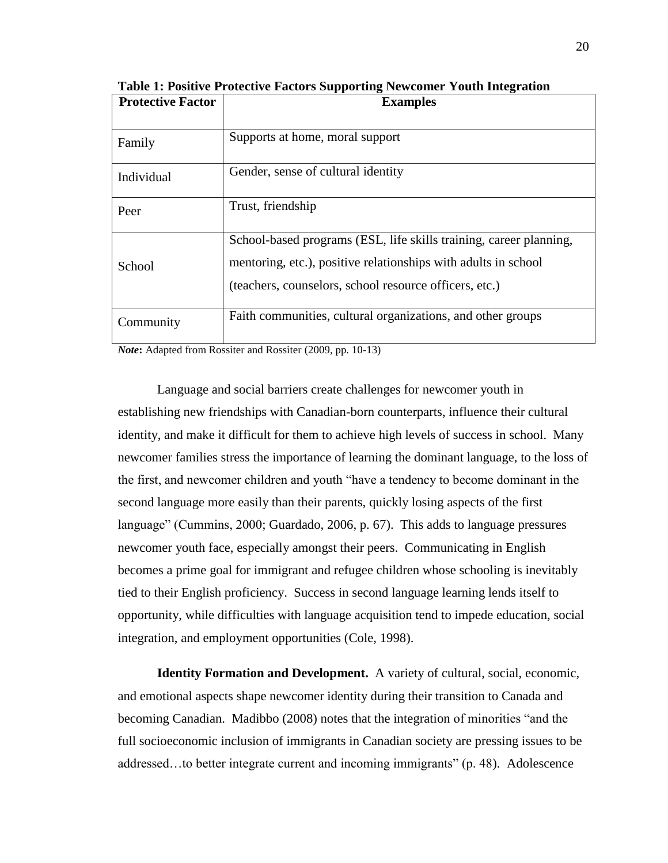| <b>Protective Factor</b> | <b>Examples</b>                                                                                                                                                                                |
|--------------------------|------------------------------------------------------------------------------------------------------------------------------------------------------------------------------------------------|
| Family                   | Supports at home, moral support                                                                                                                                                                |
| Individual               | Gender, sense of cultural identity                                                                                                                                                             |
| Peer                     | Trust, friendship                                                                                                                                                                              |
| School                   | School-based programs (ESL, life skills training, career planning,<br>mentoring, etc.), positive relationships with adults in school<br>(teachers, counselors, school resource officers, etc.) |
| Community                | Faith communities, cultural organizations, and other groups                                                                                                                                    |

<span id="page-30-1"></span>**Table 1: Positive Protective Factors Supporting Newcomer Youth Integration**

*Note***:** Adapted from Rossiter and Rossiter (2009, pp. 10-13)

Language and social barriers create challenges for newcomer youth in establishing new friendships with Canadian-born counterparts, influence their cultural identity, and make it difficult for them to achieve high levels of success in school. Many newcomer families stress the importance of learning the dominant language, to the loss of the first, and newcomer children and youth "have a tendency to become dominant in the second language more easily than their parents, quickly losing aspects of the first language" (Cummins, 2000; Guardado, 2006, p. 67). This adds to language pressures newcomer youth face, especially amongst their peers. Communicating in English becomes a prime goal for immigrant and refugee children whose schooling is inevitably tied to their English proficiency. Success in second language learning lends itself to opportunity, while difficulties with language acquisition tend to impede education, social integration, and employment opportunities (Cole, 1998).

<span id="page-30-0"></span>**Identity Formation and Development.** A variety of cultural, social, economic, and emotional aspects shape newcomer identity during their transition to Canada and becoming Canadian. Madibbo (2008) notes that the integration of minorities "and the full socioeconomic inclusion of immigrants in Canadian society are pressing issues to be addressed…to better integrate current and incoming immigrants" (p. 48). Adolescence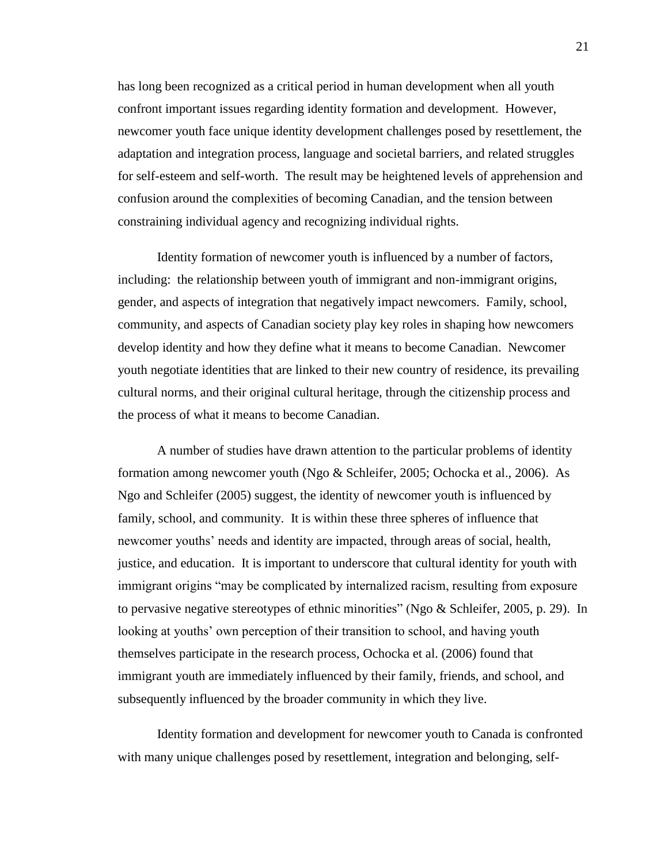has long been recognized as a critical period in human development when all youth confront important issues regarding identity formation and development. However, newcomer youth face unique identity development challenges posed by resettlement, the adaptation and integration process, language and societal barriers, and related struggles for self-esteem and self-worth. The result may be heightened levels of apprehension and confusion around the complexities of becoming Canadian, and the tension between constraining individual agency and recognizing individual rights.

Identity formation of newcomer youth is influenced by a number of factors, including: the relationship between youth of immigrant and non-immigrant origins, gender, and aspects of integration that negatively impact newcomers. Family, school, community, and aspects of Canadian society play key roles in shaping how newcomers develop identity and how they define what it means to become Canadian. Newcomer youth negotiate identities that are linked to their new country of residence, its prevailing cultural norms, and their original cultural heritage, through the citizenship process and the process of what it means to become Canadian.

A number of studies have drawn attention to the particular problems of identity formation among newcomer youth (Ngo & Schleifer, 2005; Ochocka et al., 2006). As Ngo and Schleifer (2005) suggest, the identity of newcomer youth is influenced by family, school, and community. It is within these three spheres of influence that newcomer youths' needs and identity are impacted, through areas of social, health, justice, and education. It is important to underscore that cultural identity for youth with immigrant origins "may be complicated by internalized racism, resulting from exposure to pervasive negative stereotypes of ethnic minorities" (Ngo & Schleifer, 2005, p. 29). In looking at youths' own perception of their transition to school, and having youth themselves participate in the research process, Ochocka et al. (2006) found that immigrant youth are immediately influenced by their family, friends, and school, and subsequently influenced by the broader community in which they live.

Identity formation and development for newcomer youth to Canada is confronted with many unique challenges posed by resettlement, integration and belonging, self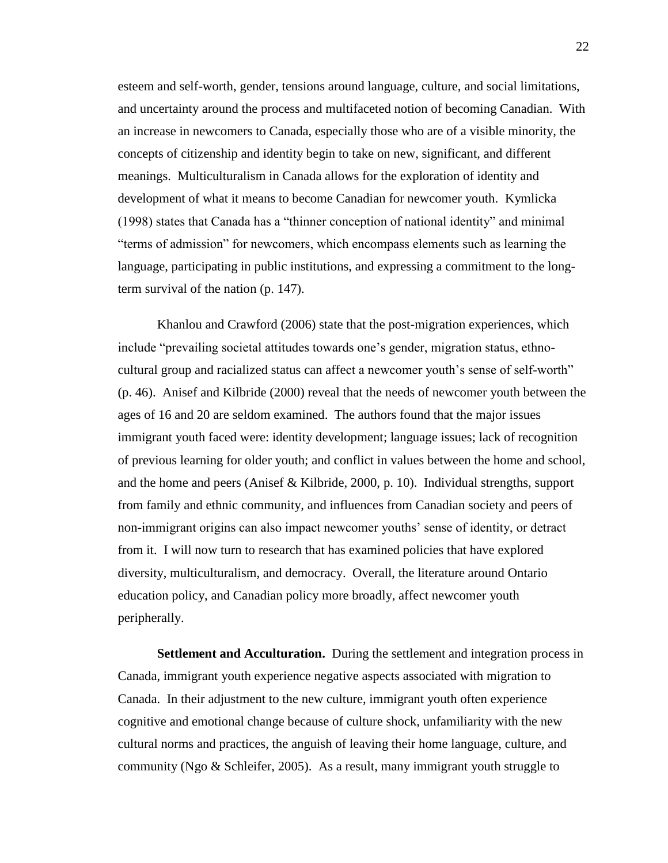esteem and self-worth, gender, tensions around language, culture, and social limitations, and uncertainty around the process and multifaceted notion of becoming Canadian. With an increase in newcomers to Canada, especially those who are of a visible minority, the concepts of citizenship and identity begin to take on new, significant, and different meanings. Multiculturalism in Canada allows for the exploration of identity and development of what it means to become Canadian for newcomer youth. Kymlicka (1998) states that Canada has a "thinner conception of national identity" and minimal "terms of admission" for newcomers, which encompass elements such as learning the language, participating in public institutions, and expressing a commitment to the longterm survival of the nation (p. 147).

Khanlou and Crawford (2006) state that the post-migration experiences, which include "prevailing societal attitudes towards one's gender, migration status, ethnocultural group and racialized status can affect a newcomer youth's sense of self-worth" (p. 46). Anisef and Kilbride (2000) reveal that the needs of newcomer youth between the ages of 16 and 20 are seldom examined. The authors found that the major issues immigrant youth faced were: identity development; language issues; lack of recognition of previous learning for older youth; and conflict in values between the home and school, and the home and peers (Anisef & Kilbride, 2000, p. 10). Individual strengths, support from family and ethnic community, and influences from Canadian society and peers of non-immigrant origins can also impact newcomer youths' sense of identity, or detract from it. I will now turn to research that has examined policies that have explored diversity, multiculturalism, and democracy. Overall, the literature around Ontario education policy, and Canadian policy more broadly, affect newcomer youth peripherally.

<span id="page-32-0"></span>**Settlement and Acculturation.** During the settlement and integration process in Canada, immigrant youth experience negative aspects associated with migration to Canada. In their adjustment to the new culture, immigrant youth often experience cognitive and emotional change because of culture shock, unfamiliarity with the new cultural norms and practices, the anguish of leaving their home language, culture, and community (Ngo & Schleifer, 2005). As a result, many immigrant youth struggle to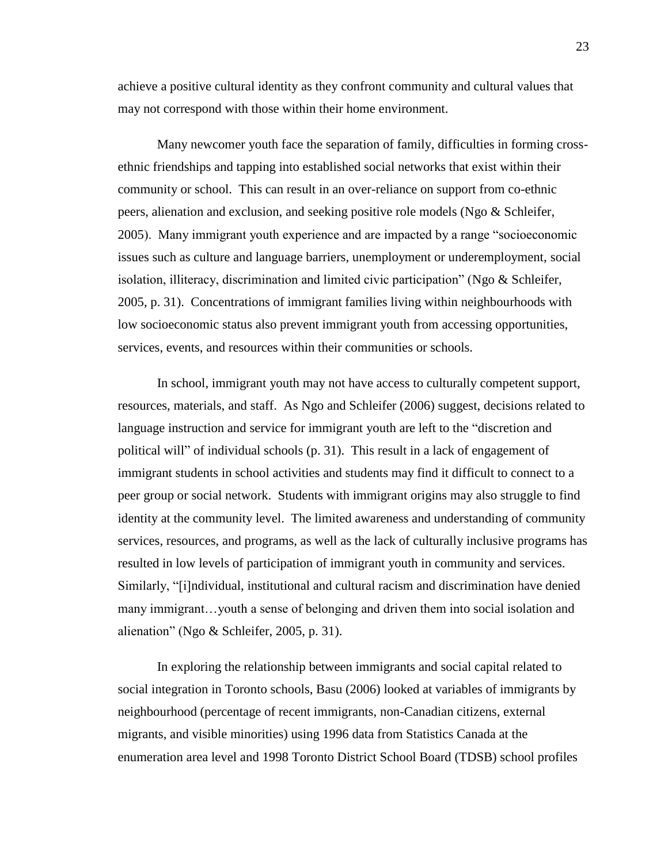achieve a positive cultural identity as they confront community and cultural values that may not correspond with those within their home environment.

Many newcomer youth face the separation of family, difficulties in forming crossethnic friendships and tapping into established social networks that exist within their community or school. This can result in an over-reliance on support from co-ethnic peers, alienation and exclusion, and seeking positive role models (Ngo & Schleifer, 2005). Many immigrant youth experience and are impacted by a range "socioeconomic issues such as culture and language barriers, unemployment or underemployment, social isolation, illiteracy, discrimination and limited civic participation" (Ngo & Schleifer, 2005, p. 31). Concentrations of immigrant families living within neighbourhoods with low socioeconomic status also prevent immigrant youth from accessing opportunities, services, events, and resources within their communities or schools.

In school, immigrant youth may not have access to culturally competent support, resources, materials, and staff. As Ngo and Schleifer (2006) suggest, decisions related to language instruction and service for immigrant youth are left to the "discretion and political will" of individual schools (p. 31). This result in a lack of engagement of immigrant students in school activities and students may find it difficult to connect to a peer group or social network. Students with immigrant origins may also struggle to find identity at the community level. The limited awareness and understanding of community services, resources, and programs, as well as the lack of culturally inclusive programs has resulted in low levels of participation of immigrant youth in community and services. Similarly, "[i]ndividual, institutional and cultural racism and discrimination have denied many immigrant…youth a sense of belonging and driven them into social isolation and alienation" (Ngo & Schleifer, 2005, p. 31).

In exploring the relationship between immigrants and social capital related to social integration in Toronto schools, Basu (2006) looked at variables of immigrants by neighbourhood (percentage of recent immigrants, non-Canadian citizens, external migrants, and visible minorities) using 1996 data from Statistics Canada at the enumeration area level and 1998 Toronto District School Board (TDSB) school profiles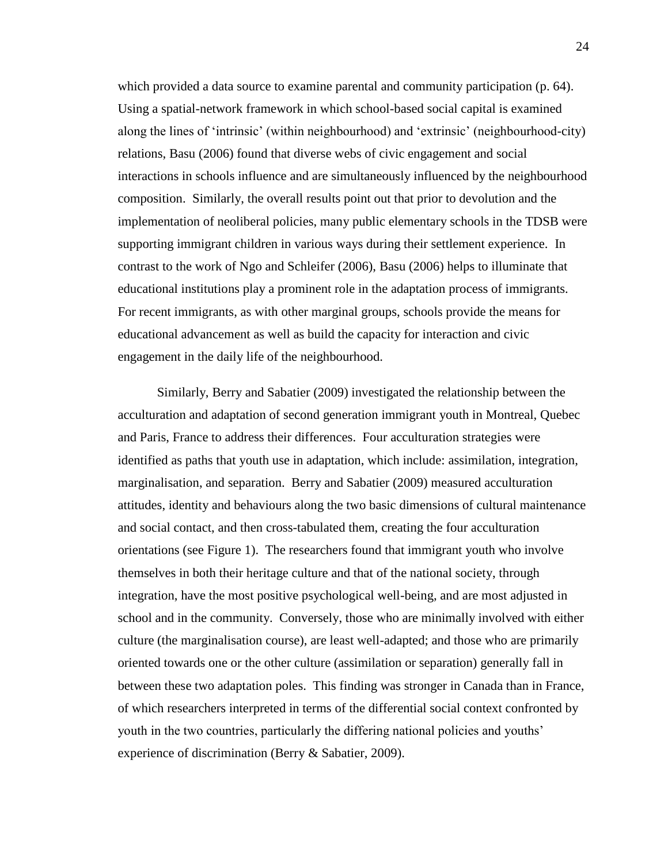which provided a data source to examine parental and community participation (p. 64). Using a spatial-network framework in which school-based social capital is examined along the lines of 'intrinsic' (within neighbourhood) and 'extrinsic' (neighbourhood-city) relations, Basu (2006) found that diverse webs of civic engagement and social interactions in schools influence and are simultaneously influenced by the neighbourhood composition. Similarly, the overall results point out that prior to devolution and the implementation of neoliberal policies, many public elementary schools in the TDSB were supporting immigrant children in various ways during their settlement experience. In contrast to the work of Ngo and Schleifer (2006), Basu (2006) helps to illuminate that educational institutions play a prominent role in the adaptation process of immigrants. For recent immigrants, as with other marginal groups, schools provide the means for educational advancement as well as build the capacity for interaction and civic engagement in the daily life of the neighbourhood.

Similarly, Berry and Sabatier (2009) investigated the relationship between the acculturation and adaptation of second generation immigrant youth in Montreal, Quebec and Paris, France to address their differences. Four acculturation strategies were identified as paths that youth use in adaptation, which include: assimilation, integration, marginalisation, and separation. Berry and Sabatier (2009) measured acculturation attitudes, identity and behaviours along the two basic dimensions of cultural maintenance and social contact, and then cross-tabulated them, creating the four acculturation orientations (see Figure 1). The researchers found that immigrant youth who involve themselves in both their heritage culture and that of the national society, through integration, have the most positive psychological well-being, and are most adjusted in school and in the community. Conversely, those who are minimally involved with either culture (the marginalisation course), are least well-adapted; and those who are primarily oriented towards one or the other culture (assimilation or separation) generally fall in between these two adaptation poles. This finding was stronger in Canada than in France, of which researchers interpreted in terms of the differential social context confronted by youth in the two countries, particularly the differing national policies and youths' experience of discrimination (Berry & Sabatier, 2009).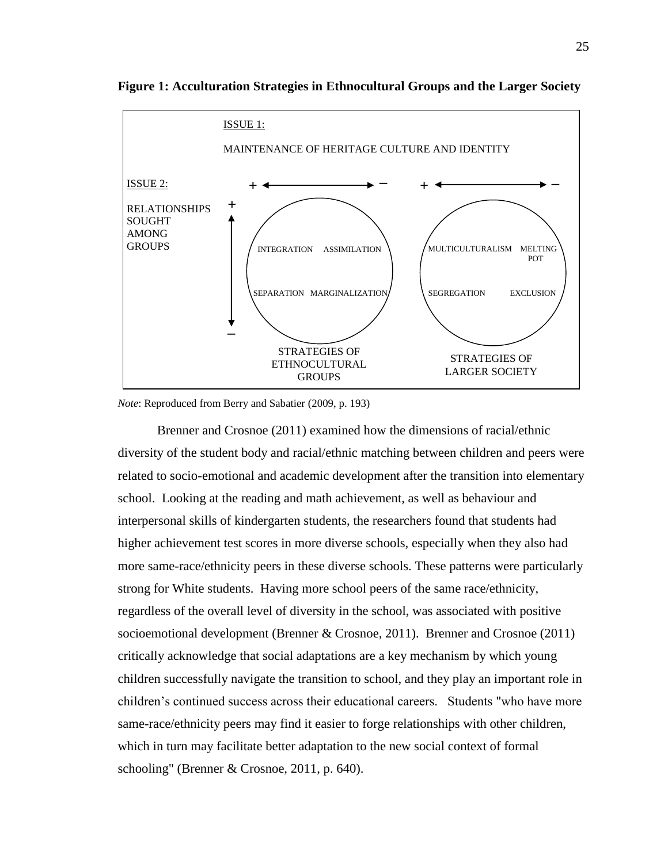

<span id="page-35-0"></span>**Figure 1: Acculturation Strategies in Ethnocultural Groups and the Larger Society**

*Note*: Reproduced from Berry and Sabatier (2009, p. 193)

Brenner and Crosnoe (2011) examined how the dimensions of racial/ethnic diversity of the student body and racial/ethnic matching between children and peers were related to socio-emotional and academic development after the transition into elementary school. Looking at the reading and math achievement, as well as behaviour and interpersonal skills of kindergarten students, the researchers found that students had higher achievement test scores in more diverse schools, especially when they also had more same-race/ethnicity peers in these diverse schools. These patterns were particularly strong for White students. Having more school peers of the same race/ethnicity, regardless of the overall level of diversity in the school, was associated with positive socioemotional development (Brenner & Crosnoe, 2011). Brenner and Crosnoe (2011) critically acknowledge that social adaptations are a key mechanism by which young children successfully navigate the transition to school, and they play an important role in children's continued success across their educational careers. Students "who have more same-race/ethnicity peers may find it easier to forge relationships with other children, which in turn may facilitate better adaptation to the new social context of formal schooling" (Brenner & Crosnoe, 2011, p. 640).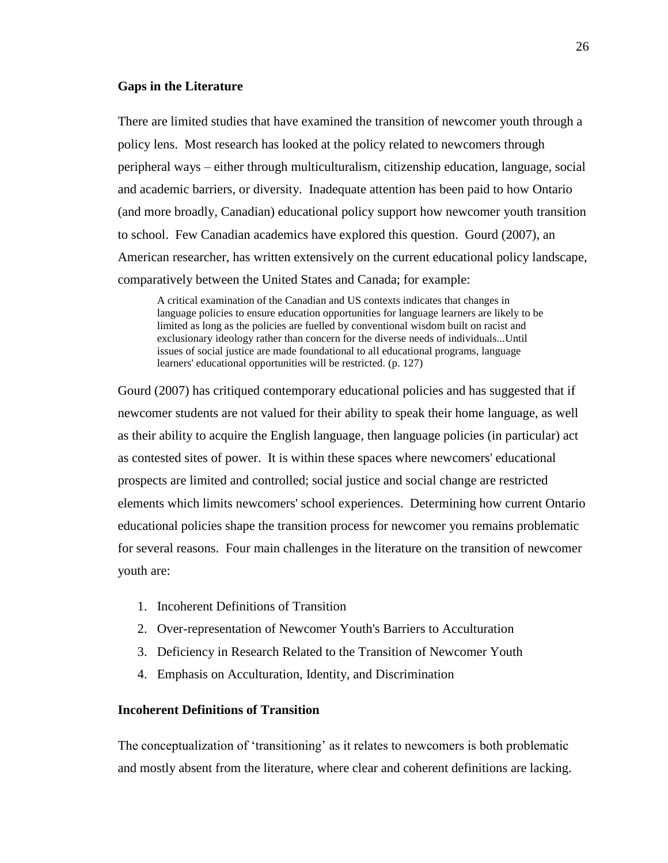### **Gaps in the Literature**

There are limited studies that have examined the transition of newcomer youth through a policy lens. Most research has looked at the policy related to newcomers through peripheral ways – either through multiculturalism, citizenship education, language, social and academic barriers, or diversity. Inadequate attention has been paid to how Ontario (and more broadly, Canadian) educational policy support how newcomer youth transition to school. Few Canadian academics have explored this question. Gourd (2007), an American researcher, has written extensively on the current educational policy landscape, comparatively between the United States and Canada; for example:

A critical examination of the Canadian and US contexts indicates that changes in language policies to ensure education opportunities for language learners are likely to be limited as long as the policies are fuelled by conventional wisdom built on racist and exclusionary ideology rather than concern for the diverse needs of individuals...Until issues of social justice are made foundational to all educational programs, language learners' educational opportunities will be restricted. (p. 127)

Gourd (2007) has critiqued contemporary educational policies and has suggested that if newcomer students are not valued for their ability to speak their home language, as well as their ability to acquire the English language, then language policies (in particular) act as contested sites of power. It is within these spaces where newcomers' educational prospects are limited and controlled; social justice and social change are restricted elements which limits newcomers' school experiences. Determining how current Ontario educational policies shape the transition process for newcomer you remains problematic for several reasons. Four main challenges in the literature on the transition of newcomer youth are:

- 1. Incoherent Definitions of Transition
- 2. Over-representation of Newcomer Youth's Barriers to Acculturation
- 3. Deficiency in Research Related to the Transition of Newcomer Youth
- 4. Emphasis on Acculturation, Identity, and Discrimination

# **Incoherent Definitions of Transition**

The conceptualization of 'transitioning' as it relates to newcomers is both problematic and mostly absent from the literature, where clear and coherent definitions are lacking.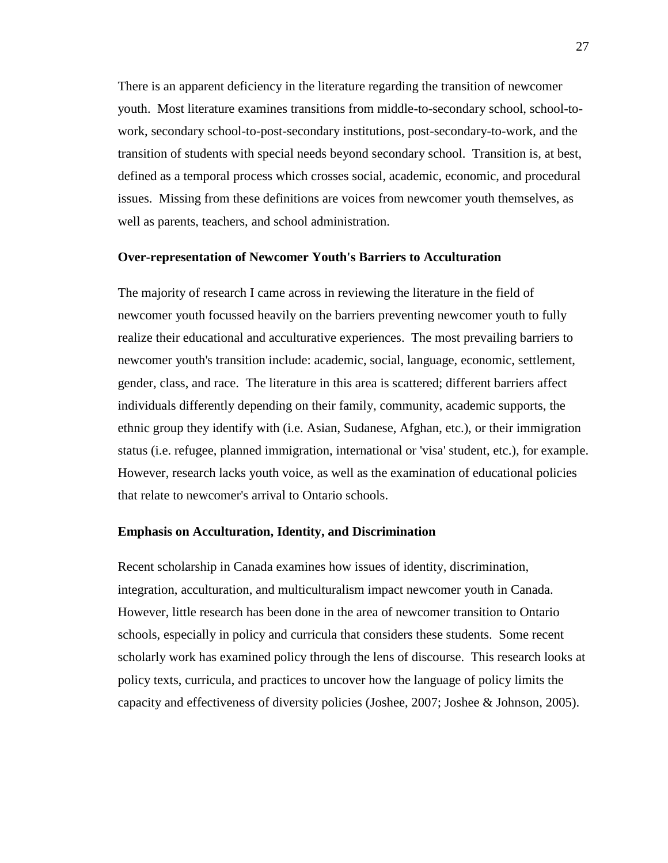There is an apparent deficiency in the literature regarding the transition of newcomer youth. Most literature examines transitions from middle-to-secondary school, school-towork, secondary school-to-post-secondary institutions, post-secondary-to-work, and the transition of students with special needs beyond secondary school. Transition is, at best, defined as a temporal process which crosses social, academic, economic, and procedural issues. Missing from these definitions are voices from newcomer youth themselves, as well as parents, teachers, and school administration.

# **Over-representation of Newcomer Youth's Barriers to Acculturation**

The majority of research I came across in reviewing the literature in the field of newcomer youth focussed heavily on the barriers preventing newcomer youth to fully realize their educational and acculturative experiences. The most prevailing barriers to newcomer youth's transition include: academic, social, language, economic, settlement, gender, class, and race. The literature in this area is scattered; different barriers affect individuals differently depending on their family, community, academic supports, the ethnic group they identify with (i.e. Asian, Sudanese, Afghan, etc.), or their immigration status (i.e. refugee, planned immigration, international or 'visa' student, etc.), for example. However, research lacks youth voice, as well as the examination of educational policies that relate to newcomer's arrival to Ontario schools.

#### **Emphasis on Acculturation, Identity, and Discrimination**

Recent scholarship in Canada examines how issues of identity, discrimination, integration, acculturation, and multiculturalism impact newcomer youth in Canada. However, little research has been done in the area of newcomer transition to Ontario schools, especially in policy and curricula that considers these students. Some recent scholarly work has examined policy through the lens of discourse. This research looks at policy texts, curricula, and practices to uncover how the language of policy limits the capacity and effectiveness of diversity policies (Joshee, 2007; Joshee & Johnson, 2005).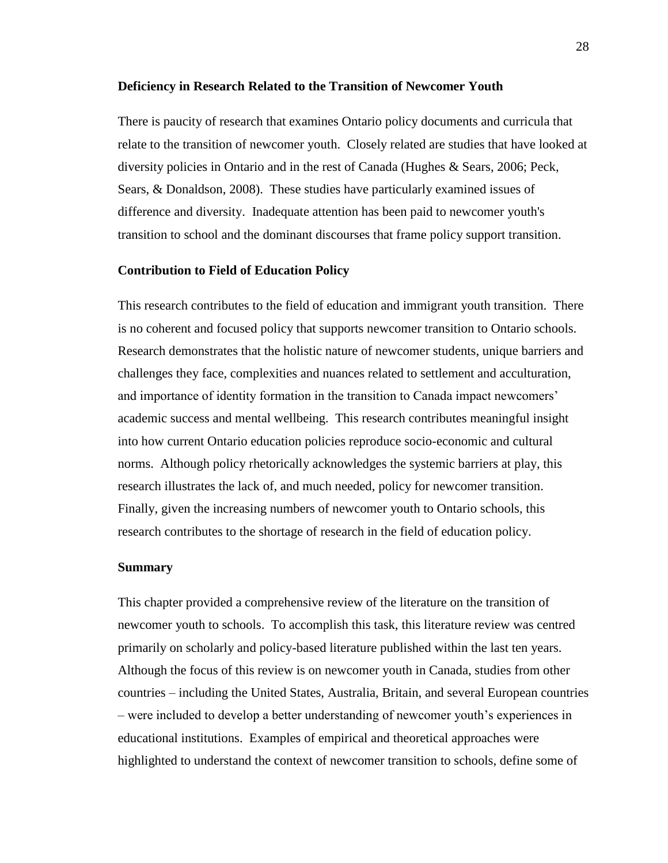#### **Deficiency in Research Related to the Transition of Newcomer Youth**

There is paucity of research that examines Ontario policy documents and curricula that relate to the transition of newcomer youth. Closely related are studies that have looked at diversity policies in Ontario and in the rest of Canada (Hughes & Sears, 2006; Peck, Sears, & Donaldson, 2008). These studies have particularly examined issues of difference and diversity. Inadequate attention has been paid to newcomer youth's transition to school and the dominant discourses that frame policy support transition.

## **Contribution to Field of Education Policy**

This research contributes to the field of education and immigrant youth transition. There is no coherent and focused policy that supports newcomer transition to Ontario schools. Research demonstrates that the holistic nature of newcomer students, unique barriers and challenges they face, complexities and nuances related to settlement and acculturation, and importance of identity formation in the transition to Canada impact newcomers' academic success and mental wellbeing. This research contributes meaningful insight into how current Ontario education policies reproduce socio-economic and cultural norms. Although policy rhetorically acknowledges the systemic barriers at play, this research illustrates the lack of, and much needed, policy for newcomer transition. Finally, given the increasing numbers of newcomer youth to Ontario schools, this research contributes to the shortage of research in the field of education policy.

#### **Summary**

This chapter provided a comprehensive review of the literature on the transition of newcomer youth to schools. To accomplish this task, this literature review was centred primarily on scholarly and policy-based literature published within the last ten years. Although the focus of this review is on newcomer youth in Canada, studies from other countries – including the United States, Australia, Britain, and several European countries – were included to develop a better understanding of newcomer youth's experiences in educational institutions. Examples of empirical and theoretical approaches were highlighted to understand the context of newcomer transition to schools, define some of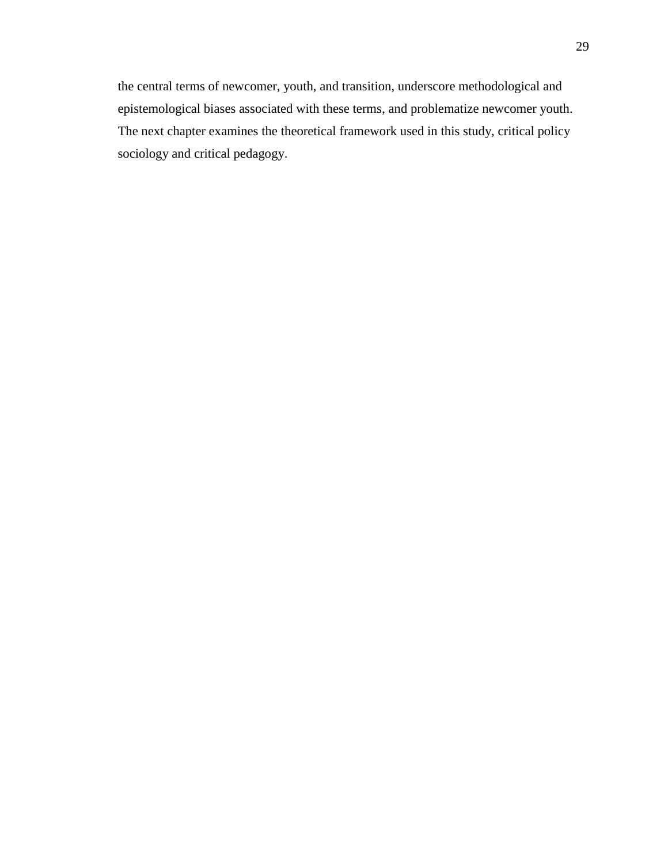the central terms of newcomer, youth, and transition, underscore methodological and epistemological biases associated with these terms, and problematize newcomer youth. The next chapter examines the theoretical framework used in this study, critical policy sociology and critical pedagogy.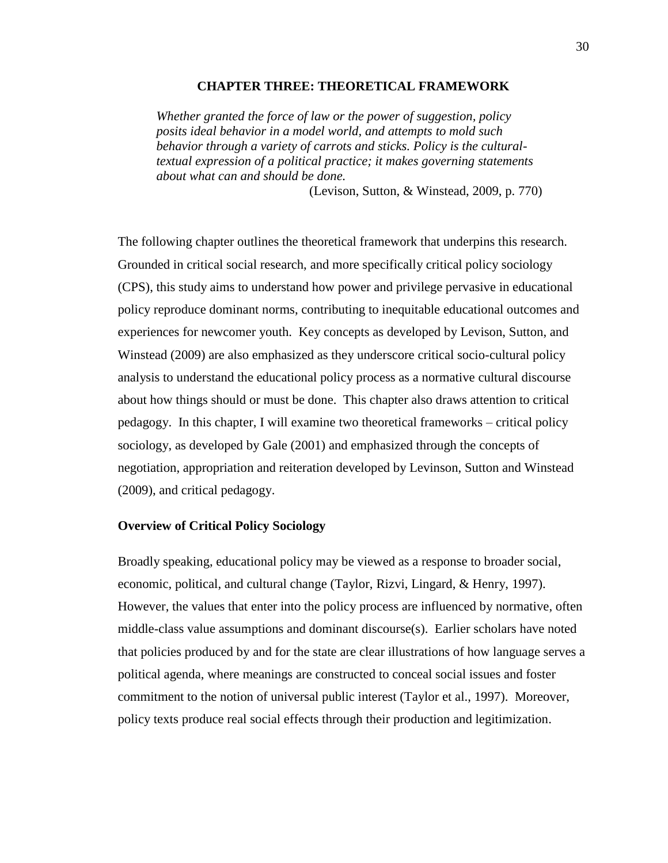#### **CHAPTER THREE: THEORETICAL FRAMEWORK**

*Whether granted the force of law or the power of suggestion, policy posits ideal behavior in a model world, and attempts to mold such behavior through a variety of carrots and sticks. Policy is the culturaltextual expression of a political practice; it makes governing statements about what can and should be done.*

(Levison, Sutton, & Winstead, 2009, p. 770)

The following chapter outlines the theoretical framework that underpins this research. Grounded in critical social research, and more specifically critical policy sociology (CPS), this study aims to understand how power and privilege pervasive in educational policy reproduce dominant norms, contributing to inequitable educational outcomes and experiences for newcomer youth. Key concepts as developed by Levison, Sutton, and Winstead (2009) are also emphasized as they underscore critical socio-cultural policy analysis to understand the educational policy process as a normative cultural discourse about how things should or must be done. This chapter also draws attention to critical pedagogy. In this chapter, I will examine two theoretical frameworks – critical policy sociology, as developed by Gale (2001) and emphasized through the concepts of negotiation, appropriation and reiteration developed by Levinson, Sutton and Winstead (2009), and critical pedagogy.

# **Overview of Critical Policy Sociology**

Broadly speaking, educational policy may be viewed as a response to broader social, economic, political, and cultural change (Taylor, Rizvi, Lingard, & Henry, 1997). However, the values that enter into the policy process are influenced by normative, often middle-class value assumptions and dominant discourse(s). Earlier scholars have noted that policies produced by and for the state are clear illustrations of how language serves a political agenda, where meanings are constructed to conceal social issues and foster commitment to the notion of universal public interest (Taylor et al., 1997). Moreover, policy texts produce real social effects through their production and legitimization.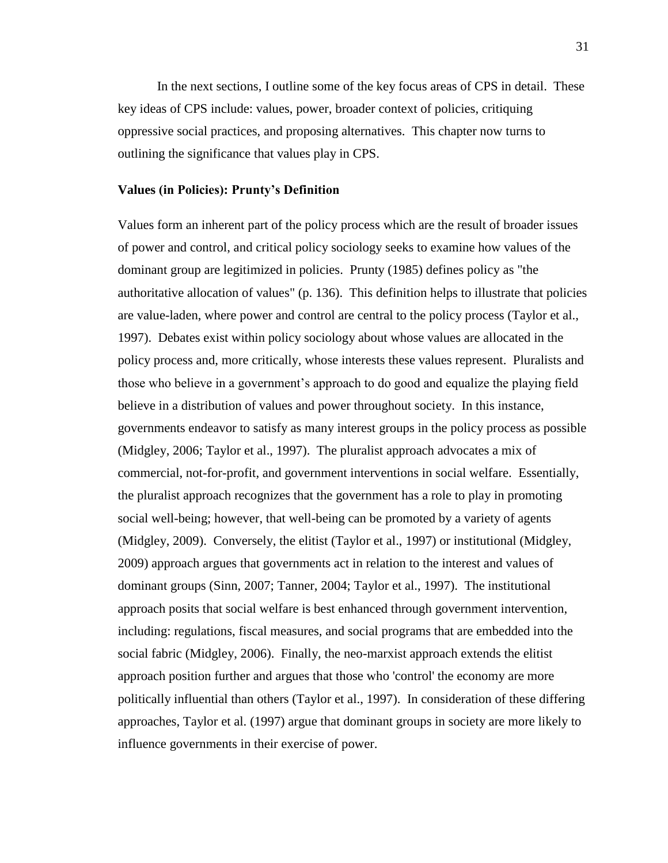In the next sections, I outline some of the key focus areas of CPS in detail. These key ideas of CPS include: values, power, broader context of policies, critiquing oppressive social practices, and proposing alternatives. This chapter now turns to outlining the significance that values play in CPS.

## **Values (in Policies): Prunty's Definition**

Values form an inherent part of the policy process which are the result of broader issues of power and control, and critical policy sociology seeks to examine how values of the dominant group are legitimized in policies. Prunty (1985) defines policy as "the authoritative allocation of values" (p. 136). This definition helps to illustrate that policies are value-laden, where power and control are central to the policy process (Taylor et al., 1997). Debates exist within policy sociology about whose values are allocated in the policy process and, more critically, whose interests these values represent. Pluralists and those who believe in a government's approach to do good and equalize the playing field believe in a distribution of values and power throughout society. In this instance, governments endeavor to satisfy as many interest groups in the policy process as possible (Midgley, 2006; Taylor et al., 1997). The pluralist approach advocates a mix of commercial, not-for-profit, and government interventions in social welfare. Essentially, the pluralist approach recognizes that the government has a role to play in promoting social well-being; however, that well-being can be promoted by a variety of agents (Midgley, 2009). Conversely, the elitist (Taylor et al., 1997) or institutional (Midgley, 2009) approach argues that governments act in relation to the interest and values of dominant groups (Sinn, 2007; Tanner, 2004; Taylor et al., 1997). The institutional approach posits that social welfare is best enhanced through government intervention, including: regulations, fiscal measures, and social programs that are embedded into the social fabric (Midgley, 2006). Finally, the neo-marxist approach extends the elitist approach position further and argues that those who 'control' the economy are more politically influential than others (Taylor et al., 1997). In consideration of these differing approaches, Taylor et al. (1997) argue that dominant groups in society are more likely to influence governments in their exercise of power.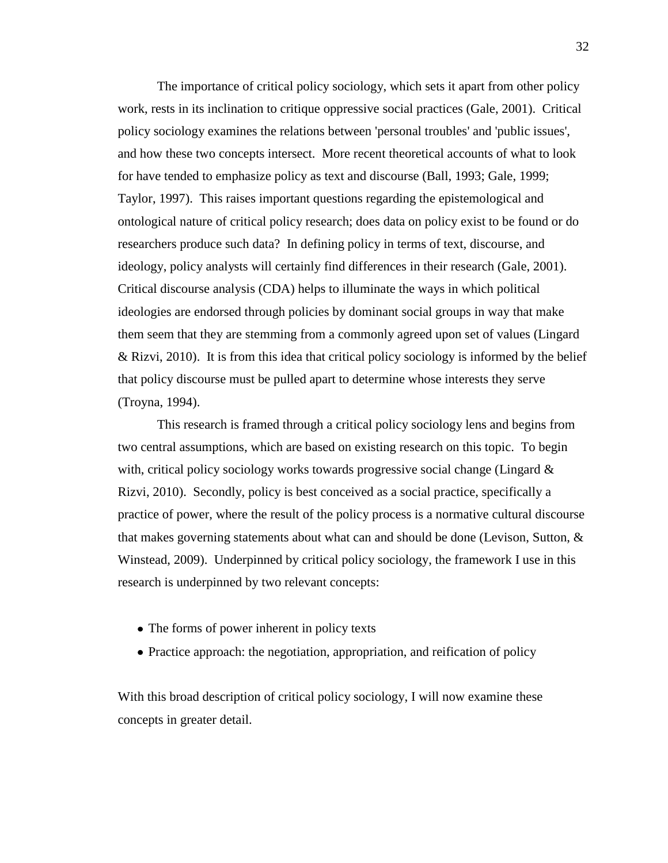The importance of critical policy sociology, which sets it apart from other policy work, rests in its inclination to critique oppressive social practices (Gale, 2001). Critical policy sociology examines the relations between 'personal troubles' and 'public issues', and how these two concepts intersect. More recent theoretical accounts of what to look for have tended to emphasize policy as text and discourse (Ball, 1993; Gale, 1999; Taylor, 1997). This raises important questions regarding the epistemological and ontological nature of critical policy research; does data on policy exist to be found or do researchers produce such data? In defining policy in terms of text, discourse, and ideology, policy analysts will certainly find differences in their research (Gale, 2001). Critical discourse analysis (CDA) helps to illuminate the ways in which political ideologies are endorsed through policies by dominant social groups in way that make them seem that they are stemming from a commonly agreed upon set of values (Lingard & Rizvi, 2010). It is from this idea that critical policy sociology is informed by the belief that policy discourse must be pulled apart to determine whose interests they serve (Troyna, 1994).

This research is framed through a critical policy sociology lens and begins from two central assumptions, which are based on existing research on this topic. To begin with, critical policy sociology works towards progressive social change (Lingard & Rizvi, 2010). Secondly, policy is best conceived as a social practice, specifically a practice of power, where the result of the policy process is a normative cultural discourse that makes governing statements about what can and should be done (Levison, Sutton, & Winstead, 2009). Underpinned by critical policy sociology, the framework I use in this research is underpinned by two relevant concepts:

- The forms of power inherent in policy texts
- Practice approach: the negotiation, appropriation, and reification of policy

With this broad description of critical policy sociology, I will now examine these concepts in greater detail.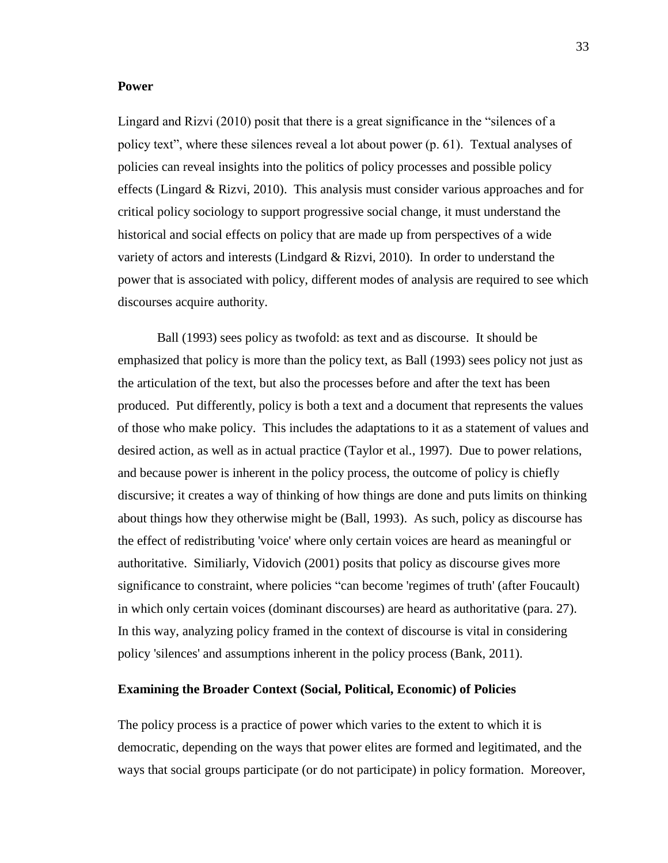# **Power**

Lingard and Rizvi (2010) posit that there is a great significance in the "silences of a policy text", where these silences reveal a lot about power (p. 61). Textual analyses of policies can reveal insights into the politics of policy processes and possible policy effects (Lingard & Rizvi, 2010). This analysis must consider various approaches and for critical policy sociology to support progressive social change, it must understand the historical and social effects on policy that are made up from perspectives of a wide variety of actors and interests (Lindgard & Rizvi, 2010). In order to understand the power that is associated with policy, different modes of analysis are required to see which discourses acquire authority.

Ball (1993) sees policy as twofold: as text and as discourse. It should be emphasized that policy is more than the policy text, as Ball (1993) sees policy not just as the articulation of the text, but also the processes before and after the text has been produced. Put differently, policy is both a text and a document that represents the values of those who make policy. This includes the adaptations to it as a statement of values and desired action, as well as in actual practice (Taylor et al., 1997). Due to power relations, and because power is inherent in the policy process, the outcome of policy is chiefly discursive; it creates a way of thinking of how things are done and puts limits on thinking about things how they otherwise might be (Ball, 1993). As such, policy as discourse has the effect of redistributing 'voice' where only certain voices are heard as meaningful or authoritative. Similiarly, Vidovich (2001) posits that policy as discourse gives more significance to constraint, where policies "can become 'regimes of truth' (after Foucault) in which only certain voices (dominant discourses) are heard as authoritative (para. 27). In this way, analyzing policy framed in the context of discourse is vital in considering policy 'silences' and assumptions inherent in the policy process (Bank, 2011).

# **Examining the Broader Context (Social, Political, Economic) of Policies**

The policy process is a practice of power which varies to the extent to which it is democratic, depending on the ways that power elites are formed and legitimated, and the ways that social groups participate (or do not participate) in policy formation. Moreover,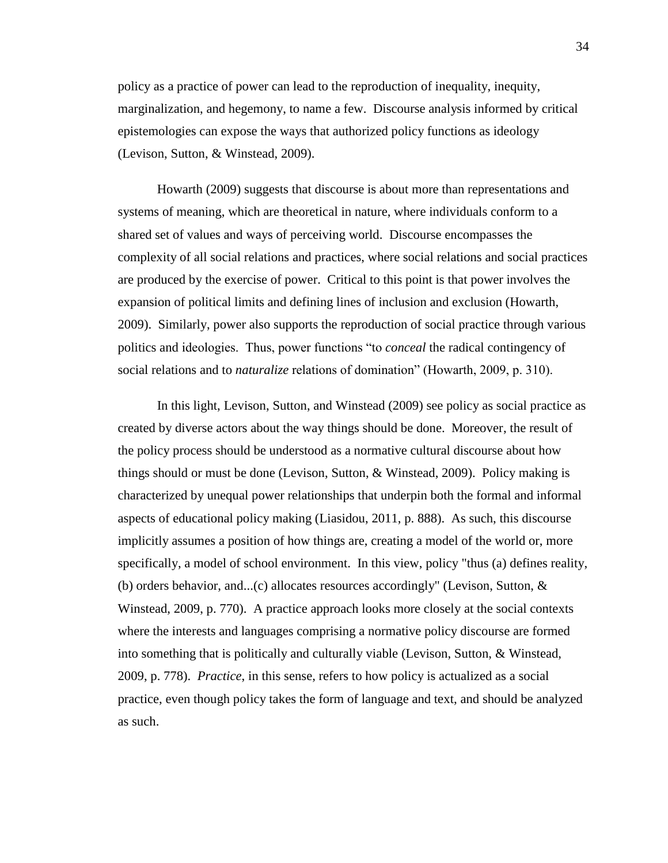policy as a practice of power can lead to the reproduction of inequality, inequity, marginalization, and hegemony, to name a few. Discourse analysis informed by critical epistemologies can expose the ways that authorized policy functions as ideology (Levison, Sutton, & Winstead, 2009).

Howarth (2009) suggests that discourse is about more than representations and systems of meaning, which are theoretical in nature, where individuals conform to a shared set of values and ways of perceiving world. Discourse encompasses the complexity of all social relations and practices, where social relations and social practices are produced by the exercise of power. Critical to this point is that power involves the expansion of political limits and defining lines of inclusion and exclusion (Howarth, 2009). Similarly, power also supports the reproduction of social practice through various politics and ideologies. Thus, power functions "to *conceal* the radical contingency of social relations and to *naturalize* relations of domination" (Howarth, 2009, p. 310).

In this light, Levison, Sutton, and Winstead (2009) see policy as social practice as created by diverse actors about the way things should be done. Moreover, the result of the policy process should be understood as a normative cultural discourse about how things should or must be done (Levison, Sutton, & Winstead, 2009). Policy making is characterized by unequal power relationships that underpin both the formal and informal aspects of educational policy making (Liasidou, 2011, p. 888). As such, this discourse implicitly assumes a position of how things are, creating a model of the world or, more specifically, a model of school environment. In this view, policy "thus (a) defines reality, (b) orders behavior, and...(c) allocates resources accordingly" (Levison, Sutton, & Winstead, 2009, p. 770). A practice approach looks more closely at the social contexts where the interests and languages comprising a normative policy discourse are formed into something that is politically and culturally viable (Levison, Sutton, & Winstead, 2009, p. 778). *Practice*, in this sense, refers to how policy is actualized as a social practice, even though policy takes the form of language and text, and should be analyzed as such.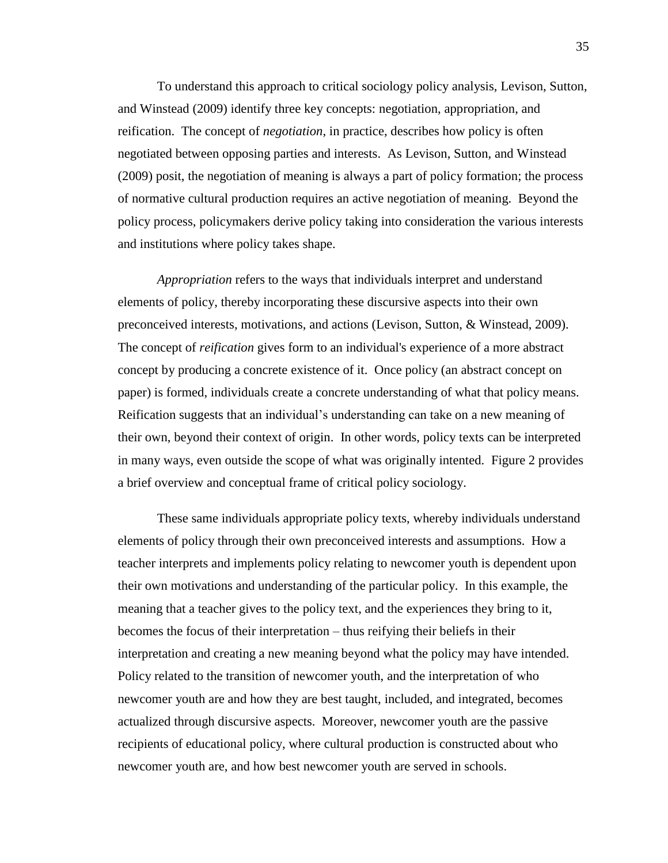To understand this approach to critical sociology policy analysis, Levison, Sutton, and Winstead (2009) identify three key concepts: negotiation, appropriation, and reification. The concept of *negotiation*, in practice, describes how policy is often negotiated between opposing parties and interests. As Levison, Sutton, and Winstead (2009) posit, the negotiation of meaning is always a part of policy formation; the process of normative cultural production requires an active negotiation of meaning. Beyond the policy process, policymakers derive policy taking into consideration the various interests and institutions where policy takes shape.

*Appropriation* refers to the ways that individuals interpret and understand elements of policy, thereby incorporating these discursive aspects into their own preconceived interests, motivations, and actions (Levison, Sutton, & Winstead, 2009). The concept of *reification* gives form to an individual's experience of a more abstract concept by producing a concrete existence of it. Once policy (an abstract concept on paper) is formed, individuals create a concrete understanding of what that policy means. Reification suggests that an individual's understanding can take on a new meaning of their own, beyond their context of origin. In other words, policy texts can be interpreted in many ways, even outside the scope of what was originally intented. Figure 2 provides a brief overview and conceptual frame of critical policy sociology.

These same individuals appropriate policy texts, whereby individuals understand elements of policy through their own preconceived interests and assumptions. How a teacher interprets and implements policy relating to newcomer youth is dependent upon their own motivations and understanding of the particular policy. In this example, the meaning that a teacher gives to the policy text, and the experiences they bring to it, becomes the focus of their interpretation – thus reifying their beliefs in their interpretation and creating a new meaning beyond what the policy may have intended. Policy related to the transition of newcomer youth, and the interpretation of who newcomer youth are and how they are best taught, included, and integrated, becomes actualized through discursive aspects. Moreover, newcomer youth are the passive recipients of educational policy, where cultural production is constructed about who newcomer youth are, and how best newcomer youth are served in schools.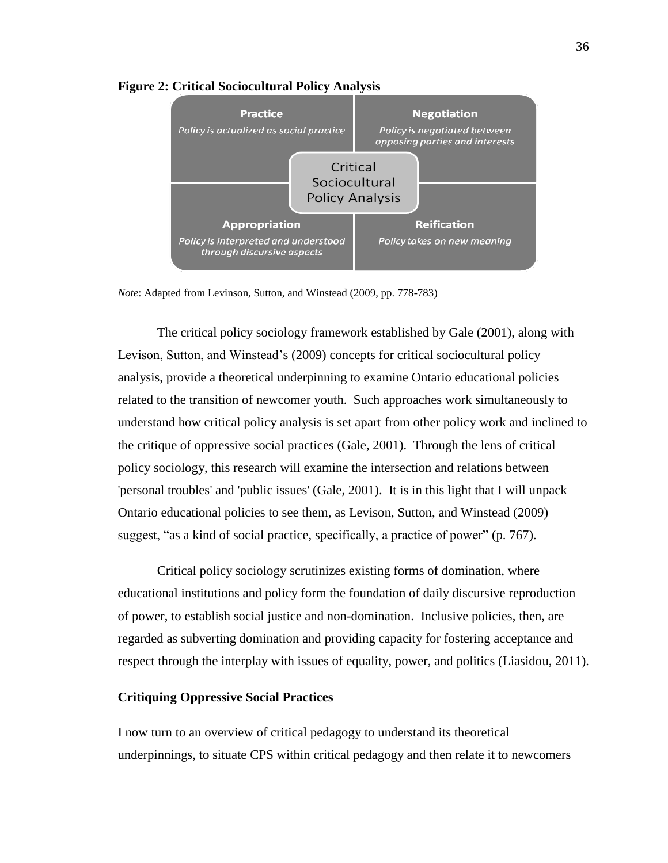

#### **Figure 2: Critical Sociocultural Policy Analysis**

*Note*: Adapted from Levinson, Sutton, and Winstead (2009, pp. 778-783)

The critical policy sociology framework established by Gale (2001), along with Levison, Sutton, and Winstead's (2009) concepts for critical sociocultural policy analysis, provide a theoretical underpinning to examine Ontario educational policies related to the transition of newcomer youth. Such approaches work simultaneously to understand how critical policy analysis is set apart from other policy work and inclined to the critique of oppressive social practices (Gale, 2001). Through the lens of critical policy sociology, this research will examine the intersection and relations between 'personal troubles' and 'public issues' (Gale, 2001). It is in this light that I will unpack Ontario educational policies to see them, as Levison, Sutton, and Winstead (2009) suggest, "as a kind of social practice, specifically, a practice of power" (p. 767).

Critical policy sociology scrutinizes existing forms of domination, where educational institutions and policy form the foundation of daily discursive reproduction of power, to establish social justice and non-domination. Inclusive policies, then, are regarded as subverting domination and providing capacity for fostering acceptance and respect through the interplay with issues of equality, power, and politics (Liasidou, 2011).

# **Critiquing Oppressive Social Practices**

I now turn to an overview of critical pedagogy to understand its theoretical underpinnings, to situate CPS within critical pedagogy and then relate it to newcomers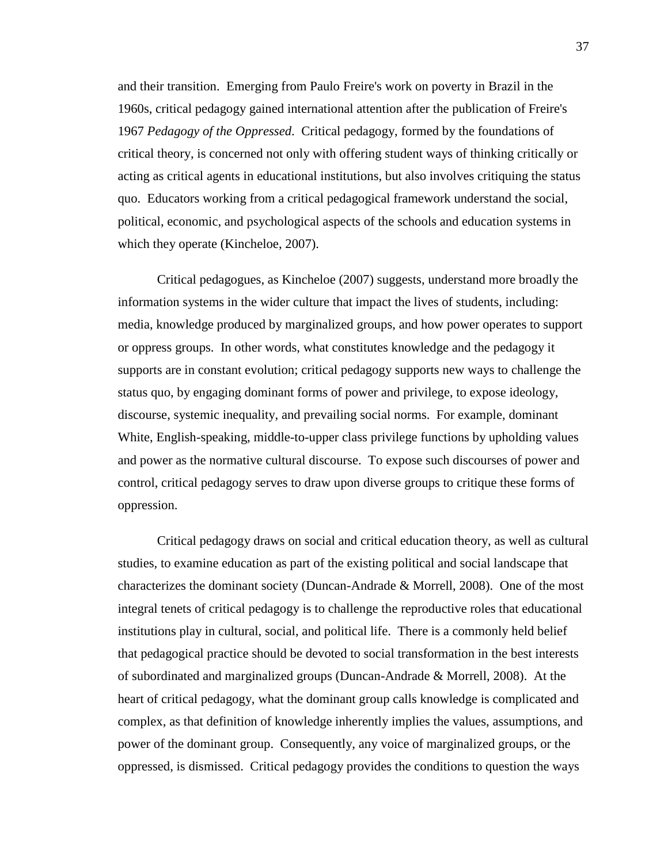and their transition. Emerging from Paulo Freire's work on poverty in Brazil in the 1960s, critical pedagogy gained international attention after the publication of Freire's 1967 *Pedagogy of the Oppressed*. Critical pedagogy, formed by the foundations of critical theory, is concerned not only with offering student ways of thinking critically or acting as critical agents in educational institutions, but also involves critiquing the status quo. Educators working from a critical pedagogical framework understand the social, political, economic, and psychological aspects of the schools and education systems in which they operate (Kincheloe, 2007).

Critical pedagogues, as Kincheloe (2007) suggests, understand more broadly the information systems in the wider culture that impact the lives of students, including: media, knowledge produced by marginalized groups, and how power operates to support or oppress groups. In other words, what constitutes knowledge and the pedagogy it supports are in constant evolution; critical pedagogy supports new ways to challenge the status quo, by engaging dominant forms of power and privilege, to expose ideology, discourse, systemic inequality, and prevailing social norms. For example, dominant White, English-speaking, middle-to-upper class privilege functions by upholding values and power as the normative cultural discourse. To expose such discourses of power and control, critical pedagogy serves to draw upon diverse groups to critique these forms of oppression.

Critical pedagogy draws on social and critical education theory, as well as cultural studies, to examine education as part of the existing political and social landscape that characterizes the dominant society (Duncan-Andrade & Morrell, 2008). One of the most integral tenets of critical pedagogy is to challenge the reproductive roles that educational institutions play in cultural, social, and political life. There is a commonly held belief that pedagogical practice should be devoted to social transformation in the best interests of subordinated and marginalized groups (Duncan-Andrade & Morrell, 2008). At the heart of critical pedagogy, what the dominant group calls knowledge is complicated and complex, as that definition of knowledge inherently implies the values, assumptions, and power of the dominant group. Consequently, any voice of marginalized groups, or the oppressed, is dismissed. Critical pedagogy provides the conditions to question the ways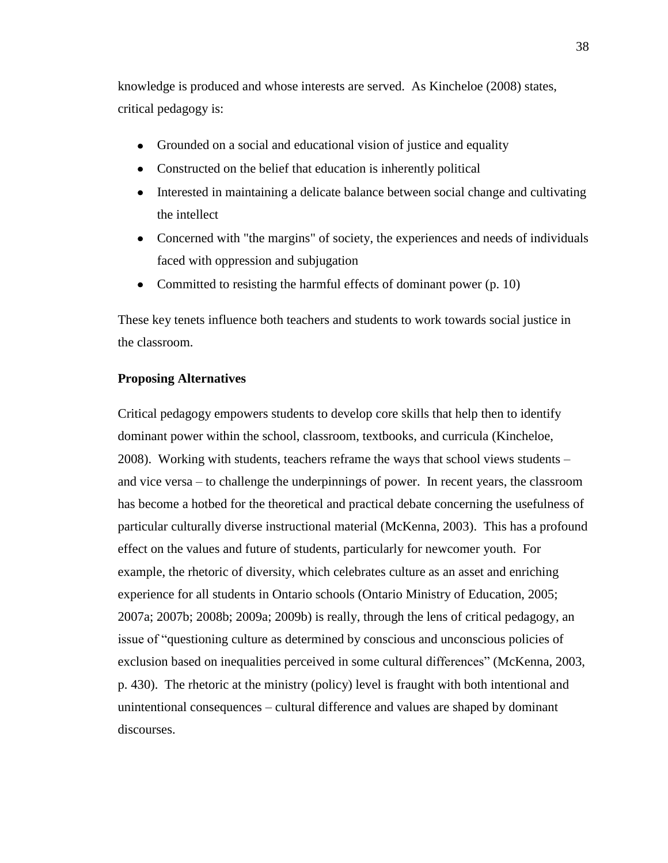knowledge is produced and whose interests are served. As Kincheloe (2008) states, critical pedagogy is:

- Grounded on a social and educational vision of justice and equality  $\bullet$
- Constructed on the belief that education is inherently political
- Interested in maintaining a delicate balance between social change and cultivating  $\bullet$ the intellect
- Concerned with "the margins" of society, the experiences and needs of individuals  $\bullet$ faced with oppression and subjugation
- Committed to resisting the harmful effects of dominant power (p. 10)  $\bullet$

These key tenets influence both teachers and students to work towards social justice in the classroom.

# **Proposing Alternatives**

Critical pedagogy empowers students to develop core skills that help then to identify dominant power within the school, classroom, textbooks, and curricula (Kincheloe, 2008). Working with students, teachers reframe the ways that school views students – and vice versa – to challenge the underpinnings of power. In recent years, the classroom has become a hotbed for the theoretical and practical debate concerning the usefulness of particular culturally diverse instructional material (McKenna, 2003). This has a profound effect on the values and future of students, particularly for newcomer youth. For example, the rhetoric of diversity, which celebrates culture as an asset and enriching experience for all students in Ontario schools (Ontario Ministry of Education, 2005; 2007a; 2007b; 2008b; 2009a; 2009b) is really, through the lens of critical pedagogy, an issue of "questioning culture as determined by conscious and unconscious policies of exclusion based on inequalities perceived in some cultural differences" (McKenna, 2003, p. 430). The rhetoric at the ministry (policy) level is fraught with both intentional and unintentional consequences – cultural difference and values are shaped by dominant discourses.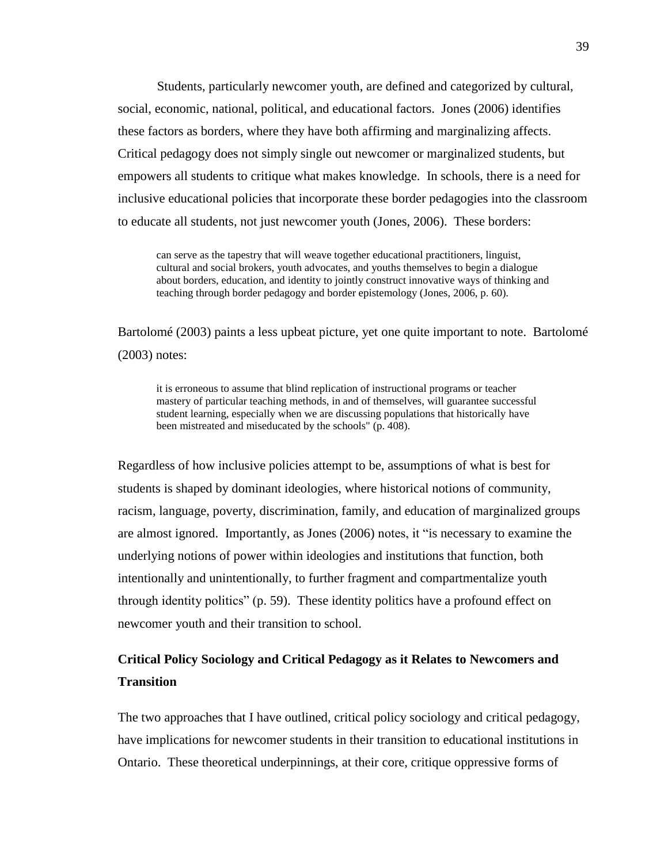Students, particularly newcomer youth, are defined and categorized by cultural, social, economic, national, political, and educational factors. Jones (2006) identifies these factors as borders, where they have both affirming and marginalizing affects. Critical pedagogy does not simply single out newcomer or marginalized students, but empowers all students to critique what makes knowledge. In schools, there is a need for inclusive educational policies that incorporate these border pedagogies into the classroom to educate all students, not just newcomer youth (Jones, 2006). These borders:

can serve as the tapestry that will weave together educational practitioners, linguist, cultural and social brokers, youth advocates, and youths themselves to begin a dialogue about borders, education, and identity to jointly construct innovative ways of thinking and teaching through border pedagogy and border epistemology (Jones, 2006, p. 60).

Bartolomé (2003) paints a less upbeat picture, yet one quite important to note. Bartolomé (2003) notes:

it is erroneous to assume that blind replication of instructional programs or teacher mastery of particular teaching methods, in and of themselves, will guarantee successful student learning, especially when we are discussing populations that historically have been mistreated and miseducated by the schools" (p. 408).

Regardless of how inclusive policies attempt to be, assumptions of what is best for students is shaped by dominant ideologies, where historical notions of community, racism, language, poverty, discrimination, family, and education of marginalized groups are almost ignored. Importantly, as Jones (2006) notes, it "is necessary to examine the underlying notions of power within ideologies and institutions that function, both intentionally and unintentionally, to further fragment and compartmentalize youth through identity politics" (p. 59). These identity politics have a profound effect on newcomer youth and their transition to school.

# **Critical Policy Sociology and Critical Pedagogy as it Relates to Newcomers and Transition**

The two approaches that I have outlined, critical policy sociology and critical pedagogy, have implications for newcomer students in their transition to educational institutions in Ontario. These theoretical underpinnings, at their core, critique oppressive forms of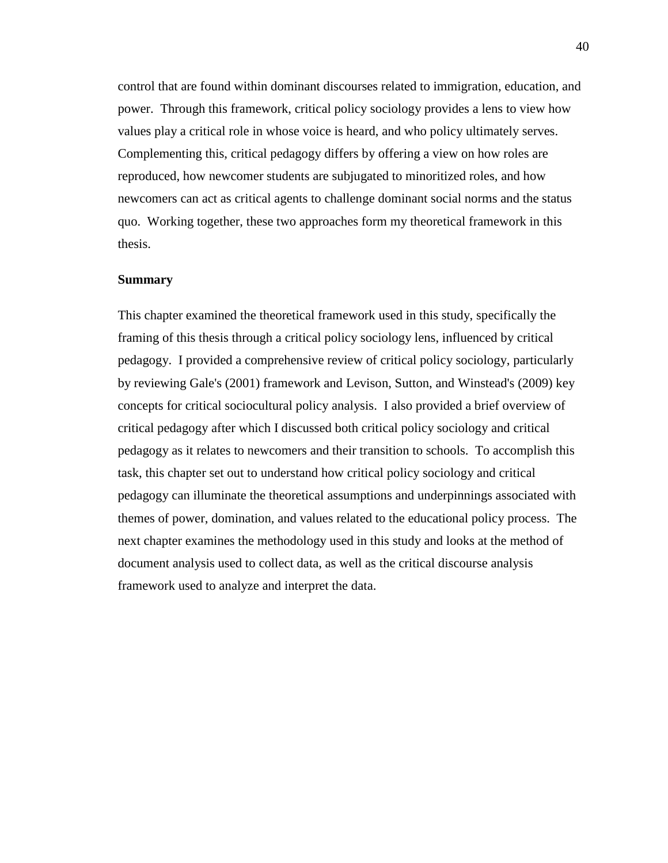control that are found within dominant discourses related to immigration, education, and power. Through this framework, critical policy sociology provides a lens to view how values play a critical role in whose voice is heard, and who policy ultimately serves. Complementing this, critical pedagogy differs by offering a view on how roles are reproduced, how newcomer students are subjugated to minoritized roles, and how newcomers can act as critical agents to challenge dominant social norms and the status quo. Working together, these two approaches form my theoretical framework in this thesis.

#### **Summary**

This chapter examined the theoretical framework used in this study, specifically the framing of this thesis through a critical policy sociology lens, influenced by critical pedagogy. I provided a comprehensive review of critical policy sociology, particularly by reviewing Gale's (2001) framework and Levison, Sutton, and Winstead's (2009) key concepts for critical sociocultural policy analysis. I also provided a brief overview of critical pedagogy after which I discussed both critical policy sociology and critical pedagogy as it relates to newcomers and their transition to schools. To accomplish this task, this chapter set out to understand how critical policy sociology and critical pedagogy can illuminate the theoretical assumptions and underpinnings associated with themes of power, domination, and values related to the educational policy process. The next chapter examines the methodology used in this study and looks at the method of document analysis used to collect data, as well as the critical discourse analysis framework used to analyze and interpret the data.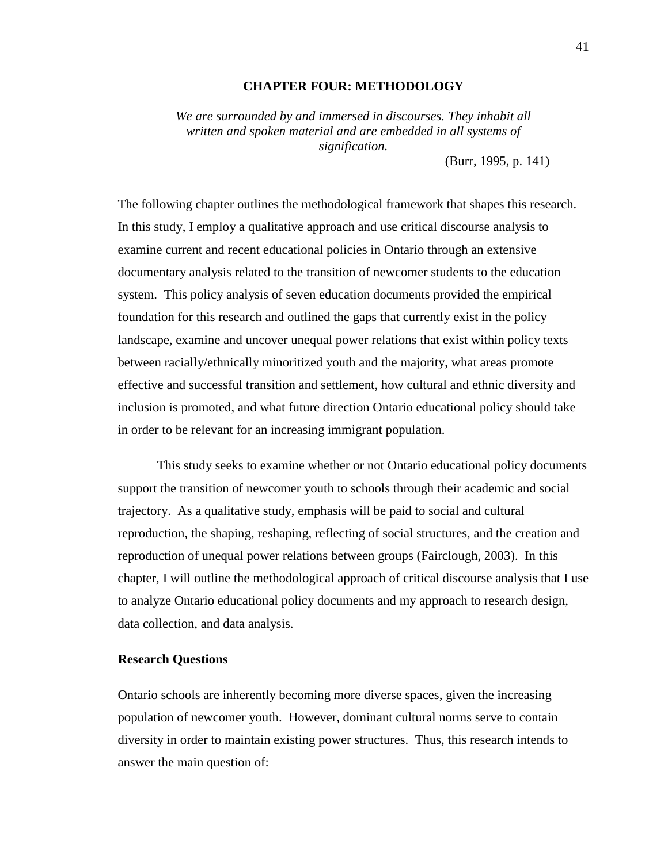# **CHAPTER FOUR: METHODOLOGY**

*We are surrounded by and immersed in discourses. They inhabit all written and spoken material and are embedded in all systems of signification.*

(Burr, 1995, p. 141)

The following chapter outlines the methodological framework that shapes this research. In this study, I employ a qualitative approach and use critical discourse analysis to examine current and recent educational policies in Ontario through an extensive documentary analysis related to the transition of newcomer students to the education system. This policy analysis of seven education documents provided the empirical foundation for this research and outlined the gaps that currently exist in the policy landscape, examine and uncover unequal power relations that exist within policy texts between racially/ethnically minoritized youth and the majority, what areas promote effective and successful transition and settlement, how cultural and ethnic diversity and inclusion is promoted, and what future direction Ontario educational policy should take in order to be relevant for an increasing immigrant population.

This study seeks to examine whether or not Ontario educational policy documents support the transition of newcomer youth to schools through their academic and social trajectory. As a qualitative study, emphasis will be paid to social and cultural reproduction, the shaping, reshaping, reflecting of social structures, and the creation and reproduction of unequal power relations between groups (Fairclough, 2003). In this chapter, I will outline the methodological approach of critical discourse analysis that I use to analyze Ontario educational policy documents and my approach to research design, data collection, and data analysis.

## **Research Questions**

Ontario schools are inherently becoming more diverse spaces, given the increasing population of newcomer youth. However, dominant cultural norms serve to contain diversity in order to maintain existing power structures. Thus, this research intends to answer the main question of: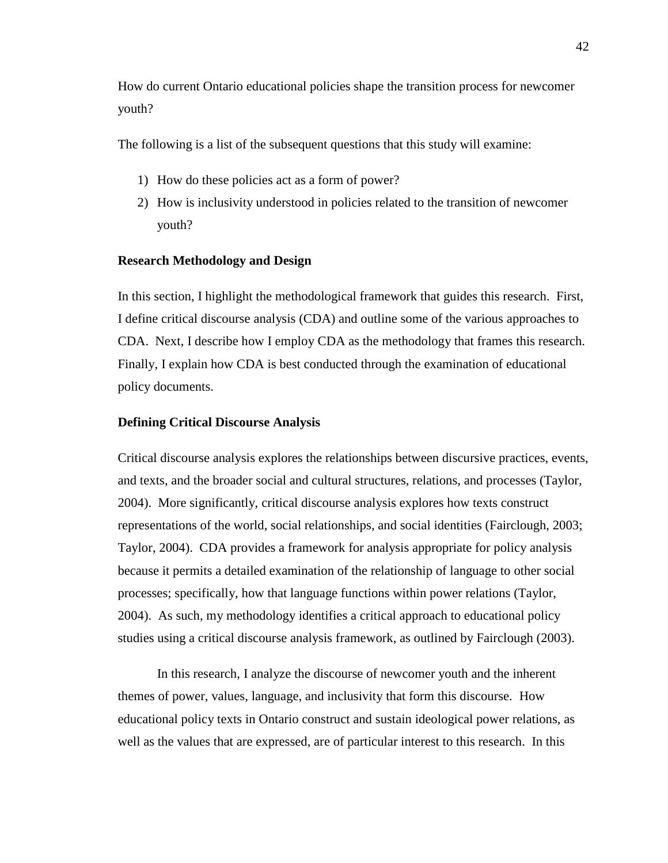How do current Ontario educational policies shape the transition process for newcomer youth?

The following is a list of the subsequent questions that this study will examine:

- 1) How do these policies act as a form of power?
- 2) How is inclusivity understood in policies related to the transition of newcomer youth?

#### **Research Methodology and Design**

In this section, I highlight the methodological framework that guides this research. First, I define critical discourse analysis (CDA) and outline some of the various approaches to CDA. Next, I describe how I employ CDA as the methodology that frames this research. Finally, I explain how CDA is best conducted through the examination of educational policy documents.

#### **Defining Critical Discourse Analysis**

Critical discourse analysis explores the relationships between discursive practices, events, and texts, and the broader social and cultural structures, relations, and processes (Taylor, 2004). More significantly, critical discourse analysis explores how texts construct representations of the world, social relationships, and social identities (Fairclough, 2003; Taylor, 2004). CDA provides a framework for analysis appropriate for policy analysis because it permits a detailed examination of the relationship of language to other social processes; specifically, how that language functions within power relations (Taylor, 2004). As such, my methodology identifies a critical approach to educational policy studies using a critical discourse analysis framework, as outlined by Fairclough (2003).

In this research, I analyze the discourse of newcomer youth and the inherent themes of power, values, language, and inclusivity that form this discourse. How educational policy texts in Ontario construct and sustain ideological power relations, as well as the values that are expressed, are of particular interest to this research. In this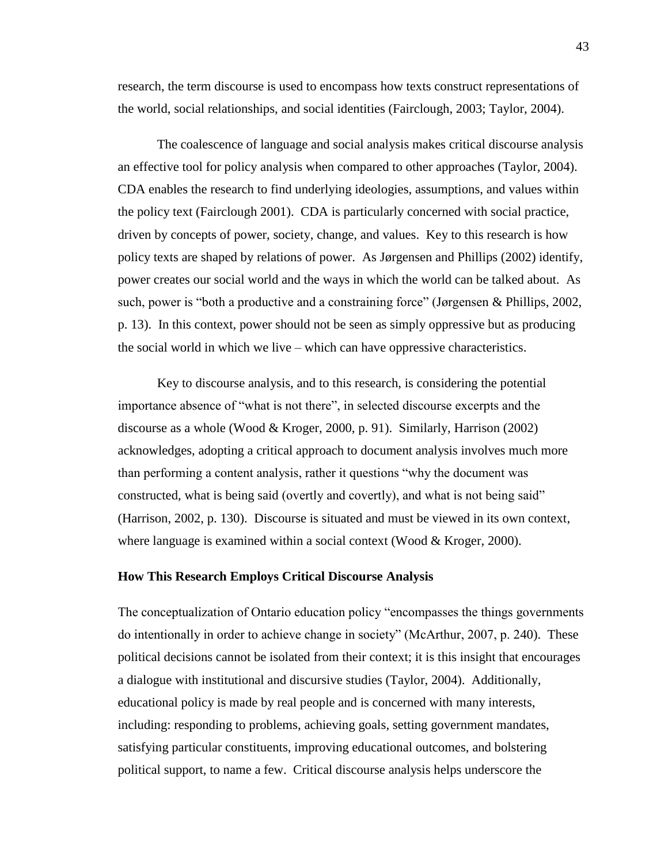research, the term discourse is used to encompass how texts construct representations of the world, social relationships, and social identities (Fairclough, 2003; Taylor, 2004).

The coalescence of language and social analysis makes critical discourse analysis an effective tool for policy analysis when compared to other approaches (Taylor, 2004). CDA enables the research to find underlying ideologies, assumptions, and values within the policy text (Fairclough 2001). CDA is particularly concerned with social practice, driven by concepts of power, society, change, and values. Key to this research is how policy texts are shaped by relations of power. As Jørgensen and Phillips (2002) identify, power creates our social world and the ways in which the world can be talked about. As such, power is "both a productive and a constraining force" (Jørgensen & Phillips, 2002, p. 13). In this context, power should not be seen as simply oppressive but as producing the social world in which we live – which can have oppressive characteristics.

Key to discourse analysis, and to this research, is considering the potential importance absence of "what is not there", in selected discourse excerpts and the discourse as a whole (Wood & Kroger, 2000, p. 91). Similarly, Harrison (2002) acknowledges, adopting a critical approach to document analysis involves much more than performing a content analysis, rather it questions "why the document was constructed, what is being said (overtly and covertly), and what is not being said" (Harrison, 2002, p. 130). Discourse is situated and must be viewed in its own context, where language is examined within a social context (Wood & Kroger, 2000).

# **How This Research Employs Critical Discourse Analysis**

The conceptualization of Ontario education policy "encompasses the things governments do intentionally in order to achieve change in society" (McArthur, 2007, p. 240). These political decisions cannot be isolated from their context; it is this insight that encourages a dialogue with institutional and discursive studies (Taylor, 2004). Additionally, educational policy is made by real people and is concerned with many interests, including: responding to problems, achieving goals, setting government mandates, satisfying particular constituents, improving educational outcomes, and bolstering political support, to name a few. Critical discourse analysis helps underscore the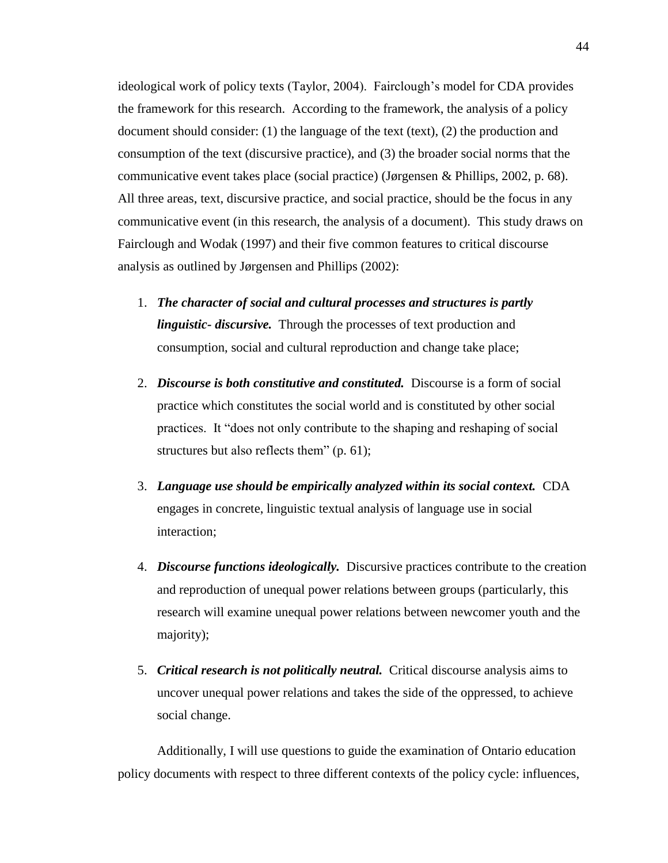ideological work of policy texts (Taylor, 2004). Fairclough's model for CDA provides the framework for this research. According to the framework, the analysis of a policy document should consider: (1) the language of the text (text), (2) the production and consumption of the text (discursive practice), and (3) the broader social norms that the communicative event takes place (social practice) (Jørgensen & Phillips, 2002, p. 68). All three areas, text, discursive practice, and social practice, should be the focus in any communicative event (in this research, the analysis of a document). This study draws on Fairclough and Wodak (1997) and their five common features to critical discourse analysis as outlined by Jørgensen and Phillips (2002):

- 1. *The character of social and cultural processes and structures is partly linguistic- discursive.* Through the processes of text production and consumption, social and cultural reproduction and change take place;
- 2. *Discourse is both constitutive and constituted.* Discourse is a form of social practice which constitutes the social world and is constituted by other social practices. It "does not only contribute to the shaping and reshaping of social structures but also reflects them" (p. 61);
- 3. *Language use should be empirically analyzed within its social context.* CDA engages in concrete, linguistic textual analysis of language use in social interaction;
- 4. *Discourse functions ideologically.* Discursive practices contribute to the creation and reproduction of unequal power relations between groups (particularly, this research will examine unequal power relations between newcomer youth and the majority);
- 5. *Critical research is not politically neutral.* Critical discourse analysis aims to uncover unequal power relations and takes the side of the oppressed, to achieve social change.

Additionally, I will use questions to guide the examination of Ontario education policy documents with respect to three different contexts of the policy cycle: influences,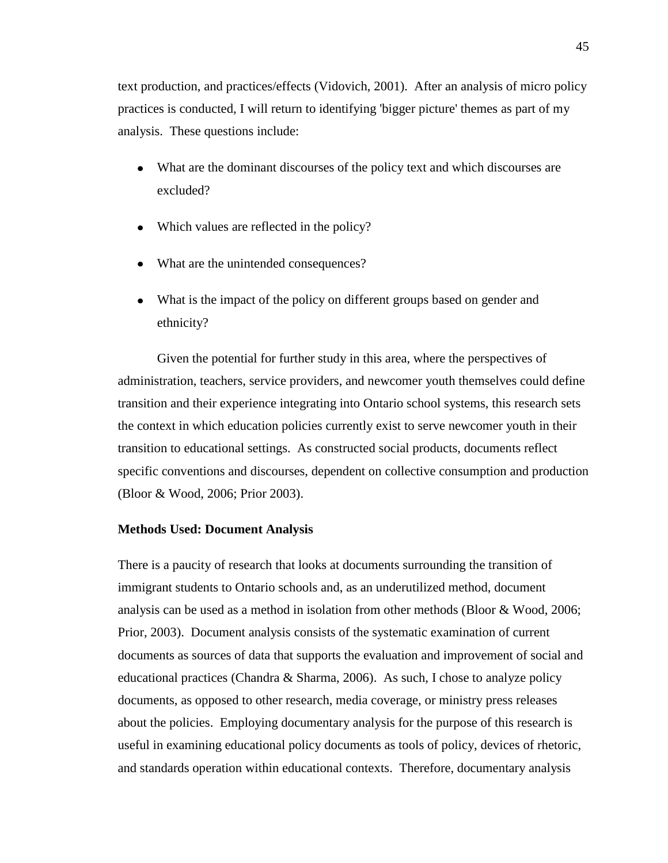text production, and practices/effects (Vidovich, 2001). After an analysis of micro policy practices is conducted, I will return to identifying 'bigger picture' themes as part of my analysis. These questions include:

- What are the dominant discourses of the policy text and which discourses are excluded?
- Which values are reflected in the policy?
- What are the unintended consequences?
- What is the impact of the policy on different groups based on gender and ethnicity?

Given the potential for further study in this area, where the perspectives of administration, teachers, service providers, and newcomer youth themselves could define transition and their experience integrating into Ontario school systems, this research sets the context in which education policies currently exist to serve newcomer youth in their transition to educational settings. As constructed social products, documents reflect specific conventions and discourses, dependent on collective consumption and production (Bloor & Wood, 2006; Prior 2003).

#### **Methods Used: Document Analysis**

There is a paucity of research that looks at documents surrounding the transition of immigrant students to Ontario schools and, as an underutilized method, document analysis can be used as a method in isolation from other methods (Bloor & Wood, 2006; Prior, 2003). Document analysis consists of the systematic examination of current documents as sources of data that supports the evaluation and improvement of social and educational practices (Chandra & Sharma, 2006). As such, I chose to analyze policy documents, as opposed to other research, media coverage, or ministry press releases about the policies. Employing documentary analysis for the purpose of this research is useful in examining educational policy documents as tools of policy, devices of rhetoric, and standards operation within educational contexts. Therefore, documentary analysis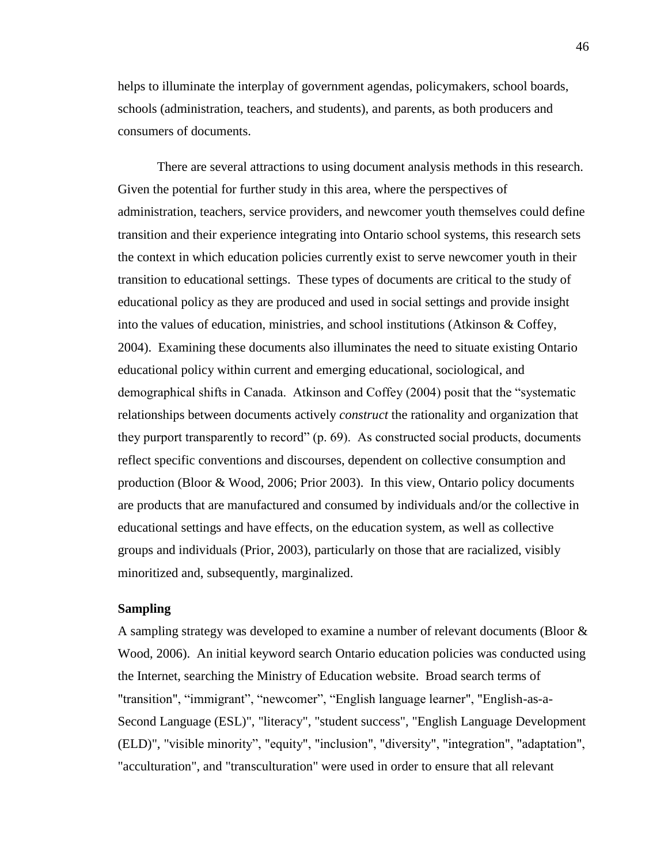helps to illuminate the interplay of government agendas, policymakers, school boards, schools (administration, teachers, and students), and parents, as both producers and consumers of documents.

There are several attractions to using document analysis methods in this research. Given the potential for further study in this area, where the perspectives of administration, teachers, service providers, and newcomer youth themselves could define transition and their experience integrating into Ontario school systems, this research sets the context in which education policies currently exist to serve newcomer youth in their transition to educational settings. These types of documents are critical to the study of educational policy as they are produced and used in social settings and provide insight into the values of education, ministries, and school institutions (Atkinson & Coffey, 2004). Examining these documents also illuminates the need to situate existing Ontario educational policy within current and emerging educational, sociological, and demographical shifts in Canada. Atkinson and Coffey (2004) posit that the "systematic relationships between documents actively *construct* the rationality and organization that they purport transparently to record" (p. 69). As constructed social products, documents reflect specific conventions and discourses, dependent on collective consumption and production (Bloor & Wood, 2006; Prior 2003). In this view, Ontario policy documents are products that are manufactured and consumed by individuals and/or the collective in educational settings and have effects, on the education system, as well as collective groups and individuals (Prior, 2003), particularly on those that are racialized, visibly minoritized and, subsequently, marginalized.

# **Sampling**

A sampling strategy was developed to examine a number of relevant documents (Bloor & Wood, 2006). An initial keyword search Ontario education policies was conducted using the Internet, searching the Ministry of Education website. Broad search terms of "transition", "immigrant", "newcomer", "English language learner", "English-as-a-Second Language (ESL)", "literacy", "student success", "English Language Development (ELD)", "visible minority", "equity", "inclusion", "diversity", "integration", "adaptation", "acculturation", and "transculturation" were used in order to ensure that all relevant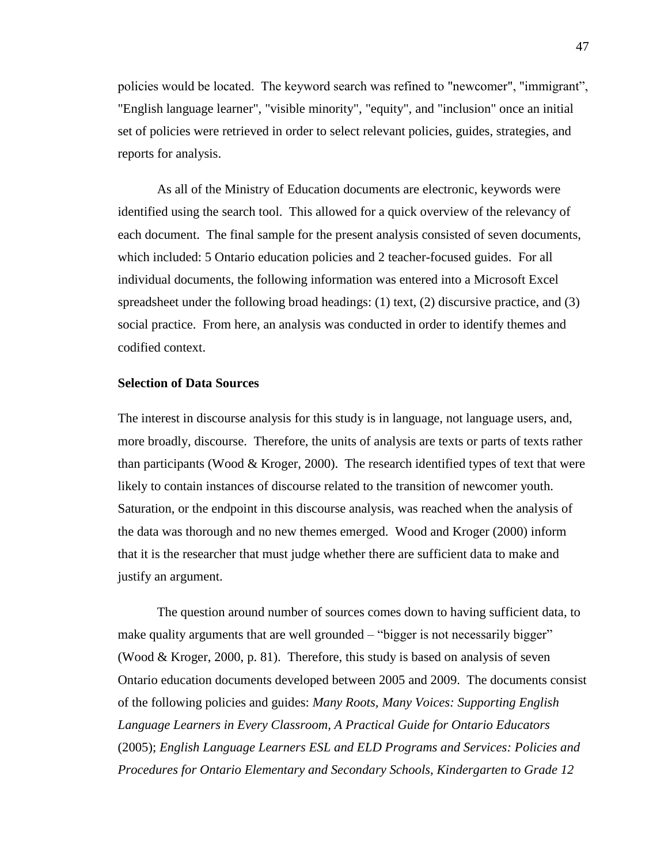policies would be located. The keyword search was refined to "newcomer", "immigrant", "English language learner", "visible minority", "equity", and "inclusion" once an initial set of policies were retrieved in order to select relevant policies, guides, strategies, and reports for analysis.

As all of the Ministry of Education documents are electronic, keywords were identified using the search tool. This allowed for a quick overview of the relevancy of each document. The final sample for the present analysis consisted of seven documents, which included: 5 Ontario education policies and 2 teacher-focused guides. For all individual documents, the following information was entered into a Microsoft Excel spreadsheet under the following broad headings: (1) text, (2) discursive practice, and (3) social practice. From here, an analysis was conducted in order to identify themes and codified context.

# **Selection of Data Sources**

The interest in discourse analysis for this study is in language, not language users, and, more broadly, discourse. Therefore, the units of analysis are texts or parts of texts rather than participants (Wood  $&$  Kroger, 2000). The research identified types of text that were likely to contain instances of discourse related to the transition of newcomer youth. Saturation, or the endpoint in this discourse analysis, was reached when the analysis of the data was thorough and no new themes emerged. Wood and Kroger (2000) inform that it is the researcher that must judge whether there are sufficient data to make and justify an argument.

The question around number of sources comes down to having sufficient data, to make quality arguments that are well grounded – "bigger is not necessarily bigger" (Wood & Kroger, 2000, p. 81). Therefore, this study is based on analysis of seven Ontario education documents developed between 2005 and 2009. The documents consist of the following policies and guides: *Many Roots, Many Voices: Supporting English Language Learners in Every Classroom, A Practical Guide for Ontario Educators* (2005); *English Language Learners ESL and ELD Programs and Services: Policies and Procedures for Ontario Elementary and Secondary Schools, Kindergarten to Grade 12*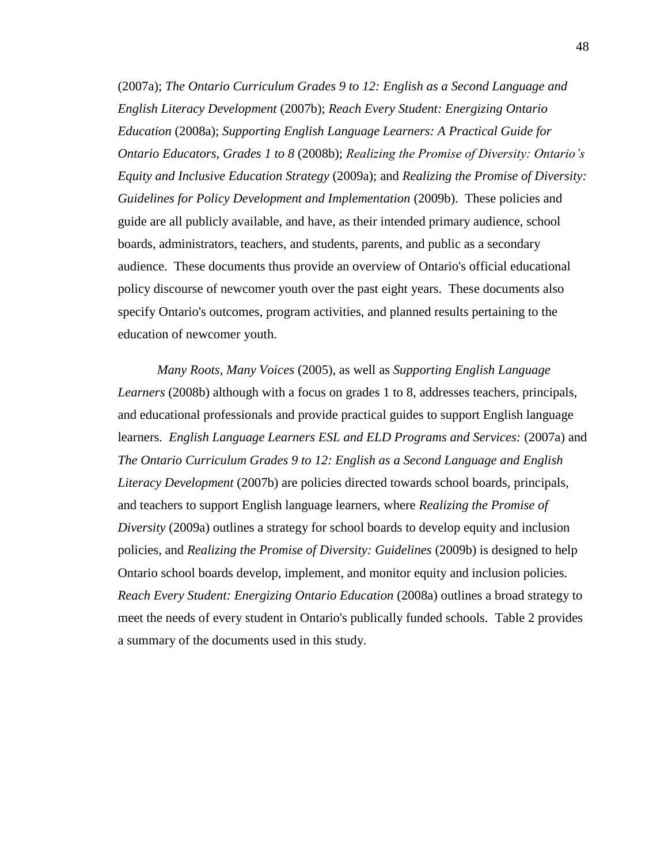(2007a); *The Ontario Curriculum Grades 9 to 12: English as a Second Language and English Literacy Development* (2007b); *Reach Every Student: Energizing Ontario Education* (2008a); *Supporting English Language Learners: A Practical Guide for Ontario Educators, Grades 1 to 8* (2008b); *Realizing the Promise of Diversity: Ontario's Equity and Inclusive Education Strategy* (2009a); and *Realizing the Promise of Diversity: Guidelines for Policy Development and Implementation* (2009b). These policies and guide are all publicly available, and have, as their intended primary audience, school boards, administrators, teachers, and students, parents, and public as a secondary audience. These documents thus provide an overview of Ontario's official educational policy discourse of newcomer youth over the past eight years. These documents also specify Ontario's outcomes, program activities, and planned results pertaining to the education of newcomer youth.

*Many Roots, Many Voices* (2005), as well as *Supporting English Language Learners* (2008b) although with a focus on grades 1 to 8, addresses teachers, principals, and educational professionals and provide practical guides to support English language learners. *English Language Learners ESL and ELD Programs and Services:* (2007a) and *The Ontario Curriculum Grades 9 to 12: English as a Second Language and English Literacy Development* (2007b) are policies directed towards school boards, principals, and teachers to support English language learners, where *Realizing the Promise of Diversity* (2009a) outlines a strategy for school boards to develop equity and inclusion policies, and *Realizing the Promise of Diversity: Guidelines* (2009b) is designed to help Ontario school boards develop, implement, and monitor equity and inclusion policies. *Reach Every Student: Energizing Ontario Education* (2008a) outlines a broad strategy to meet the needs of every student in Ontario's publically funded schools. Table 2 provides a summary of the documents used in this study.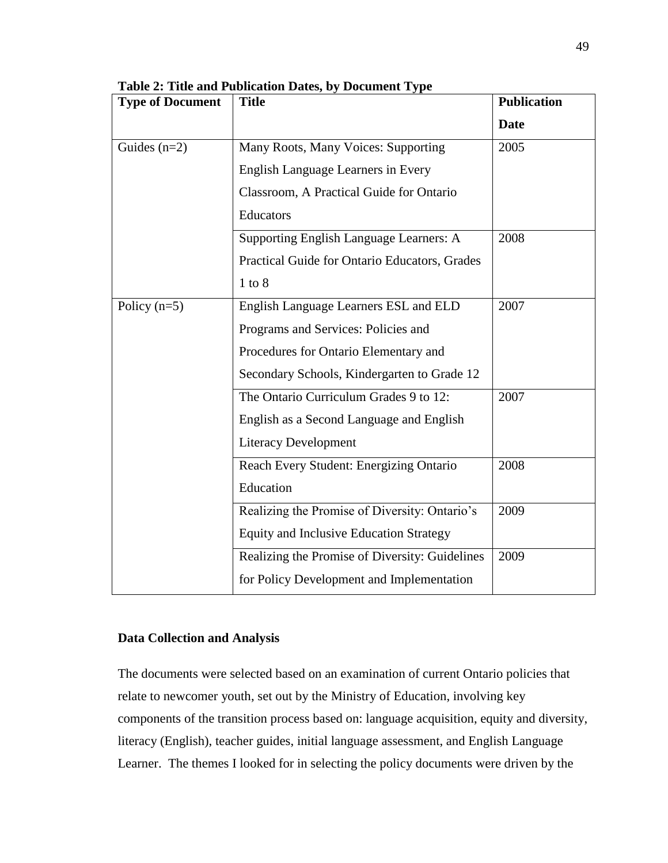| <b>Type of Document</b> | <b>Title</b>                                   | <b>Publication</b> |
|-------------------------|------------------------------------------------|--------------------|
|                         |                                                | <b>Date</b>        |
| Guides $(n=2)$          | Many Roots, Many Voices: Supporting            | 2005               |
|                         | <b>English Language Learners in Every</b>      |                    |
|                         | Classroom, A Practical Guide for Ontario       |                    |
|                         | Educators                                      |                    |
|                         | Supporting English Language Learners: A        | 2008               |
|                         | Practical Guide for Ontario Educators, Grades  |                    |
|                         | $1$ to $8$                                     |                    |
| Policy $(n=5)$          | English Language Learners ESL and ELD          | 2007               |
|                         | Programs and Services: Policies and            |                    |
|                         | Procedures for Ontario Elementary and          |                    |
|                         | Secondary Schools, Kindergarten to Grade 12    |                    |
|                         | The Ontario Curriculum Grades 9 to 12:         | 2007               |
|                         | English as a Second Language and English       |                    |
|                         | <b>Literacy Development</b>                    |                    |
|                         | Reach Every Student: Energizing Ontario        | 2008               |
|                         | Education                                      |                    |
|                         | Realizing the Promise of Diversity: Ontario's  | 2009               |
|                         | <b>Equity and Inclusive Education Strategy</b> |                    |
|                         | Realizing the Promise of Diversity: Guidelines | 2009               |
|                         | for Policy Development and Implementation      |                    |

**Table 2: Title and Publication Dates, by Document Type**

# **Data Collection and Analysis**

The documents were selected based on an examination of current Ontario policies that relate to newcomer youth, set out by the Ministry of Education, involving key components of the transition process based on: language acquisition, equity and diversity, literacy (English), teacher guides, initial language assessment, and English Language Learner. The themes I looked for in selecting the policy documents were driven by the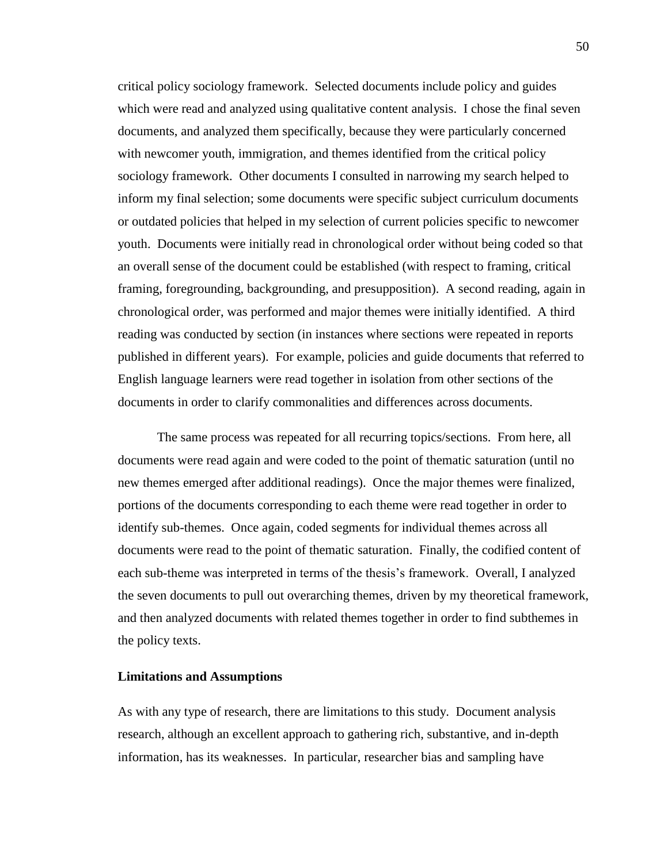critical policy sociology framework. Selected documents include policy and guides which were read and analyzed using qualitative content analysis. I chose the final seven documents, and analyzed them specifically, because they were particularly concerned with newcomer youth, immigration, and themes identified from the critical policy sociology framework. Other documents I consulted in narrowing my search helped to inform my final selection; some documents were specific subject curriculum documents or outdated policies that helped in my selection of current policies specific to newcomer youth. Documents were initially read in chronological order without being coded so that an overall sense of the document could be established (with respect to framing, critical framing, foregrounding, backgrounding, and presupposition). A second reading, again in chronological order, was performed and major themes were initially identified. A third reading was conducted by section (in instances where sections were repeated in reports published in different years). For example, policies and guide documents that referred to English language learners were read together in isolation from other sections of the documents in order to clarify commonalities and differences across documents.

The same process was repeated for all recurring topics/sections. From here, all documents were read again and were coded to the point of thematic saturation (until no new themes emerged after additional readings). Once the major themes were finalized, portions of the documents corresponding to each theme were read together in order to identify sub-themes. Once again, coded segments for individual themes across all documents were read to the point of thematic saturation. Finally, the codified content of each sub-theme was interpreted in terms of the thesis's framework. Overall, I analyzed the seven documents to pull out overarching themes, driven by my theoretical framework, and then analyzed documents with related themes together in order to find subthemes in the policy texts.

# **Limitations and Assumptions**

As with any type of research, there are limitations to this study. Document analysis research, although an excellent approach to gathering rich, substantive, and in-depth information, has its weaknesses. In particular, researcher bias and sampling have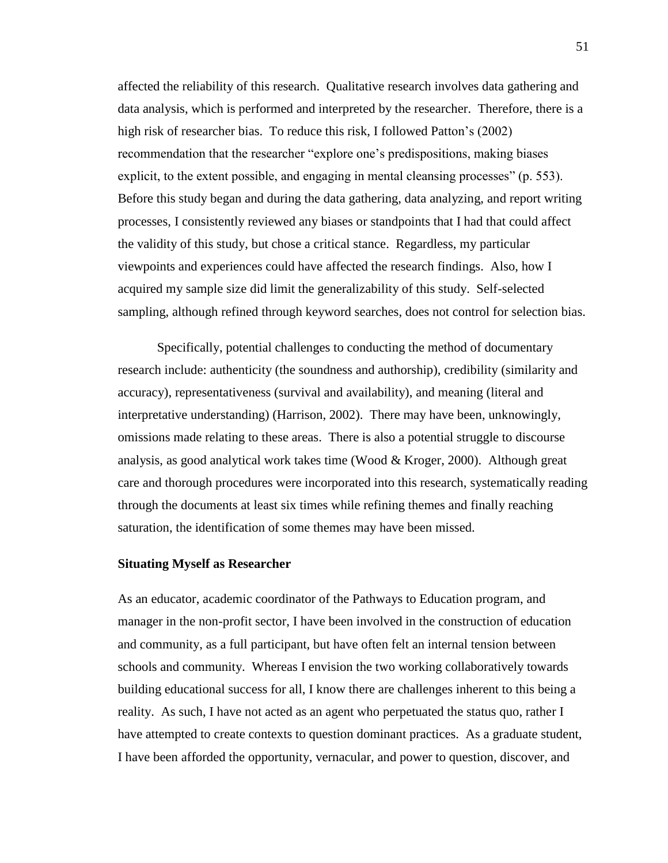affected the reliability of this research. Qualitative research involves data gathering and data analysis, which is performed and interpreted by the researcher. Therefore, there is a high risk of researcher bias. To reduce this risk, I followed Patton's (2002) recommendation that the researcher "explore one's predispositions, making biases explicit, to the extent possible, and engaging in mental cleansing processes" (p. 553). Before this study began and during the data gathering, data analyzing, and report writing processes, I consistently reviewed any biases or standpoints that I had that could affect the validity of this study, but chose a critical stance. Regardless, my particular viewpoints and experiences could have affected the research findings. Also, how I acquired my sample size did limit the generalizability of this study. Self-selected sampling, although refined through keyword searches, does not control for selection bias.

Specifically, potential challenges to conducting the method of documentary research include: authenticity (the soundness and authorship), credibility (similarity and accuracy), representativeness (survival and availability), and meaning (literal and interpretative understanding) (Harrison, 2002). There may have been, unknowingly, omissions made relating to these areas. There is also a potential struggle to discourse analysis, as good analytical work takes time (Wood & Kroger, 2000). Although great care and thorough procedures were incorporated into this research, systematically reading through the documents at least six times while refining themes and finally reaching saturation, the identification of some themes may have been missed.

# **Situating Myself as Researcher**

As an educator, academic coordinator of the Pathways to Education program, and manager in the non-profit sector, I have been involved in the construction of education and community, as a full participant, but have often felt an internal tension between schools and community. Whereas I envision the two working collaboratively towards building educational success for all, I know there are challenges inherent to this being a reality. As such, I have not acted as an agent who perpetuated the status quo, rather I have attempted to create contexts to question dominant practices. As a graduate student, I have been afforded the opportunity, vernacular, and power to question, discover, and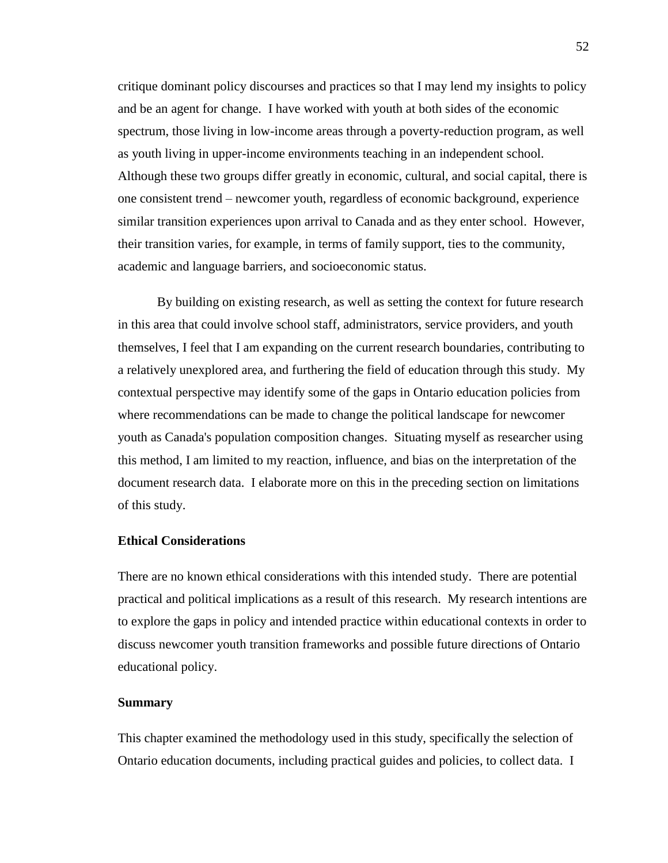critique dominant policy discourses and practices so that I may lend my insights to policy and be an agent for change. I have worked with youth at both sides of the economic spectrum, those living in low-income areas through a poverty-reduction program, as well as youth living in upper-income environments teaching in an independent school. Although these two groups differ greatly in economic, cultural, and social capital, there is one consistent trend – newcomer youth, regardless of economic background, experience similar transition experiences upon arrival to Canada and as they enter school. However, their transition varies, for example, in terms of family support, ties to the community, academic and language barriers, and socioeconomic status.

By building on existing research, as well as setting the context for future research in this area that could involve school staff, administrators, service providers, and youth themselves, I feel that I am expanding on the current research boundaries, contributing to a relatively unexplored area, and furthering the field of education through this study. My contextual perspective may identify some of the gaps in Ontario education policies from where recommendations can be made to change the political landscape for newcomer youth as Canada's population composition changes. Situating myself as researcher using this method, I am limited to my reaction, influence, and bias on the interpretation of the document research data. I elaborate more on this in the preceding section on limitations of this study.

## **Ethical Considerations**

There are no known ethical considerations with this intended study. There are potential practical and political implications as a result of this research. My research intentions are to explore the gaps in policy and intended practice within educational contexts in order to discuss newcomer youth transition frameworks and possible future directions of Ontario educational policy.

# **Summary**

This chapter examined the methodology used in this study, specifically the selection of Ontario education documents, including practical guides and policies, to collect data. I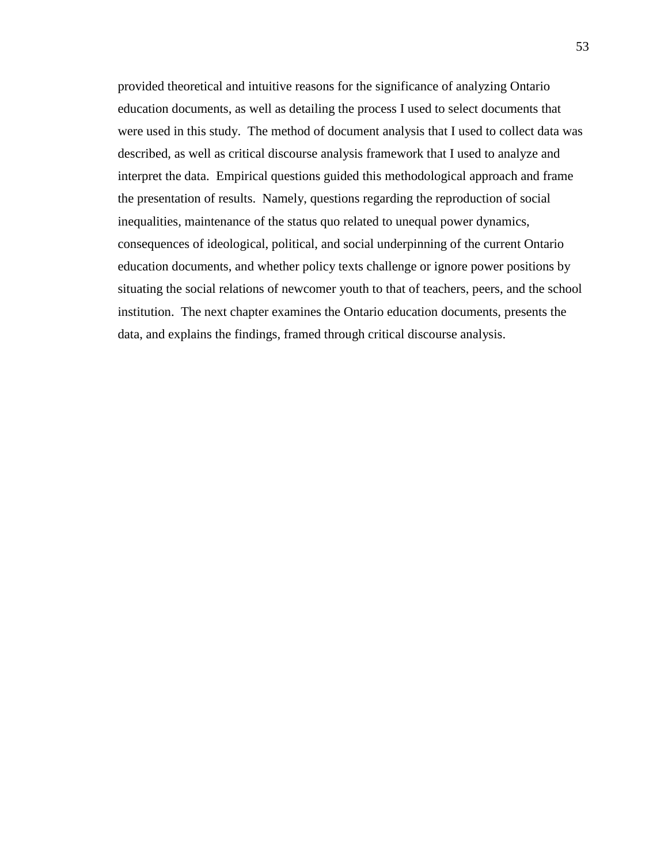provided theoretical and intuitive reasons for the significance of analyzing Ontario education documents, as well as detailing the process I used to select documents that were used in this study. The method of document analysis that I used to collect data was described, as well as critical discourse analysis framework that I used to analyze and interpret the data. Empirical questions guided this methodological approach and frame the presentation of results. Namely, questions regarding the reproduction of social inequalities, maintenance of the status quo related to unequal power dynamics, consequences of ideological, political, and social underpinning of the current Ontario education documents, and whether policy texts challenge or ignore power positions by situating the social relations of newcomer youth to that of teachers, peers, and the school institution. The next chapter examines the Ontario education documents, presents the data, and explains the findings, framed through critical discourse analysis.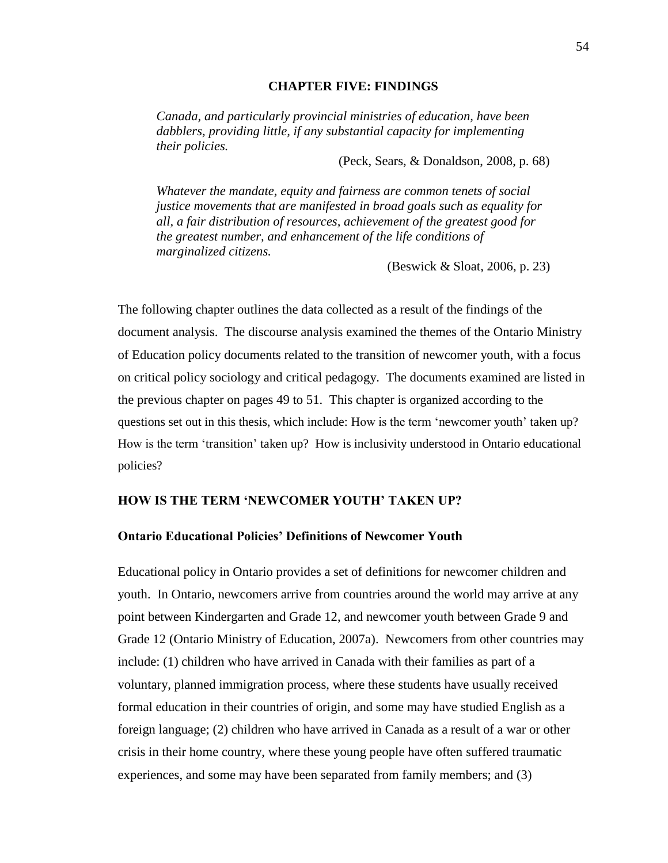# **CHAPTER FIVE: FINDINGS**

*Canada, and particularly provincial ministries of education, have been dabblers, providing little, if any substantial capacity for implementing their policies.*

(Peck, Sears, & Donaldson, 2008, p. 68)

*Whatever the mandate, equity and fairness are common tenets of social justice movements that are manifested in broad goals such as equality for all, a fair distribution of resources, achievement of the greatest good for the greatest number, and enhancement of the life conditions of marginalized citizens.*

(Beswick & Sloat, 2006, p. 23)

The following chapter outlines the data collected as a result of the findings of the document analysis. The discourse analysis examined the themes of the Ontario Ministry of Education policy documents related to the transition of newcomer youth, with a focus on critical policy sociology and critical pedagogy. The documents examined are listed in the previous chapter on pages 49 to 51. This chapter is organized according to the questions set out in this thesis, which include: How is the term 'newcomer youth' taken up? How is the term 'transition' taken up? How is inclusivity understood in Ontario educational policies?

# **HOW IS THE TERM 'NEWCOMER YOUTH' TAKEN UP?**

# **Ontario Educational Policies' Definitions of Newcomer Youth**

Educational policy in Ontario provides a set of definitions for newcomer children and youth. In Ontario, newcomers arrive from countries around the world may arrive at any point between Kindergarten and Grade 12, and newcomer youth between Grade 9 and Grade 12 (Ontario Ministry of Education, 2007a). Newcomers from other countries may include: (1) children who have arrived in Canada with their families as part of a voluntary, planned immigration process, where these students have usually received formal education in their countries of origin, and some may have studied English as a foreign language; (2) children who have arrived in Canada as a result of a war or other crisis in their home country, where these young people have often suffered traumatic experiences, and some may have been separated from family members; and (3)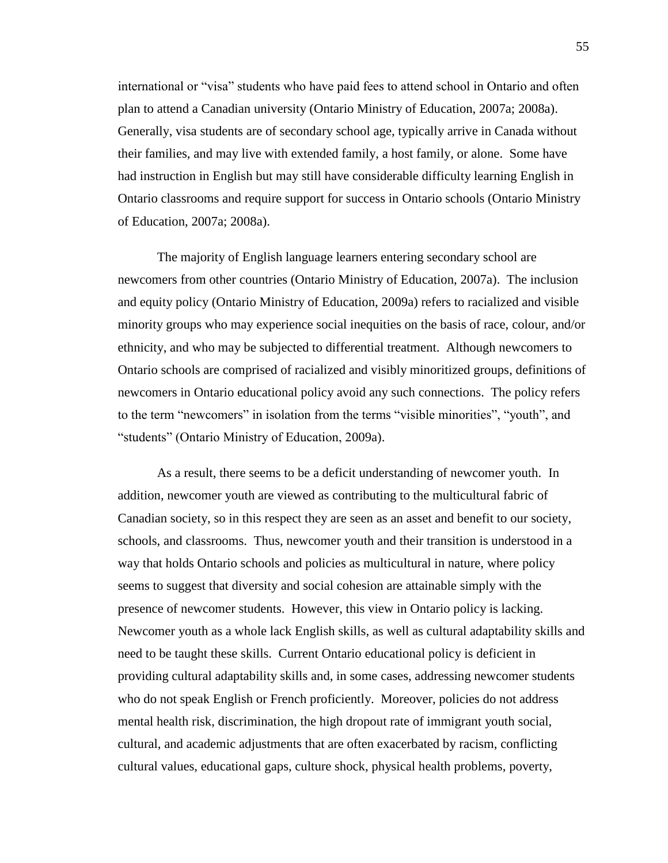international or "visa" students who have paid fees to attend school in Ontario and often plan to attend a Canadian university (Ontario Ministry of Education, 2007a; 2008a). Generally, visa students are of secondary school age, typically arrive in Canada without their families, and may live with extended family, a host family, or alone. Some have had instruction in English but may still have considerable difficulty learning English in Ontario classrooms and require support for success in Ontario schools (Ontario Ministry of Education, 2007a; 2008a).

The majority of English language learners entering secondary school are newcomers from other countries (Ontario Ministry of Education, 2007a). The inclusion and equity policy (Ontario Ministry of Education, 2009a) refers to racialized and visible minority groups who may experience social inequities on the basis of race, colour, and/or ethnicity, and who may be subjected to differential treatment. Although newcomers to Ontario schools are comprised of racialized and visibly minoritized groups, definitions of newcomers in Ontario educational policy avoid any such connections. The policy refers to the term "newcomers" in isolation from the terms "visible minorities", "youth", and "students" (Ontario Ministry of Education, 2009a).

As a result, there seems to be a deficit understanding of newcomer youth. In addition, newcomer youth are viewed as contributing to the multicultural fabric of Canadian society, so in this respect they are seen as an asset and benefit to our society, schools, and classrooms. Thus, newcomer youth and their transition is understood in a way that holds Ontario schools and policies as multicultural in nature, where policy seems to suggest that diversity and social cohesion are attainable simply with the presence of newcomer students. However, this view in Ontario policy is lacking. Newcomer youth as a whole lack English skills, as well as cultural adaptability skills and need to be taught these skills. Current Ontario educational policy is deficient in providing cultural adaptability skills and, in some cases, addressing newcomer students who do not speak English or French proficiently. Moreover, policies do not address mental health risk, discrimination, the high dropout rate of immigrant youth social, cultural, and academic adjustments that are often exacerbated by racism, conflicting cultural values, educational gaps, culture shock, physical health problems, poverty,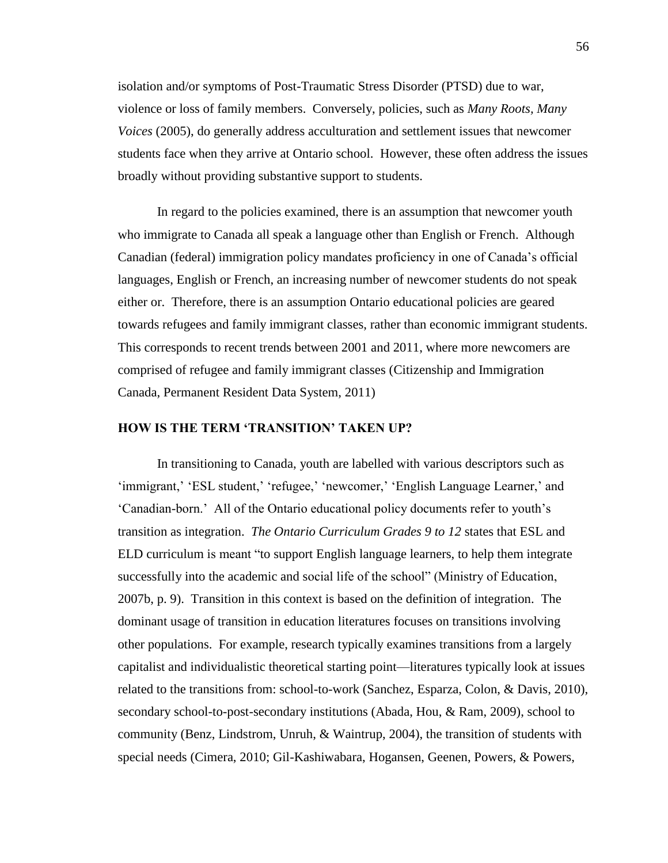isolation and/or symptoms of Post-Traumatic Stress Disorder (PTSD) due to war, violence or loss of family members. Conversely, policies, such as *Many Roots, Many Voices* (2005), do generally address acculturation and settlement issues that newcomer students face when they arrive at Ontario school. However, these often address the issues broadly without providing substantive support to students.

In regard to the policies examined, there is an assumption that newcomer youth who immigrate to Canada all speak a language other than English or French. Although Canadian (federal) immigration policy mandates proficiency in one of Canada's official languages, English or French, an increasing number of newcomer students do not speak either or. Therefore, there is an assumption Ontario educational policies are geared towards refugees and family immigrant classes, rather than economic immigrant students. This corresponds to recent trends between 2001 and 2011, where more newcomers are comprised of refugee and family immigrant classes (Citizenship and Immigration Canada, Permanent Resident Data System, 2011)

# **HOW IS THE TERM 'TRANSITION' TAKEN UP?**

In transitioning to Canada, youth are labelled with various descriptors such as 'immigrant,' 'ESL student,' 'refugee,' 'newcomer,' 'English Language Learner,' and 'Canadian-born.' All of the Ontario educational policy documents refer to youth's transition as integration. *The Ontario Curriculum Grades 9 to 12* states that ESL and ELD curriculum is meant "to support English language learners, to help them integrate successfully into the academic and social life of the school" (Ministry of Education, 2007b, p. 9). Transition in this context is based on the definition of integration. The dominant usage of transition in education literatures focuses on transitions involving other populations. For example, research typically examines transitions from a largely capitalist and individualistic theoretical starting point—literatures typically look at issues related to the transitions from: school-to-work (Sanchez, Esparza, Colon, & Davis, 2010), secondary school-to-post-secondary institutions (Abada, Hou, & Ram, 2009), school to community (Benz, Lindstrom, Unruh, & Waintrup, 2004), the transition of students with special needs (Cimera, 2010; Gil-Kashiwabara, Hogansen, Geenen, Powers, & Powers,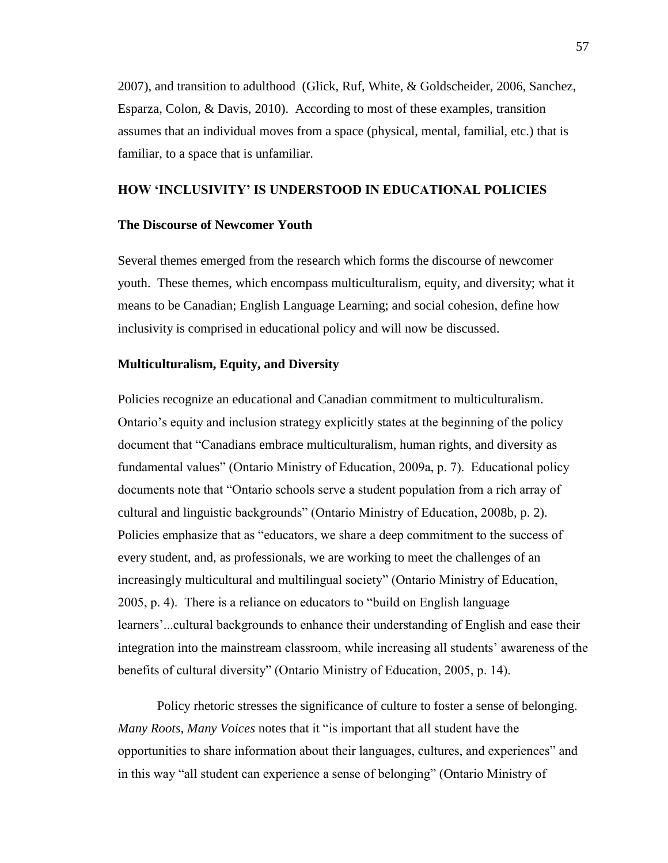2007), and transition to adulthood (Glick, Ruf, White, & Goldscheider, 2006, Sanchez, Esparza, Colon, & Davis, 2010). According to most of these examples, transition assumes that an individual moves from a space (physical, mental, familial, etc.) that is familiar, to a space that is unfamiliar.

# **HOW 'INCLUSIVITY' IS UNDERSTOOD IN EDUCATIONAL POLICIES**

### **The Discourse of Newcomer Youth**

Several themes emerged from the research which forms the discourse of newcomer youth. These themes, which encompass multiculturalism, equity, and diversity; what it means to be Canadian; English Language Learning; and social cohesion, define how inclusivity is comprised in educational policy and will now be discussed.

#### **Multiculturalism, Equity, and Diversity**

Policies recognize an educational and Canadian commitment to multiculturalism. Ontario's equity and inclusion strategy explicitly states at the beginning of the policy document that "Canadians embrace multiculturalism, human rights, and diversity as fundamental values" (Ontario Ministry of Education, 2009a, p. 7). Educational policy documents note that "Ontario schools serve a student population from a rich array of cultural and linguistic backgrounds" (Ontario Ministry of Education, 2008b, p. 2). Policies emphasize that as "educators, we share a deep commitment to the success of every student, and, as professionals, we are working to meet the challenges of an increasingly multicultural and multilingual society" (Ontario Ministry of Education, 2005, p. 4). There is a reliance on educators to "build on English language learners'...cultural backgrounds to enhance their understanding of English and ease their integration into the mainstream classroom, while increasing all students' awareness of the benefits of cultural diversity" (Ontario Ministry of Education, 2005, p. 14).

Policy rhetoric stresses the significance of culture to foster a sense of belonging. *Many Roots, Many Voices* notes that it "is important that all student have the opportunities to share information about their languages, cultures, and experiences" and in this way "all student can experience a sense of belonging" (Ontario Ministry of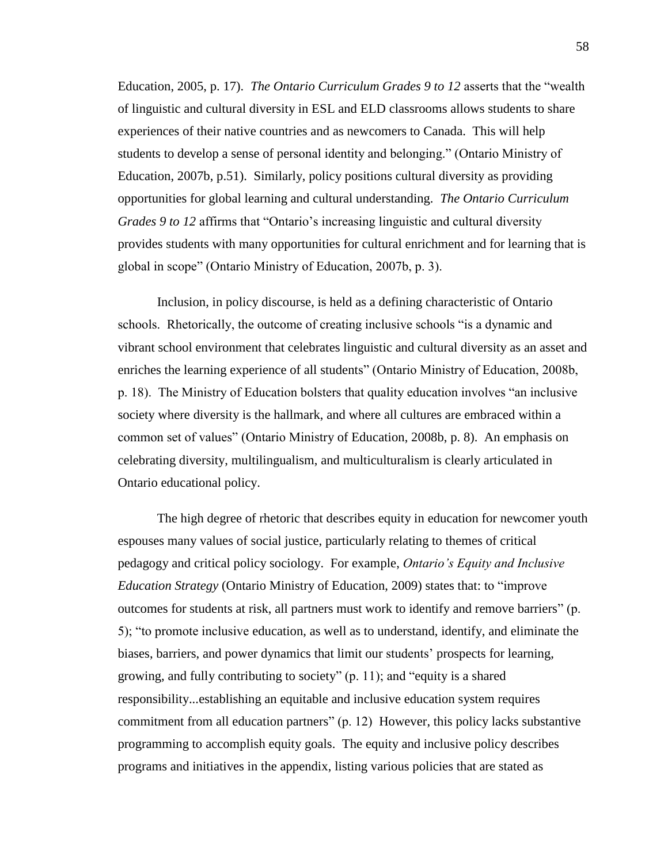Education, 2005, p. 17). *The Ontario Curriculum Grades 9 to 12* asserts that the "wealth of linguistic and cultural diversity in ESL and ELD classrooms allows students to share experiences of their native countries and as newcomers to Canada. This will help students to develop a sense of personal identity and belonging." (Ontario Ministry of Education, 2007b, p.51). Similarly, policy positions cultural diversity as providing opportunities for global learning and cultural understanding. *The Ontario Curriculum Grades 9 to 12* affirms that "Ontario's increasing linguistic and cultural diversity provides students with many opportunities for cultural enrichment and for learning that is global in scope" (Ontario Ministry of Education, 2007b, p. 3).

Inclusion, in policy discourse, is held as a defining characteristic of Ontario schools. Rhetorically, the outcome of creating inclusive schools "is a dynamic and vibrant school environment that celebrates linguistic and cultural diversity as an asset and enriches the learning experience of all students" (Ontario Ministry of Education, 2008b, p. 18). The Ministry of Education bolsters that quality education involves "an inclusive society where diversity is the hallmark, and where all cultures are embraced within a common set of values" (Ontario Ministry of Education, 2008b, p. 8). An emphasis on celebrating diversity, multilingualism, and multiculturalism is clearly articulated in Ontario educational policy.

The high degree of rhetoric that describes equity in education for newcomer youth espouses many values of social justice, particularly relating to themes of critical pedagogy and critical policy sociology. For example, *Ontario's Equity and Inclusive Education Strategy* (Ontario Ministry of Education, 2009) states that: to "improve outcomes for students at risk, all partners must work to identify and remove barriers" (p. 5); "to promote inclusive education, as well as to understand, identify, and eliminate the biases, barriers, and power dynamics that limit our students' prospects for learning, growing, and fully contributing to society" (p. 11); and "equity is a shared responsibility...establishing an equitable and inclusive education system requires commitment from all education partners" (p. 12) However, this policy lacks substantive programming to accomplish equity goals. The equity and inclusive policy describes programs and initiatives in the appendix, listing various policies that are stated as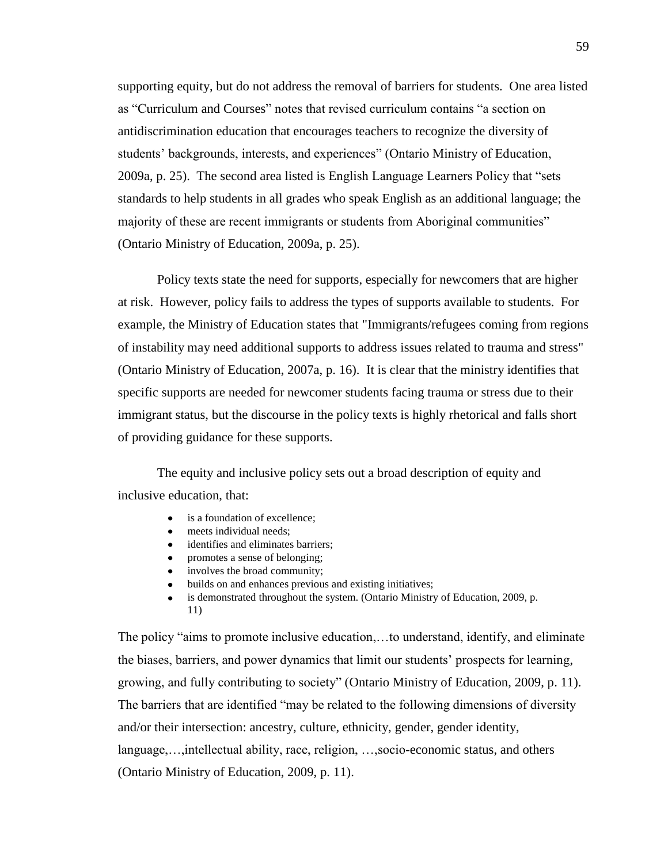supporting equity, but do not address the removal of barriers for students. One area listed as "Curriculum and Courses" notes that revised curriculum contains "a section on antidiscrimination education that encourages teachers to recognize the diversity of students' backgrounds, interests, and experiences" (Ontario Ministry of Education, 2009a, p. 25). The second area listed is English Language Learners Policy that "sets standards to help students in all grades who speak English as an additional language; the majority of these are recent immigrants or students from Aboriginal communities" (Ontario Ministry of Education, 2009a, p. 25).

Policy texts state the need for supports, especially for newcomers that are higher at risk. However, policy fails to address the types of supports available to students. For example, the Ministry of Education states that "Immigrants/refugees coming from regions of instability may need additional supports to address issues related to trauma and stress" (Ontario Ministry of Education, 2007a, p. 16). It is clear that the ministry identifies that specific supports are needed for newcomer students facing trauma or stress due to their immigrant status, but the discourse in the policy texts is highly rhetorical and falls short of providing guidance for these supports.

The equity and inclusive policy sets out a broad description of equity and inclusive education, that:

- is a foundation of excellence;
- meets individual needs:
- identifies and eliminates barriers;
- promotes a sense of belonging;
- involves the broad community;
- builds on and enhances previous and existing initiatives;
- is demonstrated throughout the system. (Ontario Ministry of Education, 2009, p. 11)

The policy "aims to promote inclusive education,…to understand, identify, and eliminate the biases, barriers, and power dynamics that limit our students' prospects for learning, growing, and fully contributing to society" (Ontario Ministry of Education, 2009, p. 11). The barriers that are identified "may be related to the following dimensions of diversity and/or their intersection: ancestry, culture, ethnicity, gender, gender identity, language,…,intellectual ability, race, religion, …,socio-economic status, and others (Ontario Ministry of Education, 2009, p. 11).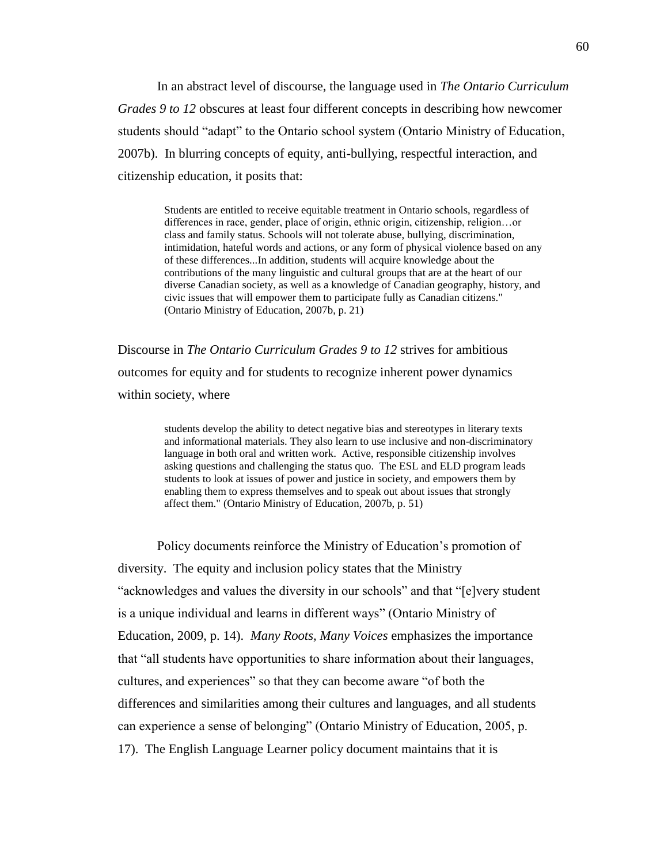In an abstract level of discourse, the language used in *The Ontario Curriculum Grades 9 to 12* obscures at least four different concepts in describing how newcomer students should "adapt" to the Ontario school system (Ontario Ministry of Education, 2007b). In blurring concepts of equity, anti-bullying, respectful interaction, and citizenship education, it posits that:

> Students are entitled to receive equitable treatment in Ontario schools, regardless of differences in race, gender, place of origin, ethnic origin, citizenship, religion…or class and family status. Schools will not tolerate abuse, bullying, discrimination, intimidation, hateful words and actions, or any form of physical violence based on any of these differences...In addition, students will acquire knowledge about the contributions of the many linguistic and cultural groups that are at the heart of our diverse Canadian society, as well as a knowledge of Canadian geography, history, and civic issues that will empower them to participate fully as Canadian citizens." (Ontario Ministry of Education, 2007b, p. 21)

Discourse in *The Ontario Curriculum Grades 9 to 12* strives for ambitious outcomes for equity and for students to recognize inherent power dynamics within society, where

> students develop the ability to detect negative bias and stereotypes in literary texts and informational materials. They also learn to use inclusive and non-discriminatory language in both oral and written work. Active, responsible citizenship involves asking questions and challenging the status quo. The ESL and ELD program leads students to look at issues of power and justice in society, and empowers them by enabling them to express themselves and to speak out about issues that strongly affect them." (Ontario Ministry of Education, 2007b, p. 51)

Policy documents reinforce the Ministry of Education's promotion of diversity. The equity and inclusion policy states that the Ministry "acknowledges and values the diversity in our schools" and that "[e]very student is a unique individual and learns in different ways" (Ontario Ministry of Education, 2009, p. 14). *Many Roots, Many Voices* emphasizes the importance that "all students have opportunities to share information about their languages, cultures, and experiences" so that they can become aware "of both the differences and similarities among their cultures and languages, and all students can experience a sense of belonging" (Ontario Ministry of Education, 2005, p. 17). The English Language Learner policy document maintains that it is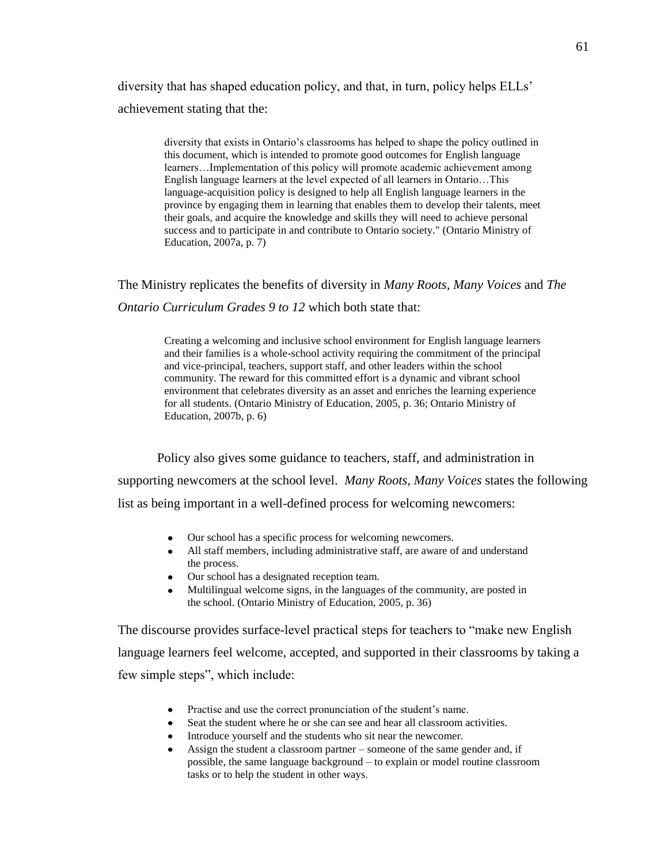diversity that has shaped education policy, and that, in turn, policy helps ELLs' achievement stating that the:

> diversity that exists in Ontario's classrooms has helped to shape the policy outlined in this document, which is intended to promote good outcomes for English language learners…Implementation of this policy will promote academic achievement among English language learners at the level expected of all learners in Ontario…This language-acquisition policy is designed to help all English language learners in the province by engaging them in learning that enables them to develop their talents, meet their goals, and acquire the knowledge and skills they will need to achieve personal success and to participate in and contribute to Ontario society." (Ontario Ministry of Education, 2007a, p. 7)

The Ministry replicates the benefits of diversity in *Many Roots, Many Voices* and *The Ontario Curriculum Grades 9 to 12 which both state that:* 

> Creating a welcoming and inclusive school environment for English language learners and their families is a whole-school activity requiring the commitment of the principal and vice-principal, teachers, support staff, and other leaders within the school community. The reward for this committed effort is a dynamic and vibrant school environment that celebrates diversity as an asset and enriches the learning experience for all students. (Ontario Ministry of Education, 2005, p. 36; Ontario Ministry of Education, 2007b, p. 6)

Policy also gives some guidance to teachers, staff, and administration in supporting newcomers at the school level. *Many Roots, Many Voices* states the following list as being important in a well-defined process for welcoming newcomers:

- Our school has a specific process for welcoming newcomers.
- All staff members, including administrative staff, are aware of and understand the process.
- Our school has a designated reception team.
- Multilingual welcome signs, in the languages of the community, are posted in the school. (Ontario Ministry of Education, 2005, p. 36)

The discourse provides surface-level practical steps for teachers to "make new English language learners feel welcome, accepted, and supported in their classrooms by taking a few simple steps", which include:

- Practise and use the correct pronunciation of the student's name.
- Seat the student where he or she can see and hear all classroom activities.
- Introduce yourself and the students who sit near the newcomer.
- Assign the student a classroom partner someone of the same gender and, if possible, the same language background – to explain or model routine classroom tasks or to help the student in other ways.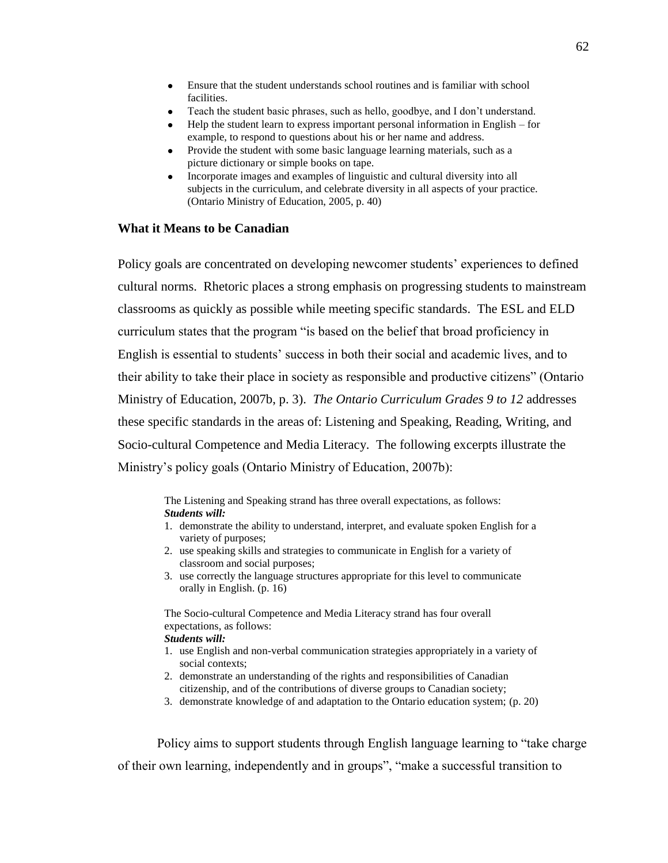- Ensure that the student understands school routines and is familiar with school facilities.
- Teach the student basic phrases, such as hello, goodbye, and I don't understand.
- Help the student learn to express important personal information in English for example, to respond to questions about his or her name and address.
- Provide the student with some basic language learning materials, such as a picture dictionary or simple books on tape.
- Incorporate images and examples of linguistic and cultural diversity into all subjects in the curriculum, and celebrate diversity in all aspects of your practice. (Ontario Ministry of Education, 2005, p. 40)

# **What it Means to be Canadian**

Policy goals are concentrated on developing newcomer students' experiences to defined cultural norms. Rhetoric places a strong emphasis on progressing students to mainstream classrooms as quickly as possible while meeting specific standards. The ESL and ELD curriculum states that the program "is based on the belief that broad proficiency in English is essential to students' success in both their social and academic lives, and to their ability to take their place in society as responsible and productive citizens" (Ontario Ministry of Education, 2007b, p. 3). *The Ontario Curriculum Grades 9 to 12* addresses these specific standards in the areas of: Listening and Speaking, Reading, Writing, and Socio-cultural Competence and Media Literacy. The following excerpts illustrate the Ministry's policy goals (Ontario Ministry of Education, 2007b):

The Listening and Speaking strand has three overall expectations, as follows: *Students will:*

- 1. demonstrate the ability to understand, interpret, and evaluate spoken English for a variety of purposes;
- 2. use speaking skills and strategies to communicate in English for a variety of classroom and social purposes;
- 3. use correctly the language structures appropriate for this level to communicate orally in English. (p. 16)

The Socio-cultural Competence and Media Literacy strand has four overall expectations, as follows:

### *Students will:*

- 1. use English and non-verbal communication strategies appropriately in a variety of social contexts;
- 2. demonstrate an understanding of the rights and responsibilities of Canadian citizenship, and of the contributions of diverse groups to Canadian society;
- 3. demonstrate knowledge of and adaptation to the Ontario education system; (p. 20)

Policy aims to support students through English language learning to "take charge of their own learning, independently and in groups", "make a successful transition to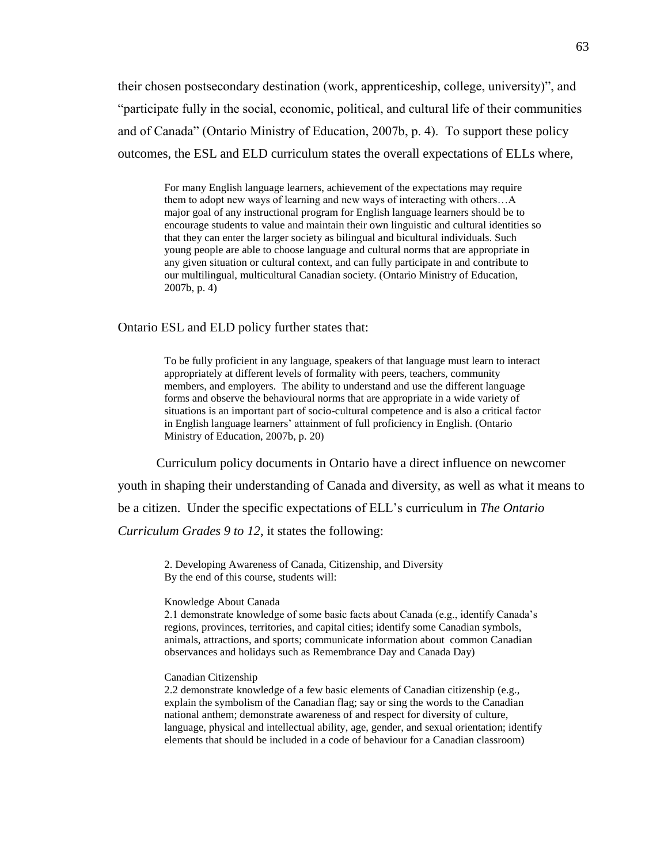their chosen postsecondary destination (work, apprenticeship, college, university)", and "participate fully in the social, economic, political, and cultural life of their communities and of Canada" (Ontario Ministry of Education, 2007b, p. 4). To support these policy outcomes, the ESL and ELD curriculum states the overall expectations of ELLs where,

For many English language learners, achievement of the expectations may require them to adopt new ways of learning and new ways of interacting with others…A major goal of any instructional program for English language learners should be to encourage students to value and maintain their own linguistic and cultural identities so that they can enter the larger society as bilingual and bicultural individuals. Such young people are able to choose language and cultural norms that are appropriate in any given situation or cultural context, and can fully participate in and contribute to our multilingual, multicultural Canadian society. (Ontario Ministry of Education, 2007b, p. 4)

Ontario ESL and ELD policy further states that:

To be fully proficient in any language, speakers of that language must learn to interact appropriately at different levels of formality with peers, teachers, community members, and employers. The ability to understand and use the different language forms and observe the behavioural norms that are appropriate in a wide variety of situations is an important part of socio-cultural competence and is also a critical factor in English language learners' attainment of full proficiency in English. (Ontario Ministry of Education, 2007b, p. 20)

Curriculum policy documents in Ontario have a direct influence on newcomer youth in shaping their understanding of Canada and diversity, as well as what it means to be a citizen. Under the specific expectations of ELL's curriculum in *The Ontario Curriculum Grades 9 to 12*, it states the following:

2. Developing Awareness of Canada, Citizenship, and Diversity By the end of this course, students will:

#### Knowledge About Canada

2.1 demonstrate knowledge of some basic facts about Canada (e.g., identify Canada's regions, provinces, territories, and capital cities; identify some Canadian symbols, animals, attractions, and sports; communicate information about common Canadian observances and holidays such as Remembrance Day and Canada Day)

### Canadian Citizenship

2.2 demonstrate knowledge of a few basic elements of Canadian citizenship (e.g., explain the symbolism of the Canadian flag; say or sing the words to the Canadian national anthem; demonstrate awareness of and respect for diversity of culture, language, physical and intellectual ability, age, gender, and sexual orientation; identify elements that should be included in a code of behaviour for a Canadian classroom)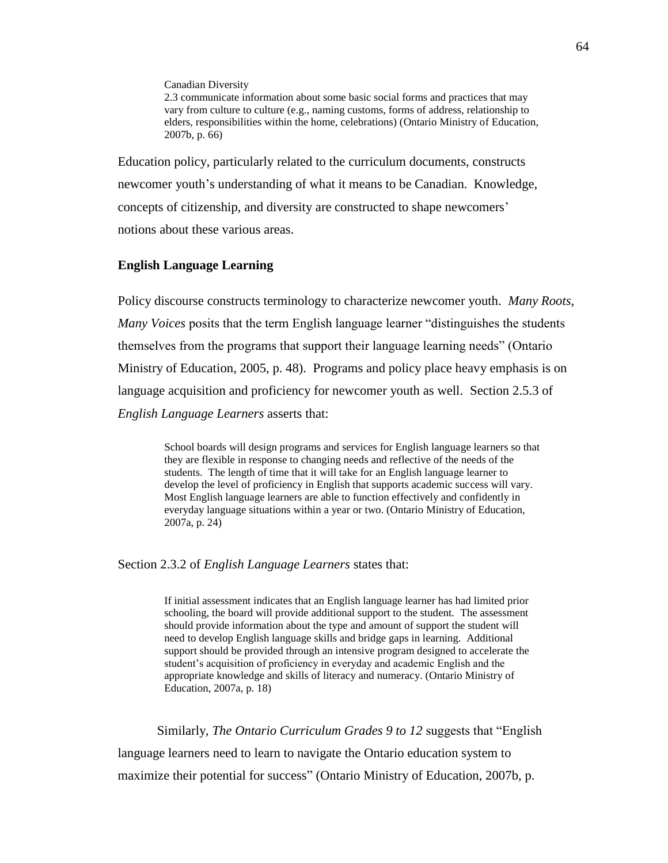Canadian Diversity

2.3 communicate information about some basic social forms and practices that may vary from culture to culture (e.g., naming customs, forms of address, relationship to elders, responsibilities within the home, celebrations) (Ontario Ministry of Education, 2007b, p. 66)

Education policy, particularly related to the curriculum documents, constructs newcomer youth's understanding of what it means to be Canadian. Knowledge, concepts of citizenship, and diversity are constructed to shape newcomers' notions about these various areas.

# **English Language Learning**

Policy discourse constructs terminology to characterize newcomer youth. *Many Roots, Many Voices* posits that the term English language learner "distinguishes the students themselves from the programs that support their language learning needs" (Ontario Ministry of Education, 2005, p. 48). Programs and policy place heavy emphasis is on language acquisition and proficiency for newcomer youth as well. Section 2.5.3 of *English Language Learners* asserts that:

School boards will design programs and services for English language learners so that they are flexible in response to changing needs and reflective of the needs of the students. The length of time that it will take for an English language learner to develop the level of proficiency in English that supports academic success will vary. Most English language learners are able to function effectively and confidently in everyday language situations within a year or two. (Ontario Ministry of Education, 2007a, p. 24)

Section 2.3.2 of *English Language Learners* states that:

If initial assessment indicates that an English language learner has had limited prior schooling, the board will provide additional support to the student. The assessment should provide information about the type and amount of support the student will need to develop English language skills and bridge gaps in learning. Additional support should be provided through an intensive program designed to accelerate the student's acquisition of proficiency in everyday and academic English and the appropriate knowledge and skills of literacy and numeracy. (Ontario Ministry of Education, 2007a, p. 18)

Similarly, *The Ontario Curriculum Grades 9 to 12* suggests that "English language learners need to learn to navigate the Ontario education system to maximize their potential for success" (Ontario Ministry of Education, 2007b, p.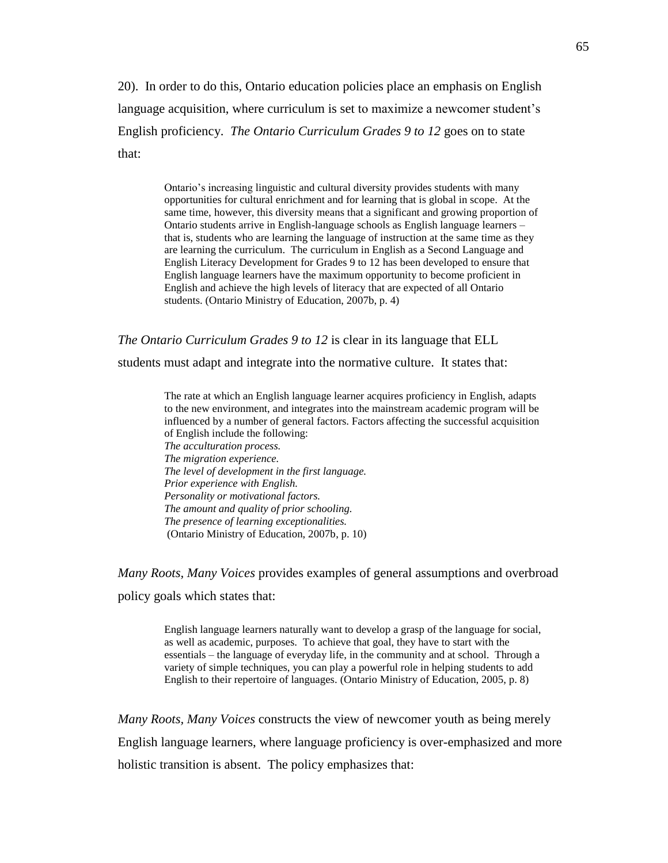20). In order to do this, Ontario education policies place an emphasis on English language acquisition, where curriculum is set to maximize a newcomer student's English proficiency. *The Ontario Curriculum Grades 9 to 12* goes on to state that:

> Ontario's increasing linguistic and cultural diversity provides students with many opportunities for cultural enrichment and for learning that is global in scope. At the same time, however, this diversity means that a significant and growing proportion of Ontario students arrive in English-language schools as English language learners – that is, students who are learning the language of instruction at the same time as they are learning the curriculum. The curriculum in English as a Second Language and English Literacy Development for Grades 9 to 12 has been developed to ensure that English language learners have the maximum opportunity to become proficient in English and achieve the high levels of literacy that are expected of all Ontario students. (Ontario Ministry of Education, 2007b, p. 4)

*The Ontario Curriculum Grades 9 to 12* is clear in its language that ELL

students must adapt and integrate into the normative culture. It states that:

The rate at which an English language learner acquires proficiency in English, adapts to the new environment, and integrates into the mainstream academic program will be influenced by a number of general factors. Factors affecting the successful acquisition of English include the following: *The acculturation process. The migration experience. The level of development in the first language. Prior experience with English. Personality or motivational factors. The amount and quality of prior schooling. The presence of learning exceptionalities.*  (Ontario Ministry of Education, 2007b, p. 10)

*Many Roots, Many Voices* provides examples of general assumptions and overbroad policy goals which states that:

> English language learners naturally want to develop a grasp of the language for social, as well as academic, purposes. To achieve that goal, they have to start with the essentials – the language of everyday life, in the community and at school. Through a variety of simple techniques, you can play a powerful role in helping students to add English to their repertoire of languages. (Ontario Ministry of Education, 2005, p. 8)

*Many Roots, Many Voices* constructs the view of newcomer youth as being merely English language learners, where language proficiency is over-emphasized and more holistic transition is absent. The policy emphasizes that: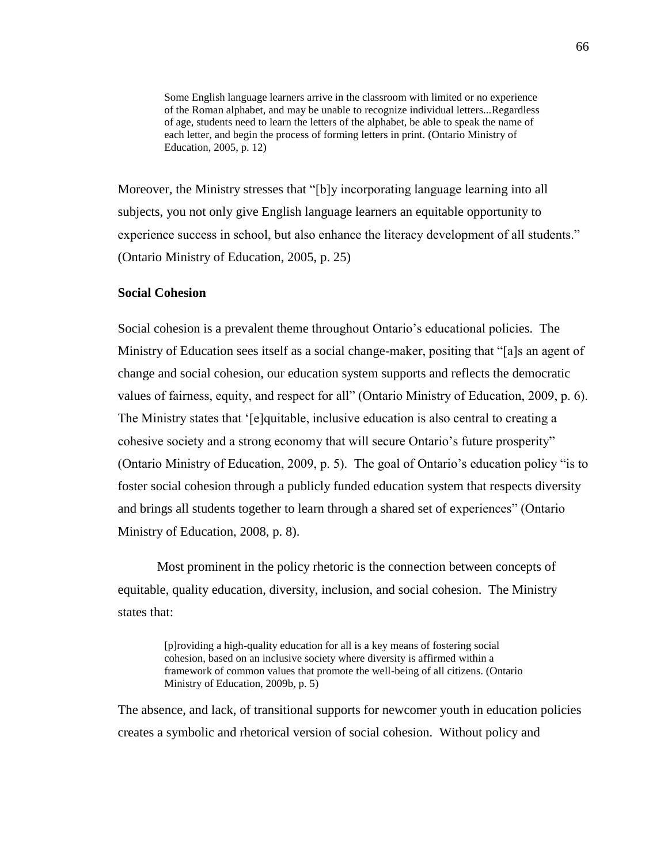Some English language learners arrive in the classroom with limited or no experience of the Roman alphabet, and may be unable to recognize individual letters...Regardless of age, students need to learn the letters of the alphabet, be able to speak the name of each letter, and begin the process of forming letters in print. (Ontario Ministry of Education, 2005, p. 12)

Moreover, the Ministry stresses that "[b]y incorporating language learning into all subjects, you not only give English language learners an equitable opportunity to experience success in school, but also enhance the literacy development of all students." (Ontario Ministry of Education, 2005, p. 25)

# **Social Cohesion**

Social cohesion is a prevalent theme throughout Ontario's educational policies. The Ministry of Education sees itself as a social change-maker, positing that "[a]s an agent of change and social cohesion, our education system supports and reflects the democratic values of fairness, equity, and respect for all" (Ontario Ministry of Education, 2009, p. 6). The Ministry states that '[e]quitable, inclusive education is also central to creating a cohesive society and a strong economy that will secure Ontario's future prosperity" (Ontario Ministry of Education, 2009, p. 5). The goal of Ontario's education policy "is to foster social cohesion through a publicly funded education system that respects diversity and brings all students together to learn through a shared set of experiences" (Ontario Ministry of Education, 2008, p. 8).

Most prominent in the policy rhetoric is the connection between concepts of equitable, quality education, diversity, inclusion, and social cohesion. The Ministry states that:

> [p]roviding a high-quality education for all is a key means of fostering social cohesion, based on an inclusive society where diversity is affirmed within a framework of common values that promote the well-being of all citizens. (Ontario Ministry of Education, 2009b, p. 5)

The absence, and lack, of transitional supports for newcomer youth in education policies creates a symbolic and rhetorical version of social cohesion. Without policy and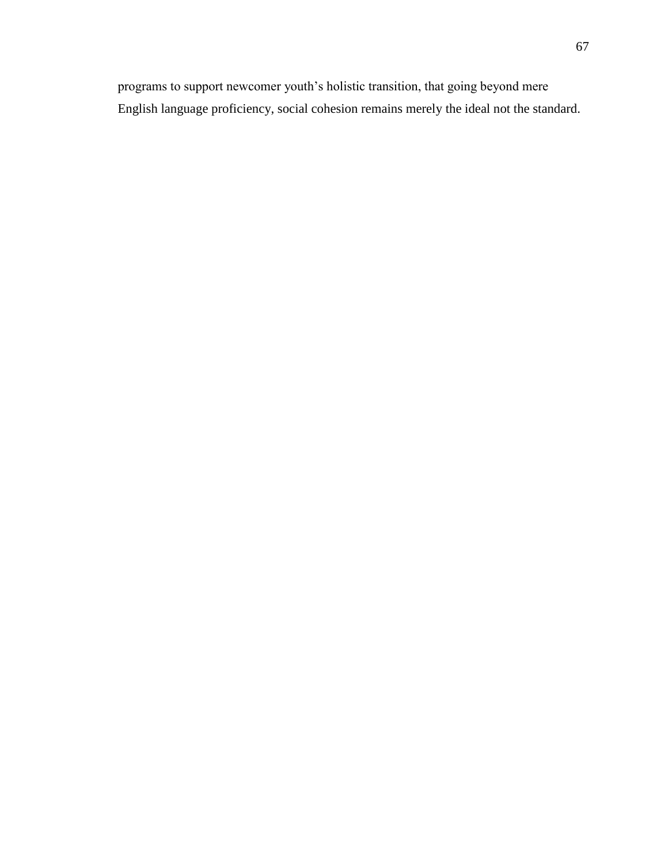programs to support newcomer youth's holistic transition, that going beyond mere English language proficiency, social cohesion remains merely the ideal not the standard.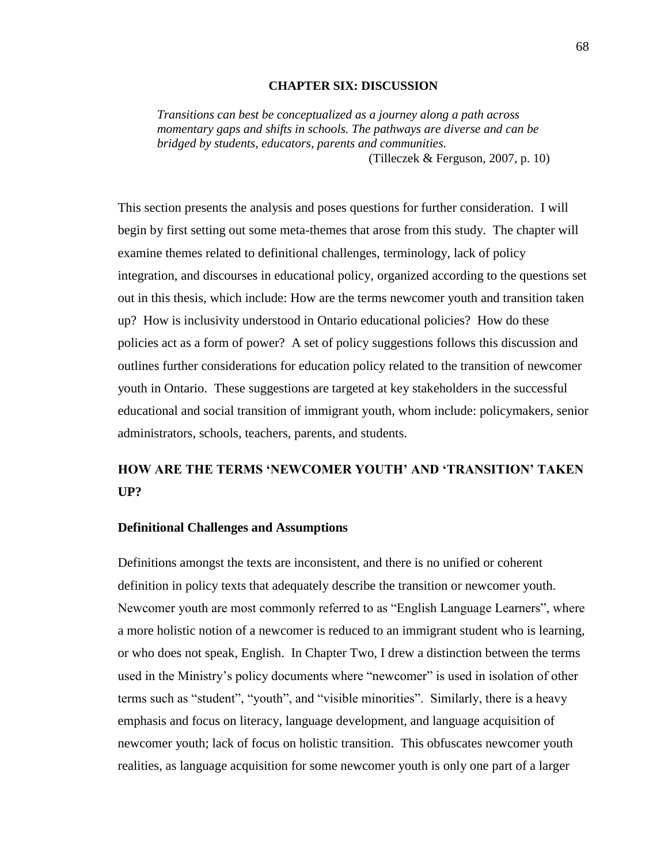### **CHAPTER SIX: DISCUSSION**

*Transitions can best be conceptualized as a journey along a path across momentary gaps and shifts in schools. The pathways are diverse and can be bridged by students, educators, parents and communities.*

(Tilleczek & Ferguson, 2007, p. 10)

This section presents the analysis and poses questions for further consideration. I will begin by first setting out some meta-themes that arose from this study. The chapter will examine themes related to definitional challenges, terminology, lack of policy integration, and discourses in educational policy, organized according to the questions set out in this thesis, which include: How are the terms newcomer youth and transition taken up? How is inclusivity understood in Ontario educational policies? How do these policies act as a form of power? A set of policy suggestions follows this discussion and outlines further considerations for education policy related to the transition of newcomer youth in Ontario. These suggestions are targeted at key stakeholders in the successful educational and social transition of immigrant youth, whom include: policymakers, senior administrators, schools, teachers, parents, and students.

# **HOW ARE THE TERMS 'NEWCOMER YOUTH' AND 'TRANSITION' TAKEN UP?**

# **Definitional Challenges and Assumptions**

Definitions amongst the texts are inconsistent, and there is no unified or coherent definition in policy texts that adequately describe the transition or newcomer youth. Newcomer youth are most commonly referred to as "English Language Learners", where a more holistic notion of a newcomer is reduced to an immigrant student who is learning, or who does not speak, English. In Chapter Two, I drew a distinction between the terms used in the Ministry's policy documents where "newcomer" is used in isolation of other terms such as "student", "youth", and "visible minorities". Similarly, there is a heavy emphasis and focus on literacy, language development, and language acquisition of newcomer youth; lack of focus on holistic transition. This obfuscates newcomer youth realities, as language acquisition for some newcomer youth is only one part of a larger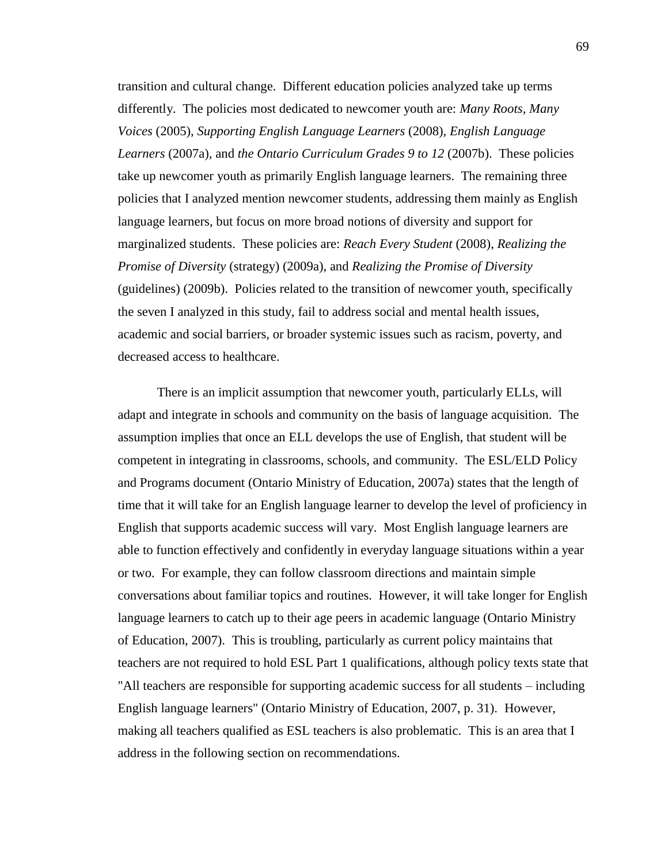transition and cultural change. Different education policies analyzed take up terms differently. The policies most dedicated to newcomer youth are: *Many Roots, Many Voices* (2005), *Supporting English Language Learners* (2008)*, English Language Learners* (2007a)*,* and *the Ontario Curriculum Grades 9 to 12* (2007b). These policies take up newcomer youth as primarily English language learners. The remaining three policies that I analyzed mention newcomer students, addressing them mainly as English language learners, but focus on more broad notions of diversity and support for marginalized students. These policies are: *Reach Every Student* (2008), *Realizing the Promise of Diversity* (strategy) (2009a), and *Realizing the Promise of Diversity* (guidelines) (2009b). Policies related to the transition of newcomer youth, specifically the seven I analyzed in this study, fail to address social and mental health issues, academic and social barriers, or broader systemic issues such as racism, poverty, and decreased access to healthcare.

There is an implicit assumption that newcomer youth, particularly ELLs, will adapt and integrate in schools and community on the basis of language acquisition. The assumption implies that once an ELL develops the use of English, that student will be competent in integrating in classrooms, schools, and community. The ESL/ELD Policy and Programs document (Ontario Ministry of Education, 2007a) states that the length of time that it will take for an English language learner to develop the level of proficiency in English that supports academic success will vary. Most English language learners are able to function effectively and confidently in everyday language situations within a year or two. For example, they can follow classroom directions and maintain simple conversations about familiar topics and routines. However, it will take longer for English language learners to catch up to their age peers in academic language (Ontario Ministry of Education, 2007). This is troubling, particularly as current policy maintains that teachers are not required to hold ESL Part 1 qualifications, although policy texts state that "All teachers are responsible for supporting academic success for all students – including English language learners" (Ontario Ministry of Education, 2007, p. 31). However, making all teachers qualified as ESL teachers is also problematic. This is an area that I address in the following section on recommendations.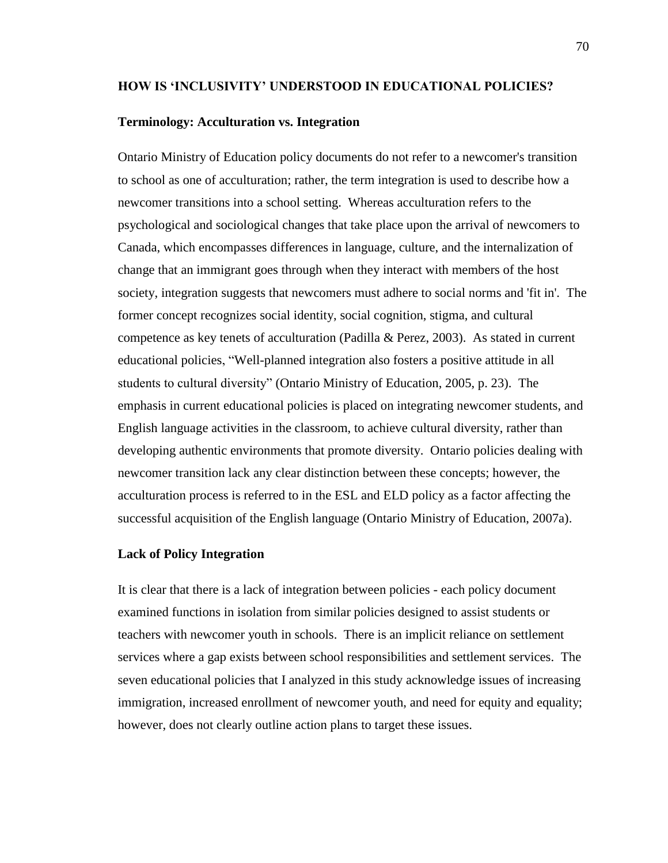### **HOW IS 'INCLUSIVITY' UNDERSTOOD IN EDUCATIONAL POLICIES?**

### **Terminology: Acculturation vs. Integration**

Ontario Ministry of Education policy documents do not refer to a newcomer's transition to school as one of acculturation; rather, the term integration is used to describe how a newcomer transitions into a school setting. Whereas acculturation refers to the psychological and sociological changes that take place upon the arrival of newcomers to Canada, which encompasses differences in language, culture, and the internalization of change that an immigrant goes through when they interact with members of the host society, integration suggests that newcomers must adhere to social norms and 'fit in'. The former concept recognizes social identity, social cognition, stigma, and cultural competence as key tenets of acculturation (Padilla & Perez, 2003). As stated in current educational policies, "Well-planned integration also fosters a positive attitude in all students to cultural diversity" (Ontario Ministry of Education, 2005, p. 23). The emphasis in current educational policies is placed on integrating newcomer students, and English language activities in the classroom, to achieve cultural diversity, rather than developing authentic environments that promote diversity. Ontario policies dealing with newcomer transition lack any clear distinction between these concepts; however, the acculturation process is referred to in the ESL and ELD policy as a factor affecting the successful acquisition of the English language (Ontario Ministry of Education, 2007a).

# **Lack of Policy Integration**

It is clear that there is a lack of integration between policies - each policy document examined functions in isolation from similar policies designed to assist students or teachers with newcomer youth in schools. There is an implicit reliance on settlement services where a gap exists between school responsibilities and settlement services. The seven educational policies that I analyzed in this study acknowledge issues of increasing immigration, increased enrollment of newcomer youth, and need for equity and equality; however, does not clearly outline action plans to target these issues.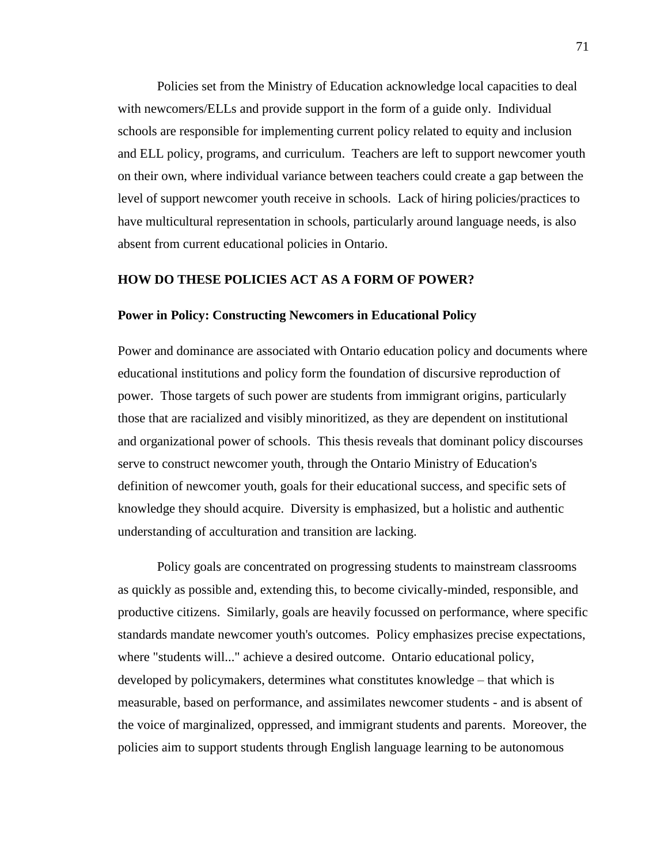Policies set from the Ministry of Education acknowledge local capacities to deal with newcomers/ELLs and provide support in the form of a guide only. Individual schools are responsible for implementing current policy related to equity and inclusion and ELL policy, programs, and curriculum. Teachers are left to support newcomer youth on their own, where individual variance between teachers could create a gap between the level of support newcomer youth receive in schools. Lack of hiring policies/practices to have multicultural representation in schools, particularly around language needs, is also absent from current educational policies in Ontario.

### **HOW DO THESE POLICIES ACT AS A FORM OF POWER?**

### **Power in Policy: Constructing Newcomers in Educational Policy**

Power and dominance are associated with Ontario education policy and documents where educational institutions and policy form the foundation of discursive reproduction of power. Those targets of such power are students from immigrant origins, particularly those that are racialized and visibly minoritized, as they are dependent on institutional and organizational power of schools. This thesis reveals that dominant policy discourses serve to construct newcomer youth, through the Ontario Ministry of Education's definition of newcomer youth, goals for their educational success, and specific sets of knowledge they should acquire. Diversity is emphasized, but a holistic and authentic understanding of acculturation and transition are lacking.

Policy goals are concentrated on progressing students to mainstream classrooms as quickly as possible and, extending this, to become civically-minded, responsible, and productive citizens. Similarly, goals are heavily focussed on performance, where specific standards mandate newcomer youth's outcomes. Policy emphasizes precise expectations, where "students will..." achieve a desired outcome. Ontario educational policy, developed by policymakers, determines what constitutes knowledge – that which is measurable, based on performance, and assimilates newcomer students - and is absent of the voice of marginalized, oppressed, and immigrant students and parents. Moreover, the policies aim to support students through English language learning to be autonomous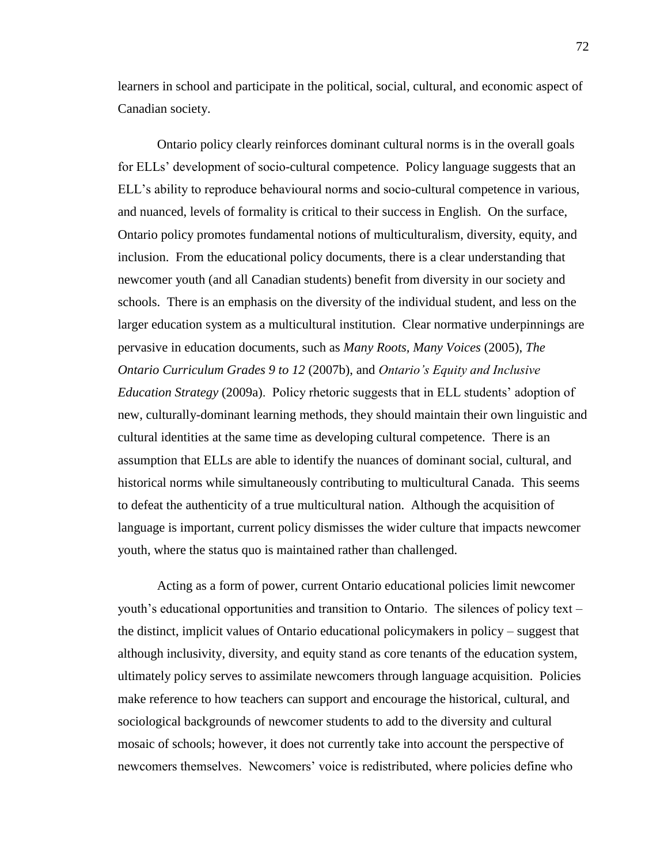learners in school and participate in the political, social, cultural, and economic aspect of Canadian society.

Ontario policy clearly reinforces dominant cultural norms is in the overall goals for ELLs' development of socio-cultural competence. Policy language suggests that an ELL's ability to reproduce behavioural norms and socio-cultural competence in various, and nuanced, levels of formality is critical to their success in English. On the surface, Ontario policy promotes fundamental notions of multiculturalism, diversity, equity, and inclusion. From the educational policy documents, there is a clear understanding that newcomer youth (and all Canadian students) benefit from diversity in our society and schools. There is an emphasis on the diversity of the individual student, and less on the larger education system as a multicultural institution. Clear normative underpinnings are pervasive in education documents, such as *Many Roots, Many Voices* (2005), *The Ontario Curriculum Grades 9 to 12* (2007b), and *Ontario's Equity and Inclusive Education Strategy* (2009a). Policy rhetoric suggests that in ELL students' adoption of new, culturally-dominant learning methods, they should maintain their own linguistic and cultural identities at the same time as developing cultural competence. There is an assumption that ELLs are able to identify the nuances of dominant social, cultural, and historical norms while simultaneously contributing to multicultural Canada. This seems to defeat the authenticity of a true multicultural nation. Although the acquisition of language is important, current policy dismisses the wider culture that impacts newcomer youth, where the status quo is maintained rather than challenged.

Acting as a form of power, current Ontario educational policies limit newcomer youth's educational opportunities and transition to Ontario. The silences of policy text – the distinct, implicit values of Ontario educational policymakers in policy – suggest that although inclusivity, diversity, and equity stand as core tenants of the education system, ultimately policy serves to assimilate newcomers through language acquisition. Policies make reference to how teachers can support and encourage the historical, cultural, and sociological backgrounds of newcomer students to add to the diversity and cultural mosaic of schools; however, it does not currently take into account the perspective of newcomers themselves. Newcomers' voice is redistributed, where policies define who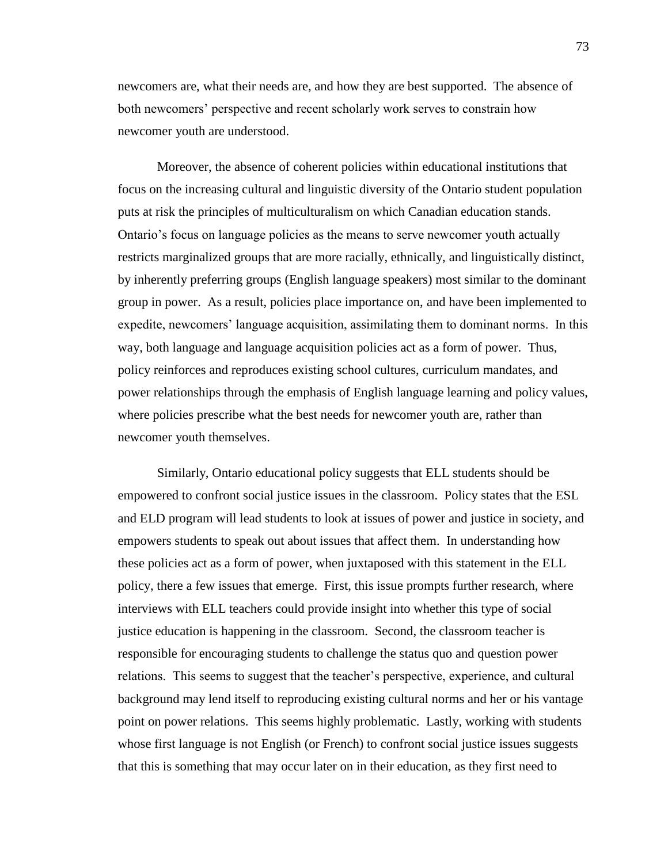newcomers are, what their needs are, and how they are best supported. The absence of both newcomers' perspective and recent scholarly work serves to constrain how newcomer youth are understood.

Moreover, the absence of coherent policies within educational institutions that focus on the increasing cultural and linguistic diversity of the Ontario student population puts at risk the principles of multiculturalism on which Canadian education stands. Ontario's focus on language policies as the means to serve newcomer youth actually restricts marginalized groups that are more racially, ethnically, and linguistically distinct, by inherently preferring groups (English language speakers) most similar to the dominant group in power. As a result, policies place importance on, and have been implemented to expedite, newcomers' language acquisition, assimilating them to dominant norms. In this way, both language and language acquisition policies act as a form of power. Thus, policy reinforces and reproduces existing school cultures, curriculum mandates, and power relationships through the emphasis of English language learning and policy values, where policies prescribe what the best needs for newcomer youth are, rather than newcomer youth themselves.

Similarly, Ontario educational policy suggests that ELL students should be empowered to confront social justice issues in the classroom. Policy states that the ESL and ELD program will lead students to look at issues of power and justice in society, and empowers students to speak out about issues that affect them. In understanding how these policies act as a form of power, when juxtaposed with this statement in the ELL policy, there a few issues that emerge. First, this issue prompts further research, where interviews with ELL teachers could provide insight into whether this type of social justice education is happening in the classroom. Second, the classroom teacher is responsible for encouraging students to challenge the status quo and question power relations. This seems to suggest that the teacher's perspective, experience, and cultural background may lend itself to reproducing existing cultural norms and her or his vantage point on power relations. This seems highly problematic. Lastly, working with students whose first language is not English (or French) to confront social justice issues suggests that this is something that may occur later on in their education, as they first need to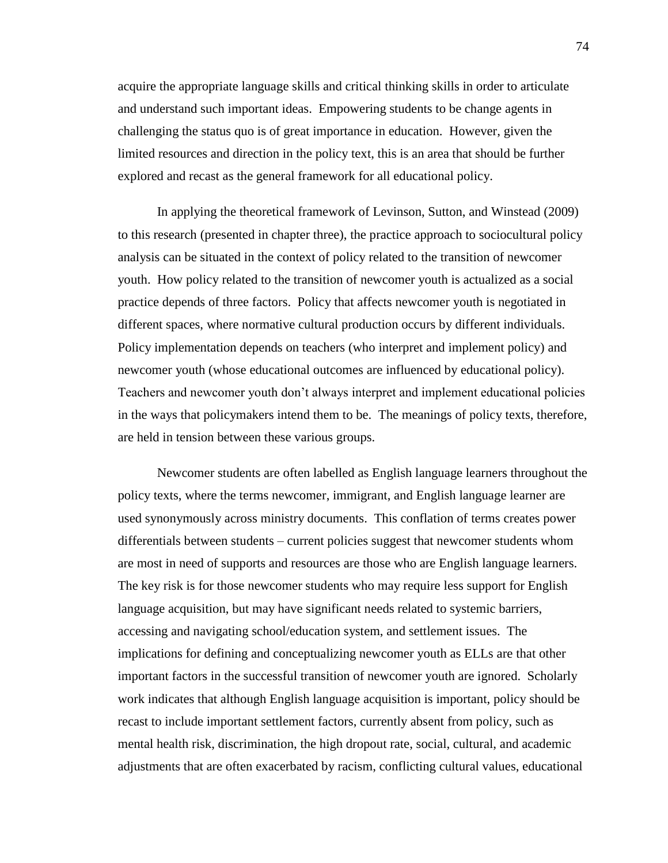acquire the appropriate language skills and critical thinking skills in order to articulate and understand such important ideas. Empowering students to be change agents in challenging the status quo is of great importance in education. However, given the limited resources and direction in the policy text, this is an area that should be further explored and recast as the general framework for all educational policy.

In applying the theoretical framework of Levinson, Sutton, and Winstead (2009) to this research (presented in chapter three), the practice approach to sociocultural policy analysis can be situated in the context of policy related to the transition of newcomer youth. How policy related to the transition of newcomer youth is actualized as a social practice depends of three factors. Policy that affects newcomer youth is negotiated in different spaces, where normative cultural production occurs by different individuals. Policy implementation depends on teachers (who interpret and implement policy) and newcomer youth (whose educational outcomes are influenced by educational policy). Teachers and newcomer youth don't always interpret and implement educational policies in the ways that policymakers intend them to be. The meanings of policy texts, therefore, are held in tension between these various groups.

Newcomer students are often labelled as English language learners throughout the policy texts, where the terms newcomer, immigrant, and English language learner are used synonymously across ministry documents. This conflation of terms creates power differentials between students – current policies suggest that newcomer students whom are most in need of supports and resources are those who are English language learners. The key risk is for those newcomer students who may require less support for English language acquisition, but may have significant needs related to systemic barriers, accessing and navigating school/education system, and settlement issues. The implications for defining and conceptualizing newcomer youth as ELLs are that other important factors in the successful transition of newcomer youth are ignored. Scholarly work indicates that although English language acquisition is important, policy should be recast to include important settlement factors, currently absent from policy, such as mental health risk, discrimination, the high dropout rate, social, cultural, and academic adjustments that are often exacerbated by racism, conflicting cultural values, educational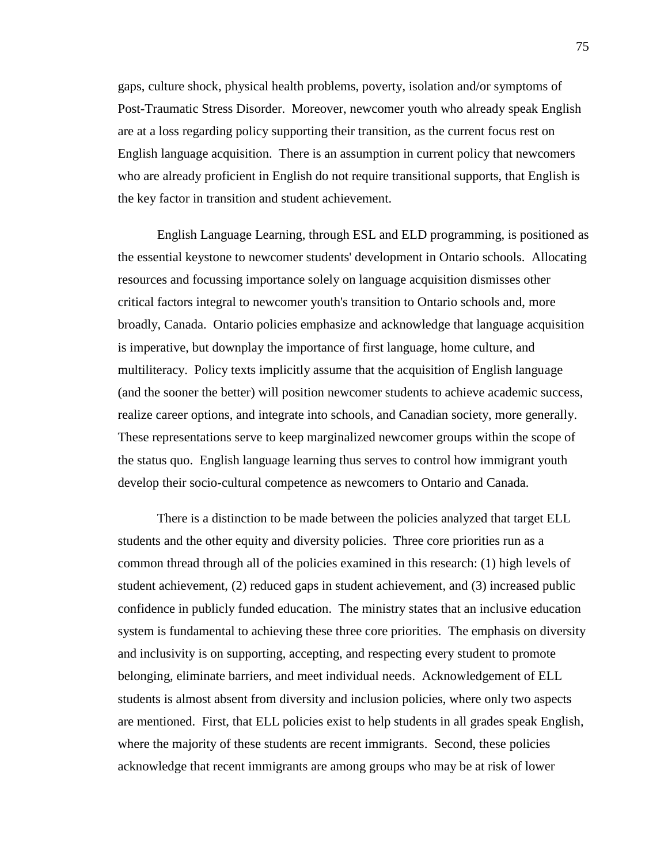gaps, culture shock, physical health problems, poverty, isolation and/or symptoms of Post-Traumatic Stress Disorder. Moreover, newcomer youth who already speak English are at a loss regarding policy supporting their transition, as the current focus rest on English language acquisition. There is an assumption in current policy that newcomers who are already proficient in English do not require transitional supports, that English is the key factor in transition and student achievement.

English Language Learning, through ESL and ELD programming, is positioned as the essential keystone to newcomer students' development in Ontario schools. Allocating resources and focussing importance solely on language acquisition dismisses other critical factors integral to newcomer youth's transition to Ontario schools and, more broadly, Canada. Ontario policies emphasize and acknowledge that language acquisition is imperative, but downplay the importance of first language, home culture, and multiliteracy. Policy texts implicitly assume that the acquisition of English language (and the sooner the better) will position newcomer students to achieve academic success, realize career options, and integrate into schools, and Canadian society, more generally. These representations serve to keep marginalized newcomer groups within the scope of the status quo. English language learning thus serves to control how immigrant youth develop their socio-cultural competence as newcomers to Ontario and Canada.

There is a distinction to be made between the policies analyzed that target ELL students and the other equity and diversity policies. Three core priorities run as a common thread through all of the policies examined in this research: (1) high levels of student achievement, (2) reduced gaps in student achievement, and (3) increased public confidence in publicly funded education. The ministry states that an inclusive education system is fundamental to achieving these three core priorities. The emphasis on diversity and inclusivity is on supporting, accepting, and respecting every student to promote belonging, eliminate barriers, and meet individual needs. Acknowledgement of ELL students is almost absent from diversity and inclusion policies, where only two aspects are mentioned. First, that ELL policies exist to help students in all grades speak English, where the majority of these students are recent immigrants. Second, these policies acknowledge that recent immigrants are among groups who may be at risk of lower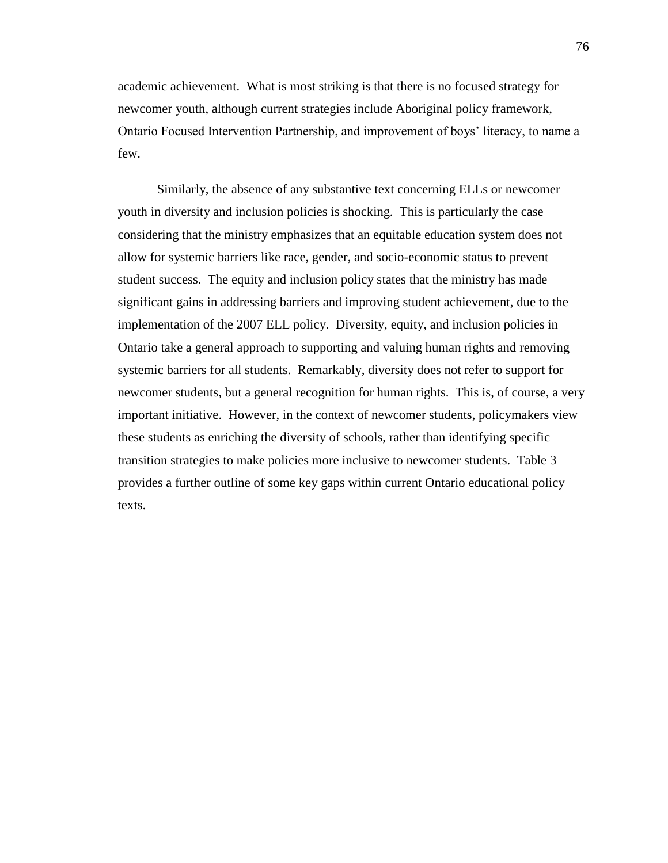academic achievement. What is most striking is that there is no focused strategy for newcomer youth, although current strategies include Aboriginal policy framework, Ontario Focused Intervention Partnership, and improvement of boys' literacy, to name a few.

Similarly, the absence of any substantive text concerning ELLs or newcomer youth in diversity and inclusion policies is shocking. This is particularly the case considering that the ministry emphasizes that an equitable education system does not allow for systemic barriers like race, gender, and socio-economic status to prevent student success. The equity and inclusion policy states that the ministry has made significant gains in addressing barriers and improving student achievement, due to the implementation of the 2007 ELL policy. Diversity, equity, and inclusion policies in Ontario take a general approach to supporting and valuing human rights and removing systemic barriers for all students. Remarkably, diversity does not refer to support for newcomer students, but a general recognition for human rights. This is, of course, a very important initiative. However, in the context of newcomer students, policymakers view these students as enriching the diversity of schools, rather than identifying specific transition strategies to make policies more inclusive to newcomer students. Table 3 provides a further outline of some key gaps within current Ontario educational policy texts.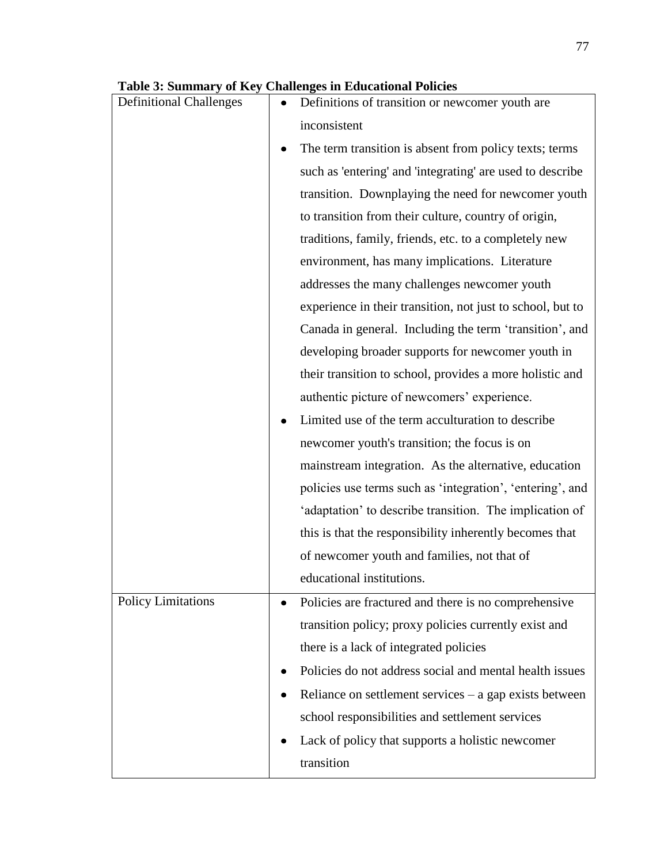| <b>Definitional Challenges</b> | Definitions of transition or newcomer youth are            |
|--------------------------------|------------------------------------------------------------|
|                                | inconsistent                                               |
|                                | The term transition is absent from policy texts; terms     |
|                                | such as 'entering' and 'integrating' are used to describe  |
|                                | transition. Downplaying the need for newcomer youth        |
|                                | to transition from their culture, country of origin,       |
|                                | traditions, family, friends, etc. to a completely new      |
|                                | environment, has many implications. Literature             |
|                                | addresses the many challenges newcomer youth               |
|                                | experience in their transition, not just to school, but to |
|                                | Canada in general. Including the term 'transition', and    |
|                                | developing broader supports for newcomer youth in          |
|                                | their transition to school, provides a more holistic and   |
|                                | authentic picture of newcomers' experience.                |
|                                | Limited use of the term acculturation to describe          |
|                                | newcomer youth's transition; the focus is on               |
|                                | mainstream integration. As the alternative, education      |
|                                | policies use terms such as 'integration', 'entering', and  |
|                                | 'adaptation' to describe transition. The implication of    |
|                                | this is that the responsibility inherently becomes that    |
|                                | of newcomer youth and families, not that of                |
|                                | educational institutions.                                  |
| <b>Policy Limitations</b>      | Policies are fractured and there is no comprehensive       |
|                                | transition policy; proxy policies currently exist and      |
|                                | there is a lack of integrated policies                     |
|                                | Policies do not address social and mental health issues    |
|                                | Reliance on settlement services $-$ a gap exists between   |
|                                | school responsibilities and settlement services            |
|                                | Lack of policy that supports a holistic newcomer           |
|                                | transition                                                 |

# **Table 3: Summary of Key Challenges in Educational Policies**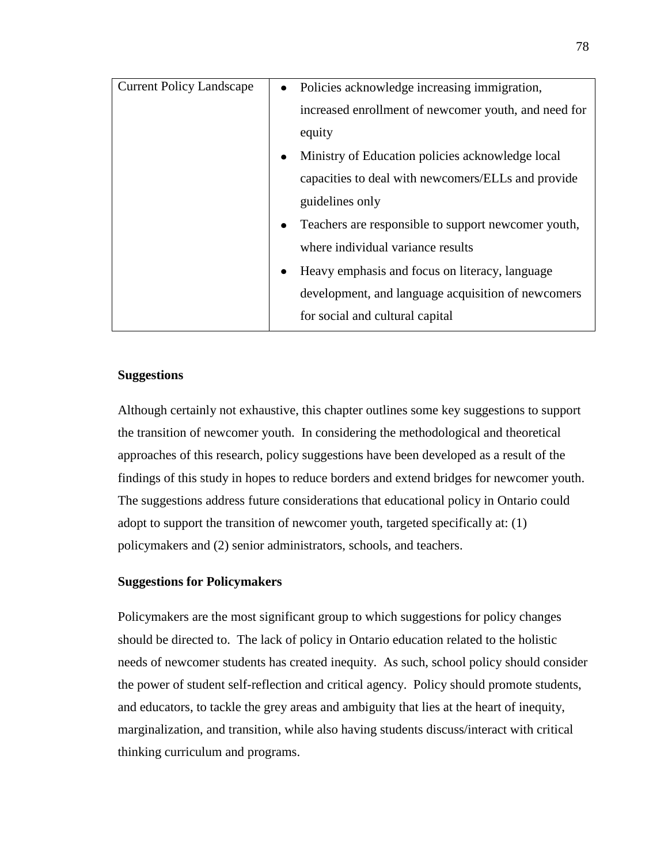| <b>Current Policy Landscape</b> | $\bullet$ | Policies acknowledge increasing immigration,         |
|---------------------------------|-----------|------------------------------------------------------|
|                                 |           | increased enrollment of newcomer youth, and need for |
|                                 |           | equity                                               |
|                                 | ٠         | Ministry of Education policies acknowledge local     |
|                                 |           | capacities to deal with newcomers/ELLs and provide   |
|                                 |           | guidelines only                                      |
|                                 | $\bullet$ | Teachers are responsible to support newcomer youth,  |
|                                 |           | where individual variance results                    |
|                                 | $\bullet$ | Heavy emphasis and focus on literacy, language       |
|                                 |           | development, and language acquisition of newcomers   |
|                                 |           | for social and cultural capital                      |
|                                 |           |                                                      |

# **Suggestions**

Although certainly not exhaustive, this chapter outlines some key suggestions to support the transition of newcomer youth. In considering the methodological and theoretical approaches of this research, policy suggestions have been developed as a result of the findings of this study in hopes to reduce borders and extend bridges for newcomer youth. The suggestions address future considerations that educational policy in Ontario could adopt to support the transition of newcomer youth, targeted specifically at: (1) policymakers and (2) senior administrators, schools, and teachers.

# **Suggestions for Policymakers**

Policymakers are the most significant group to which suggestions for policy changes should be directed to. The lack of policy in Ontario education related to the holistic needs of newcomer students has created inequity. As such, school policy should consider the power of student self-reflection and critical agency. Policy should promote students, and educators, to tackle the grey areas and ambiguity that lies at the heart of inequity, marginalization, and transition, while also having students discuss/interact with critical thinking curriculum and programs.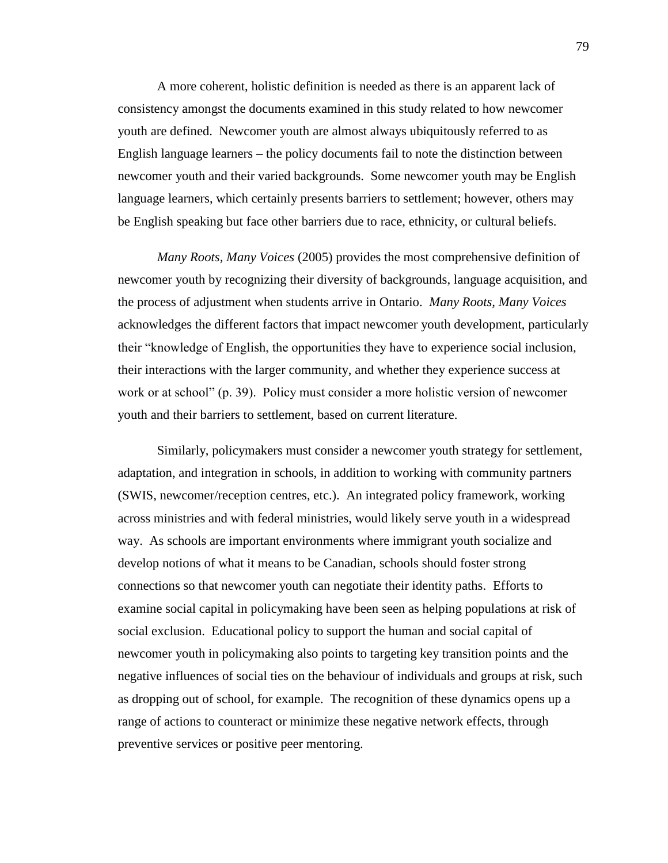A more coherent, holistic definition is needed as there is an apparent lack of consistency amongst the documents examined in this study related to how newcomer youth are defined. Newcomer youth are almost always ubiquitously referred to as English language learners – the policy documents fail to note the distinction between newcomer youth and their varied backgrounds. Some newcomer youth may be English language learners, which certainly presents barriers to settlement; however, others may be English speaking but face other barriers due to race, ethnicity, or cultural beliefs.

*Many Roots, Many Voices* (2005) provides the most comprehensive definition of newcomer youth by recognizing their diversity of backgrounds, language acquisition, and the process of adjustment when students arrive in Ontario. *Many Roots, Many Voices* acknowledges the different factors that impact newcomer youth development, particularly their "knowledge of English, the opportunities they have to experience social inclusion, their interactions with the larger community, and whether they experience success at work or at school" (p. 39). Policy must consider a more holistic version of newcomer youth and their barriers to settlement, based on current literature.

Similarly, policymakers must consider a newcomer youth strategy for settlement, adaptation, and integration in schools, in addition to working with community partners (SWIS, newcomer/reception centres, etc.). An integrated policy framework, working across ministries and with federal ministries, would likely serve youth in a widespread way. As schools are important environments where immigrant youth socialize and develop notions of what it means to be Canadian, schools should foster strong connections so that newcomer youth can negotiate their identity paths. Efforts to examine social capital in policymaking have been seen as helping populations at risk of social exclusion. Educational policy to support the human and social capital of newcomer youth in policymaking also points to targeting key transition points and the negative influences of social ties on the behaviour of individuals and groups at risk, such as dropping out of school, for example. The recognition of these dynamics opens up a range of actions to counteract or minimize these negative network effects, through preventive services or positive peer mentoring.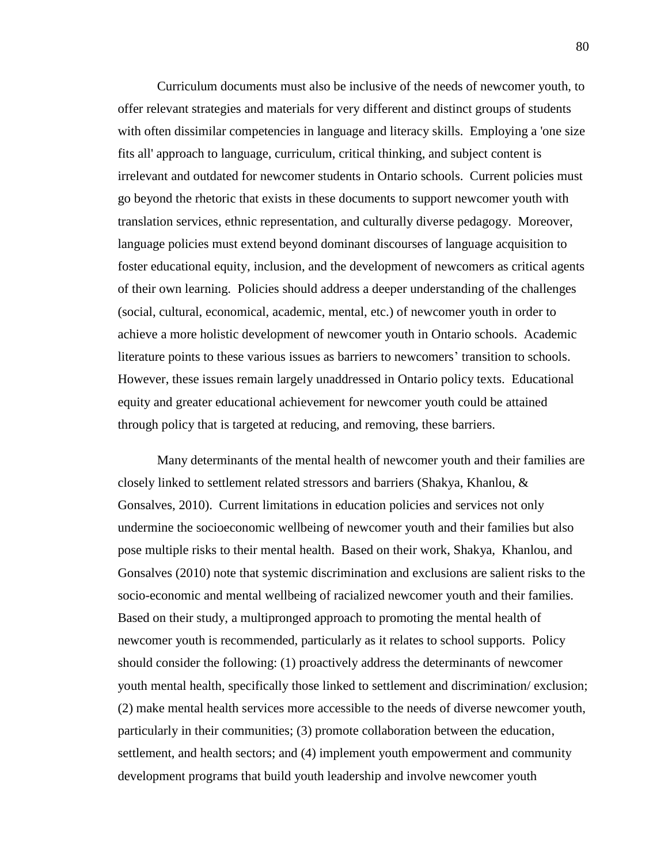Curriculum documents must also be inclusive of the needs of newcomer youth, to offer relevant strategies and materials for very different and distinct groups of students with often dissimilar competencies in language and literacy skills. Employing a 'one size fits all' approach to language, curriculum, critical thinking, and subject content is irrelevant and outdated for newcomer students in Ontario schools. Current policies must go beyond the rhetoric that exists in these documents to support newcomer youth with translation services, ethnic representation, and culturally diverse pedagogy. Moreover, language policies must extend beyond dominant discourses of language acquisition to foster educational equity, inclusion, and the development of newcomers as critical agents of their own learning. Policies should address a deeper understanding of the challenges (social, cultural, economical, academic, mental, etc.) of newcomer youth in order to achieve a more holistic development of newcomer youth in Ontario schools. Academic literature points to these various issues as barriers to newcomers' transition to schools. However, these issues remain largely unaddressed in Ontario policy texts. Educational equity and greater educational achievement for newcomer youth could be attained through policy that is targeted at reducing, and removing, these barriers.

Many determinants of the mental health of newcomer youth and their families are closely linked to settlement related stressors and barriers (Shakya, Khanlou, & Gonsalves, 2010). Current limitations in education policies and services not only undermine the socioeconomic wellbeing of newcomer youth and their families but also pose multiple risks to their mental health. Based on their work, Shakya, Khanlou, and Gonsalves (2010) note that systemic discrimination and exclusions are salient risks to the socio-economic and mental wellbeing of racialized newcomer youth and their families. Based on their study, a multipronged approach to promoting the mental health of newcomer youth is recommended, particularly as it relates to school supports. Policy should consider the following: (1) proactively address the determinants of newcomer youth mental health, specifically those linked to settlement and discrimination/ exclusion; (2) make mental health services more accessible to the needs of diverse newcomer youth, particularly in their communities; (3) promote collaboration between the education, settlement, and health sectors; and (4) implement youth empowerment and community development programs that build youth leadership and involve newcomer youth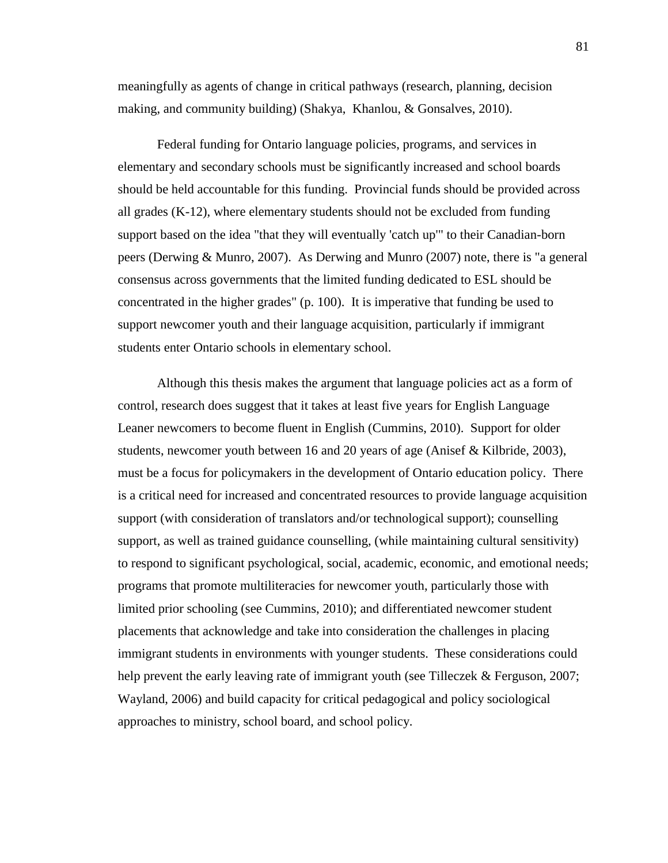meaningfully as agents of change in critical pathways (research, planning, decision making, and community building) (Shakya, Khanlou, & Gonsalves, 2010).

Federal funding for Ontario language policies, programs, and services in elementary and secondary schools must be significantly increased and school boards should be held accountable for this funding. Provincial funds should be provided across all grades (K-12), where elementary students should not be excluded from funding support based on the idea "that they will eventually 'catch up'" to their Canadian-born peers (Derwing & Munro, 2007). As Derwing and Munro (2007) note, there is "a general consensus across governments that the limited funding dedicated to ESL should be concentrated in the higher grades" (p. 100). It is imperative that funding be used to support newcomer youth and their language acquisition, particularly if immigrant students enter Ontario schools in elementary school.

Although this thesis makes the argument that language policies act as a form of control, research does suggest that it takes at least five years for English Language Leaner newcomers to become fluent in English (Cummins, 2010). Support for older students, newcomer youth between 16 and 20 years of age (Anisef & Kilbride, 2003), must be a focus for policymakers in the development of Ontario education policy. There is a critical need for increased and concentrated resources to provide language acquisition support (with consideration of translators and/or technological support); counselling support, as well as trained guidance counselling, (while maintaining cultural sensitivity) to respond to significant psychological, social, academic, economic, and emotional needs; programs that promote multiliteracies for newcomer youth, particularly those with limited prior schooling (see Cummins, 2010); and differentiated newcomer student placements that acknowledge and take into consideration the challenges in placing immigrant students in environments with younger students. These considerations could help prevent the early leaving rate of immigrant youth (see Tilleczek & Ferguson, 2007; Wayland, 2006) and build capacity for critical pedagogical and policy sociological approaches to ministry, school board, and school policy.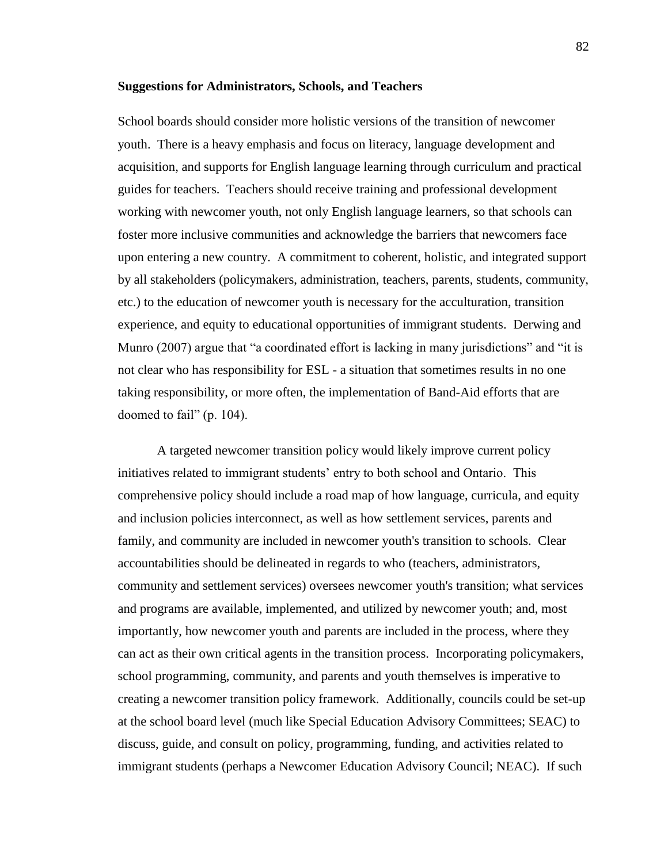### **Suggestions for Administrators, Schools, and Teachers**

School boards should consider more holistic versions of the transition of newcomer youth. There is a heavy emphasis and focus on literacy, language development and acquisition, and supports for English language learning through curriculum and practical guides for teachers. Teachers should receive training and professional development working with newcomer youth, not only English language learners, so that schools can foster more inclusive communities and acknowledge the barriers that newcomers face upon entering a new country. A commitment to coherent, holistic, and integrated support by all stakeholders (policymakers, administration, teachers, parents, students, community, etc.) to the education of newcomer youth is necessary for the acculturation, transition experience, and equity to educational opportunities of immigrant students. Derwing and Munro (2007) argue that "a coordinated effort is lacking in many jurisdictions" and "it is not clear who has responsibility for ESL - a situation that sometimes results in no one taking responsibility, or more often, the implementation of Band-Aid efforts that are doomed to fail" (p. 104).

A targeted newcomer transition policy would likely improve current policy initiatives related to immigrant students' entry to both school and Ontario. This comprehensive policy should include a road map of how language, curricula, and equity and inclusion policies interconnect, as well as how settlement services, parents and family, and community are included in newcomer youth's transition to schools. Clear accountabilities should be delineated in regards to who (teachers, administrators, community and settlement services) oversees newcomer youth's transition; what services and programs are available, implemented, and utilized by newcomer youth; and, most importantly, how newcomer youth and parents are included in the process, where they can act as their own critical agents in the transition process. Incorporating policymakers, school programming, community, and parents and youth themselves is imperative to creating a newcomer transition policy framework. Additionally, councils could be set-up at the school board level (much like Special Education Advisory Committees; SEAC) to discuss, guide, and consult on policy, programming, funding, and activities related to immigrant students (perhaps a Newcomer Education Advisory Council; NEAC). If such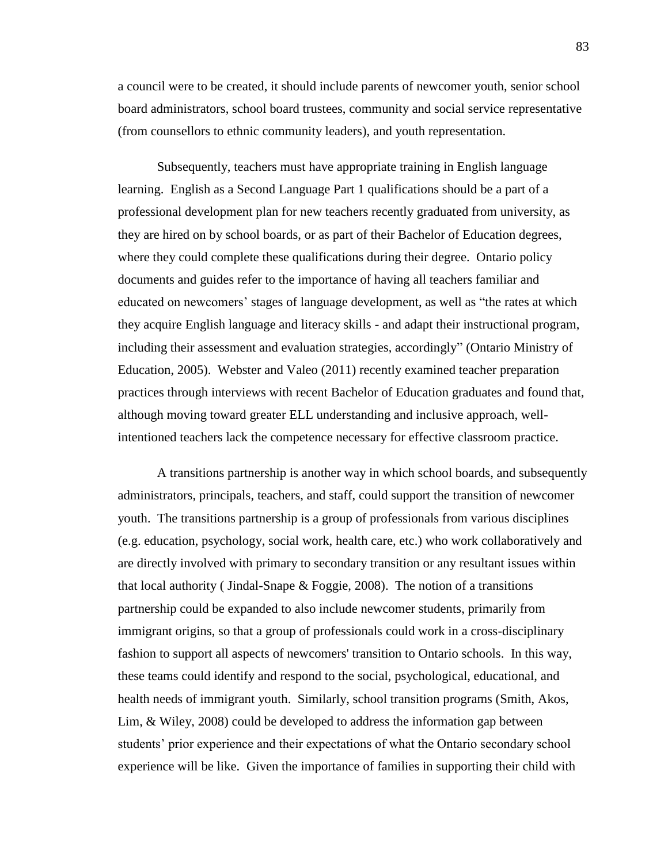a council were to be created, it should include parents of newcomer youth, senior school board administrators, school board trustees, community and social service representative (from counsellors to ethnic community leaders), and youth representation.

Subsequently, teachers must have appropriate training in English language learning. English as a Second Language Part 1 qualifications should be a part of a professional development plan for new teachers recently graduated from university, as they are hired on by school boards, or as part of their Bachelor of Education degrees, where they could complete these qualifications during their degree. Ontario policy documents and guides refer to the importance of having all teachers familiar and educated on newcomers' stages of language development, as well as "the rates at which they acquire English language and literacy skills - and adapt their instructional program, including their assessment and evaluation strategies, accordingly" (Ontario Ministry of Education, 2005). Webster and Valeo (2011) recently examined teacher preparation practices through interviews with recent Bachelor of Education graduates and found that, although moving toward greater ELL understanding and inclusive approach, wellintentioned teachers lack the competence necessary for effective classroom practice.

A transitions partnership is another way in which school boards, and subsequently administrators, principals, teachers, and staff, could support the transition of newcomer youth. The transitions partnership is a group of professionals from various disciplines (e.g. education, psychology, social work, health care, etc.) who work collaboratively and are directly involved with primary to secondary transition or any resultant issues within that local authority (Jindal-Snape  $\&$  Foggie, 2008). The notion of a transitions partnership could be expanded to also include newcomer students, primarily from immigrant origins, so that a group of professionals could work in a cross-disciplinary fashion to support all aspects of newcomers' transition to Ontario schools. In this way, these teams could identify and respond to the social, psychological, educational, and health needs of immigrant youth. Similarly, school transition programs (Smith, Akos, Lim, & Wiley, 2008) could be developed to address the information gap between students' prior experience and their expectations of what the Ontario secondary school experience will be like. Given the importance of families in supporting their child with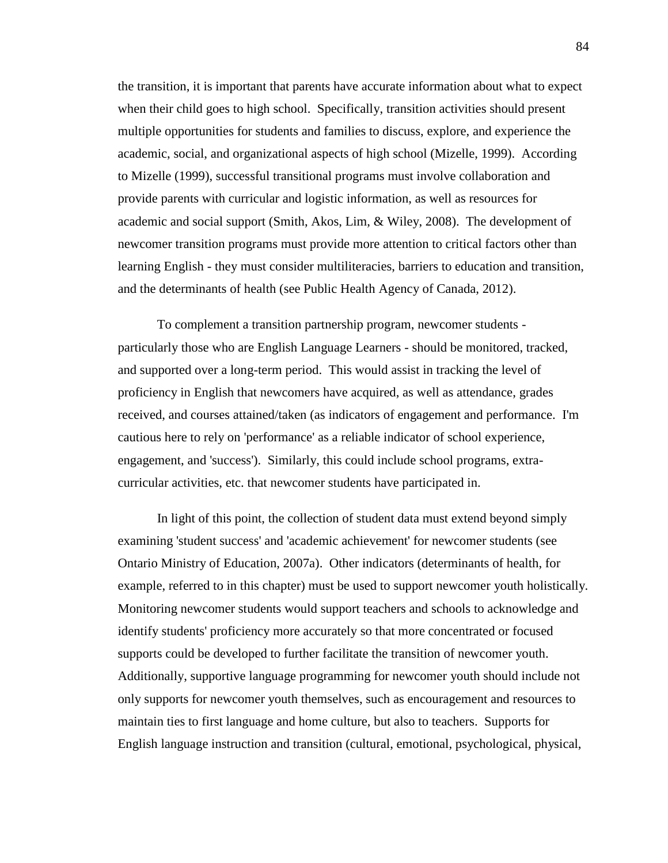the transition, it is important that parents have accurate information about what to expect when their child goes to high school. Specifically, transition activities should present multiple opportunities for students and families to discuss, explore, and experience the academic, social, and organizational aspects of high school (Mizelle, 1999). According to Mizelle (1999), successful transitional programs must involve collaboration and provide parents with curricular and logistic information, as well as resources for academic and social support (Smith, Akos, Lim, & Wiley, 2008). The development of newcomer transition programs must provide more attention to critical factors other than learning English - they must consider multiliteracies, barriers to education and transition, and the determinants of health (see Public Health Agency of Canada, 2012).

To complement a transition partnership program, newcomer students particularly those who are English Language Learners - should be monitored, tracked, and supported over a long-term period. This would assist in tracking the level of proficiency in English that newcomers have acquired, as well as attendance, grades received, and courses attained/taken (as indicators of engagement and performance. I'm cautious here to rely on 'performance' as a reliable indicator of school experience, engagement, and 'success'). Similarly, this could include school programs, extracurricular activities, etc. that newcomer students have participated in.

In light of this point, the collection of student data must extend beyond simply examining 'student success' and 'academic achievement' for newcomer students (see Ontario Ministry of Education, 2007a). Other indicators (determinants of health, for example, referred to in this chapter) must be used to support newcomer youth holistically. Monitoring newcomer students would support teachers and schools to acknowledge and identify students' proficiency more accurately so that more concentrated or focused supports could be developed to further facilitate the transition of newcomer youth. Additionally, supportive language programming for newcomer youth should include not only supports for newcomer youth themselves, such as encouragement and resources to maintain ties to first language and home culture, but also to teachers. Supports for English language instruction and transition (cultural, emotional, psychological, physical,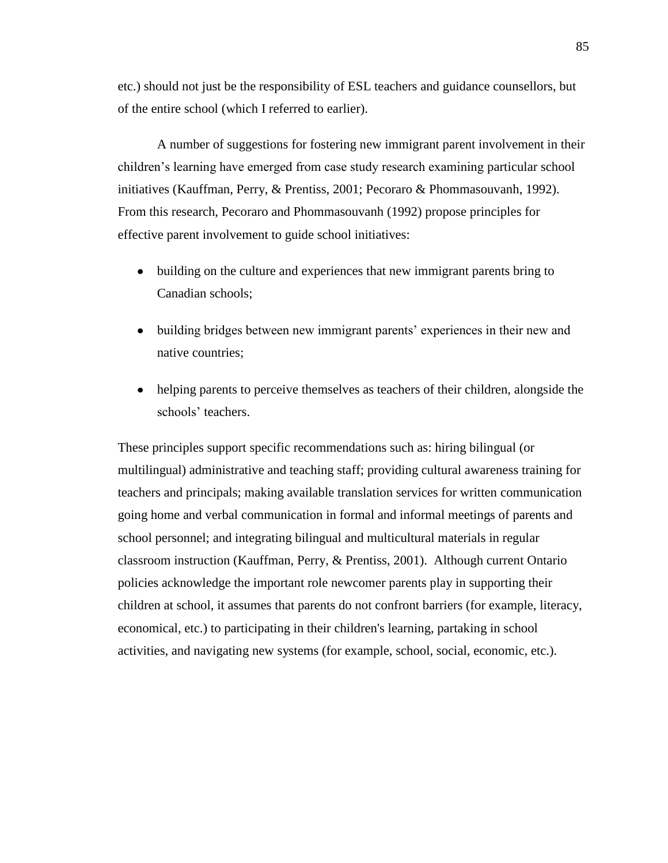etc.) should not just be the responsibility of ESL teachers and guidance counsellors, but of the entire school (which I referred to earlier).

A number of suggestions for fostering new immigrant parent involvement in their children's learning have emerged from case study research examining particular school initiatives (Kauffman, Perry, & Prentiss, 2001; Pecoraro & Phommasouvanh, 1992). From this research, Pecoraro and Phommasouvanh (1992) propose principles for effective parent involvement to guide school initiatives:

- building on the culture and experiences that new immigrant parents bring to Canadian schools;
- $\bullet$ building bridges between new immigrant parents' experiences in their new and native countries;
- helping parents to perceive themselves as teachers of their children, alongside the  $\bullet$ schools' teachers.

These principles support specific recommendations such as: hiring bilingual (or multilingual) administrative and teaching staff; providing cultural awareness training for teachers and principals; making available translation services for written communication going home and verbal communication in formal and informal meetings of parents and school personnel; and integrating bilingual and multicultural materials in regular classroom instruction (Kauffman, Perry, & Prentiss, 2001). Although current Ontario policies acknowledge the important role newcomer parents play in supporting their children at school, it assumes that parents do not confront barriers (for example, literacy, economical, etc.) to participating in their children's learning, partaking in school activities, and navigating new systems (for example, school, social, economic, etc.).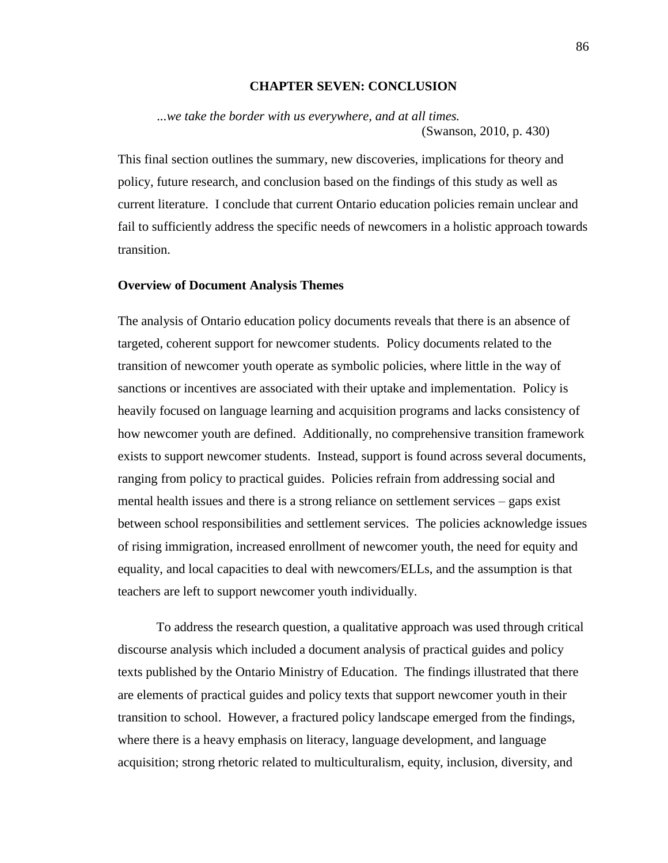# **CHAPTER SEVEN: CONCLUSION**

*...we take the border with us everywhere, and at all times.* (Swanson, 2010, p. 430)

This final section outlines the summary, new discoveries, implications for theory and policy, future research, and conclusion based on the findings of this study as well as current literature. I conclude that current Ontario education policies remain unclear and fail to sufficiently address the specific needs of newcomers in a holistic approach towards transition.

### **Overview of Document Analysis Themes**

The analysis of Ontario education policy documents reveals that there is an absence of targeted, coherent support for newcomer students. Policy documents related to the transition of newcomer youth operate as symbolic policies, where little in the way of sanctions or incentives are associated with their uptake and implementation. Policy is heavily focused on language learning and acquisition programs and lacks consistency of how newcomer youth are defined. Additionally, no comprehensive transition framework exists to support newcomer students. Instead, support is found across several documents, ranging from policy to practical guides. Policies refrain from addressing social and mental health issues and there is a strong reliance on settlement services – gaps exist between school responsibilities and settlement services. The policies acknowledge issues of rising immigration, increased enrollment of newcomer youth, the need for equity and equality, and local capacities to deal with newcomers/ELLs, and the assumption is that teachers are left to support newcomer youth individually.

To address the research question, a qualitative approach was used through critical discourse analysis which included a document analysis of practical guides and policy texts published by the Ontario Ministry of Education. The findings illustrated that there are elements of practical guides and policy texts that support newcomer youth in their transition to school. However, a fractured policy landscape emerged from the findings, where there is a heavy emphasis on literacy, language development, and language acquisition; strong rhetoric related to multiculturalism, equity, inclusion, diversity, and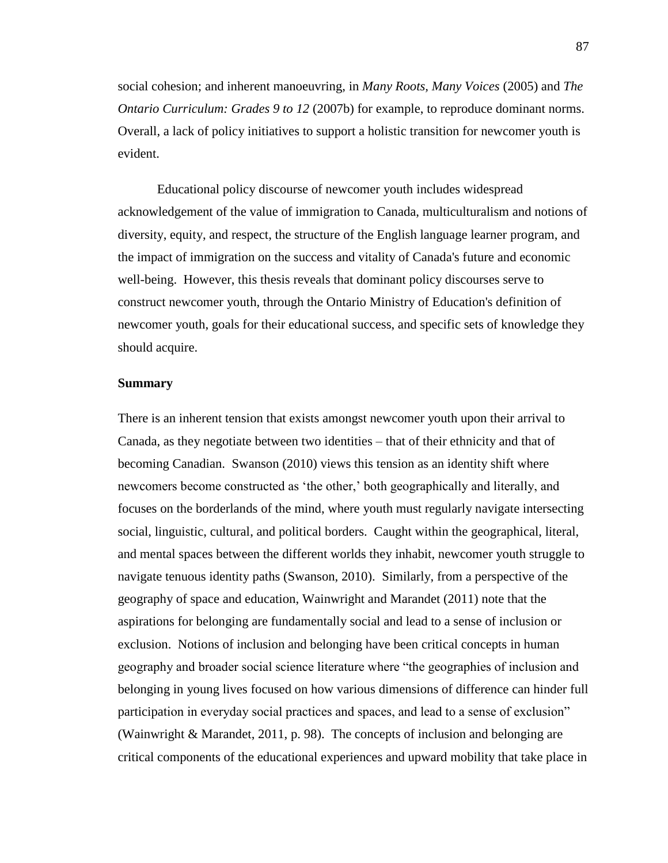social cohesion; and inherent manoeuvring, in *Many Roots, Many Voices* (2005) and *The Ontario Curriculum: Grades 9 to 12 (2007b)* for example, to reproduce dominant norms. Overall, a lack of policy initiatives to support a holistic transition for newcomer youth is evident.

Educational policy discourse of newcomer youth includes widespread acknowledgement of the value of immigration to Canada, multiculturalism and notions of diversity, equity, and respect, the structure of the English language learner program, and the impact of immigration on the success and vitality of Canada's future and economic well-being. However, this thesis reveals that dominant policy discourses serve to construct newcomer youth, through the Ontario Ministry of Education's definition of newcomer youth, goals for their educational success, and specific sets of knowledge they should acquire.

# **Summary**

There is an inherent tension that exists amongst newcomer youth upon their arrival to Canada, as they negotiate between two identities – that of their ethnicity and that of becoming Canadian. Swanson (2010) views this tension as an identity shift where newcomers become constructed as 'the other,' both geographically and literally, and focuses on the borderlands of the mind, where youth must regularly navigate intersecting social, linguistic, cultural, and political borders. Caught within the geographical, literal, and mental spaces between the different worlds they inhabit, newcomer youth struggle to navigate tenuous identity paths (Swanson, 2010). Similarly, from a perspective of the geography of space and education, Wainwright and Marandet (2011) note that the aspirations for belonging are fundamentally social and lead to a sense of inclusion or exclusion. Notions of inclusion and belonging have been critical concepts in human geography and broader social science literature where "the geographies of inclusion and belonging in young lives focused on how various dimensions of difference can hinder full participation in everyday social practices and spaces, and lead to a sense of exclusion" (Wainwright & Marandet, 2011, p. 98). The concepts of inclusion and belonging are critical components of the educational experiences and upward mobility that take place in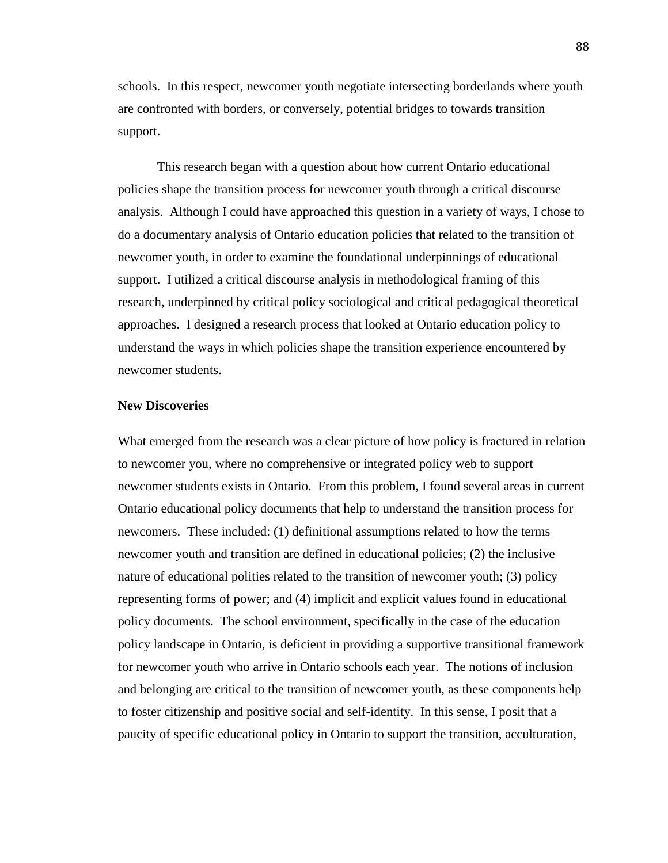schools. In this respect, newcomer youth negotiate intersecting borderlands where youth are confronted with borders, or conversely, potential bridges to towards transition support.

This research began with a question about how current Ontario educational policies shape the transition process for newcomer youth through a critical discourse analysis. Although I could have approached this question in a variety of ways, I chose to do a documentary analysis of Ontario education policies that related to the transition of newcomer youth, in order to examine the foundational underpinnings of educational support. I utilized a critical discourse analysis in methodological framing of this research, underpinned by critical policy sociological and critical pedagogical theoretical approaches. I designed a research process that looked at Ontario education policy to understand the ways in which policies shape the transition experience encountered by newcomer students.

### **New Discoveries**

What emerged from the research was a clear picture of how policy is fractured in relation to newcomer you, where no comprehensive or integrated policy web to support newcomer students exists in Ontario. From this problem, I found several areas in current Ontario educational policy documents that help to understand the transition process for newcomers. These included: (1) definitional assumptions related to how the terms newcomer youth and transition are defined in educational policies; (2) the inclusive nature of educational polities related to the transition of newcomer youth; (3) policy representing forms of power; and (4) implicit and explicit values found in educational policy documents. The school environment, specifically in the case of the education policy landscape in Ontario, is deficient in providing a supportive transitional framework for newcomer youth who arrive in Ontario schools each year. The notions of inclusion and belonging are critical to the transition of newcomer youth, as these components help to foster citizenship and positive social and self-identity. In this sense, I posit that a paucity of specific educational policy in Ontario to support the transition, acculturation,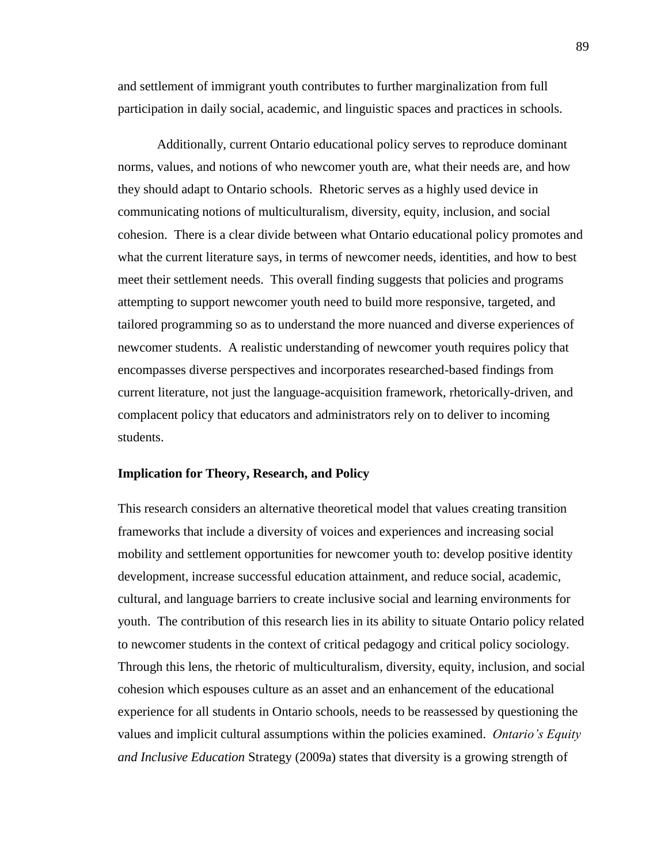and settlement of immigrant youth contributes to further marginalization from full participation in daily social, academic, and linguistic spaces and practices in schools.

Additionally, current Ontario educational policy serves to reproduce dominant norms, values, and notions of who newcomer youth are, what their needs are, and how they should adapt to Ontario schools. Rhetoric serves as a highly used device in communicating notions of multiculturalism, diversity, equity, inclusion, and social cohesion. There is a clear divide between what Ontario educational policy promotes and what the current literature says, in terms of newcomer needs, identities, and how to best meet their settlement needs. This overall finding suggests that policies and programs attempting to support newcomer youth need to build more responsive, targeted, and tailored programming so as to understand the more nuanced and diverse experiences of newcomer students. A realistic understanding of newcomer youth requires policy that encompasses diverse perspectives and incorporates researched-based findings from current literature, not just the language-acquisition framework, rhetorically-driven, and complacent policy that educators and administrators rely on to deliver to incoming students.

# **Implication for Theory, Research, and Policy**

This research considers an alternative theoretical model that values creating transition frameworks that include a diversity of voices and experiences and increasing social mobility and settlement opportunities for newcomer youth to: develop positive identity development, increase successful education attainment, and reduce social, academic, cultural, and language barriers to create inclusive social and learning environments for youth. The contribution of this research lies in its ability to situate Ontario policy related to newcomer students in the context of critical pedagogy and critical policy sociology. Through this lens, the rhetoric of multiculturalism, diversity, equity, inclusion, and social cohesion which espouses culture as an asset and an enhancement of the educational experience for all students in Ontario schools, needs to be reassessed by questioning the values and implicit cultural assumptions within the policies examined. *Ontario's Equity and Inclusive Education* Strategy (2009a) states that diversity is a growing strength of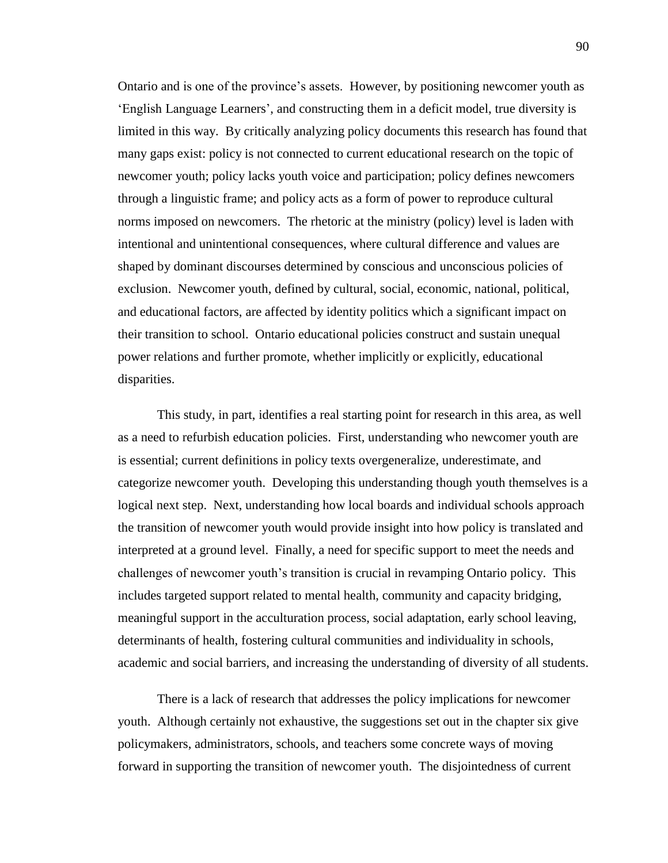Ontario and is one of the province's assets. However, by positioning newcomer youth as 'English Language Learners', and constructing them in a deficit model, true diversity is limited in this way. By critically analyzing policy documents this research has found that many gaps exist: policy is not connected to current educational research on the topic of newcomer youth; policy lacks youth voice and participation; policy defines newcomers through a linguistic frame; and policy acts as a form of power to reproduce cultural norms imposed on newcomers. The rhetoric at the ministry (policy) level is laden with intentional and unintentional consequences, where cultural difference and values are shaped by dominant discourses determined by conscious and unconscious policies of exclusion. Newcomer youth, defined by cultural, social, economic, national, political, and educational factors, are affected by identity politics which a significant impact on their transition to school. Ontario educational policies construct and sustain unequal power relations and further promote, whether implicitly or explicitly, educational disparities.

This study, in part, identifies a real starting point for research in this area, as well as a need to refurbish education policies. First, understanding who newcomer youth are is essential; current definitions in policy texts overgeneralize, underestimate, and categorize newcomer youth. Developing this understanding though youth themselves is a logical next step. Next, understanding how local boards and individual schools approach the transition of newcomer youth would provide insight into how policy is translated and interpreted at a ground level. Finally, a need for specific support to meet the needs and challenges of newcomer youth's transition is crucial in revamping Ontario policy. This includes targeted support related to mental health, community and capacity bridging, meaningful support in the acculturation process, social adaptation, early school leaving, determinants of health, fostering cultural communities and individuality in schools, academic and social barriers, and increasing the understanding of diversity of all students.

There is a lack of research that addresses the policy implications for newcomer youth. Although certainly not exhaustive, the suggestions set out in the chapter six give policymakers, administrators, schools, and teachers some concrete ways of moving forward in supporting the transition of newcomer youth. The disjointedness of current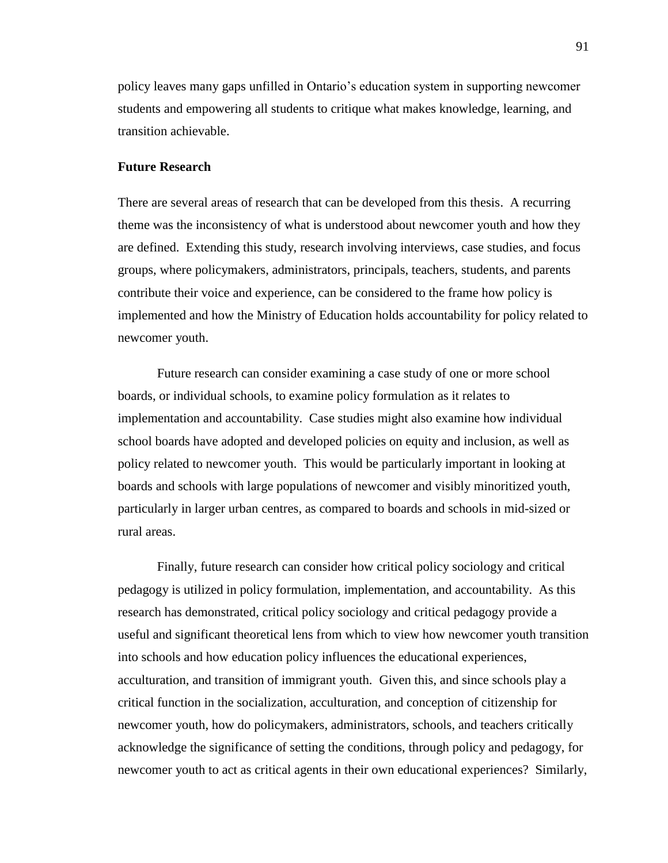policy leaves many gaps unfilled in Ontario's education system in supporting newcomer students and empowering all students to critique what makes knowledge, learning, and transition achievable.

# **Future Research**

There are several areas of research that can be developed from this thesis. A recurring theme was the inconsistency of what is understood about newcomer youth and how they are defined. Extending this study, research involving interviews, case studies, and focus groups, where policymakers, administrators, principals, teachers, students, and parents contribute their voice and experience, can be considered to the frame how policy is implemented and how the Ministry of Education holds accountability for policy related to newcomer youth.

Future research can consider examining a case study of one or more school boards, or individual schools, to examine policy formulation as it relates to implementation and accountability. Case studies might also examine how individual school boards have adopted and developed policies on equity and inclusion, as well as policy related to newcomer youth. This would be particularly important in looking at boards and schools with large populations of newcomer and visibly minoritized youth, particularly in larger urban centres, as compared to boards and schools in mid-sized or rural areas.

Finally, future research can consider how critical policy sociology and critical pedagogy is utilized in policy formulation, implementation, and accountability. As this research has demonstrated, critical policy sociology and critical pedagogy provide a useful and significant theoretical lens from which to view how newcomer youth transition into schools and how education policy influences the educational experiences, acculturation, and transition of immigrant youth. Given this, and since schools play a critical function in the socialization, acculturation, and conception of citizenship for newcomer youth, how do policymakers, administrators, schools, and teachers critically acknowledge the significance of setting the conditions, through policy and pedagogy, for newcomer youth to act as critical agents in their own educational experiences? Similarly,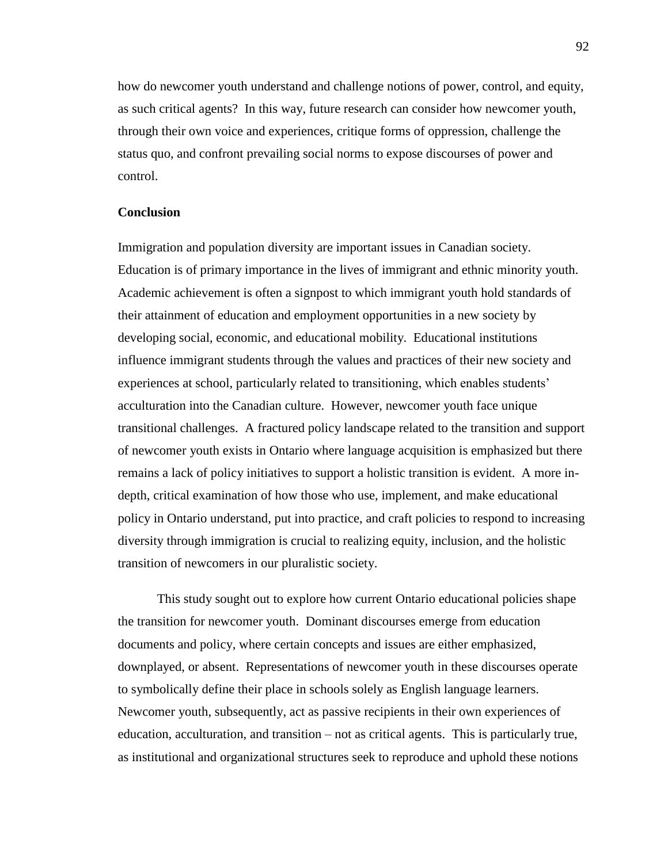how do newcomer youth understand and challenge notions of power, control, and equity, as such critical agents? In this way, future research can consider how newcomer youth, through their own voice and experiences, critique forms of oppression, challenge the status quo, and confront prevailing social norms to expose discourses of power and control.

# **Conclusion**

Immigration and population diversity are important issues in Canadian society. Education is of primary importance in the lives of immigrant and ethnic minority youth. Academic achievement is often a signpost to which immigrant youth hold standards of their attainment of education and employment opportunities in a new society by developing social, economic, and educational mobility. Educational institutions influence immigrant students through the values and practices of their new society and experiences at school, particularly related to transitioning, which enables students' acculturation into the Canadian culture. However, newcomer youth face unique transitional challenges. A fractured policy landscape related to the transition and support of newcomer youth exists in Ontario where language acquisition is emphasized but there remains a lack of policy initiatives to support a holistic transition is evident. A more indepth, critical examination of how those who use, implement, and make educational policy in Ontario understand, put into practice, and craft policies to respond to increasing diversity through immigration is crucial to realizing equity, inclusion, and the holistic transition of newcomers in our pluralistic society.

This study sought out to explore how current Ontario educational policies shape the transition for newcomer youth. Dominant discourses emerge from education documents and policy, where certain concepts and issues are either emphasized, downplayed, or absent. Representations of newcomer youth in these discourses operate to symbolically define their place in schools solely as English language learners. Newcomer youth, subsequently, act as passive recipients in their own experiences of education, acculturation, and transition – not as critical agents. This is particularly true, as institutional and organizational structures seek to reproduce and uphold these notions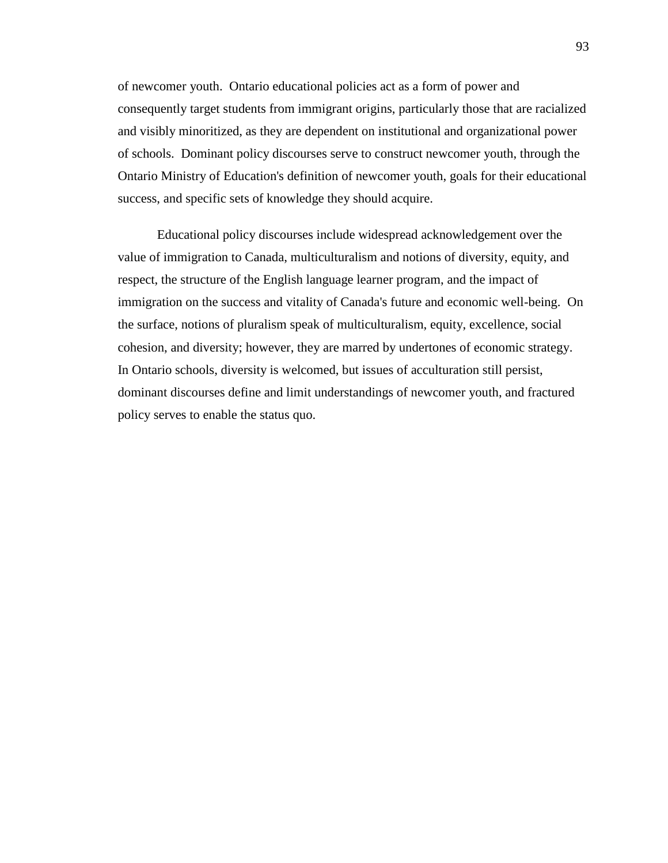of newcomer youth. Ontario educational policies act as a form of power and consequently target students from immigrant origins, particularly those that are racialized and visibly minoritized, as they are dependent on institutional and organizational power of schools. Dominant policy discourses serve to construct newcomer youth, through the Ontario Ministry of Education's definition of newcomer youth, goals for their educational success, and specific sets of knowledge they should acquire.

Educational policy discourses include widespread acknowledgement over the value of immigration to Canada, multiculturalism and notions of diversity, equity, and respect, the structure of the English language learner program, and the impact of immigration on the success and vitality of Canada's future and economic well-being. On the surface, notions of pluralism speak of multiculturalism, equity, excellence, social cohesion, and diversity; however, they are marred by undertones of economic strategy. In Ontario schools, diversity is welcomed, but issues of acculturation still persist, dominant discourses define and limit understandings of newcomer youth, and fractured policy serves to enable the status quo.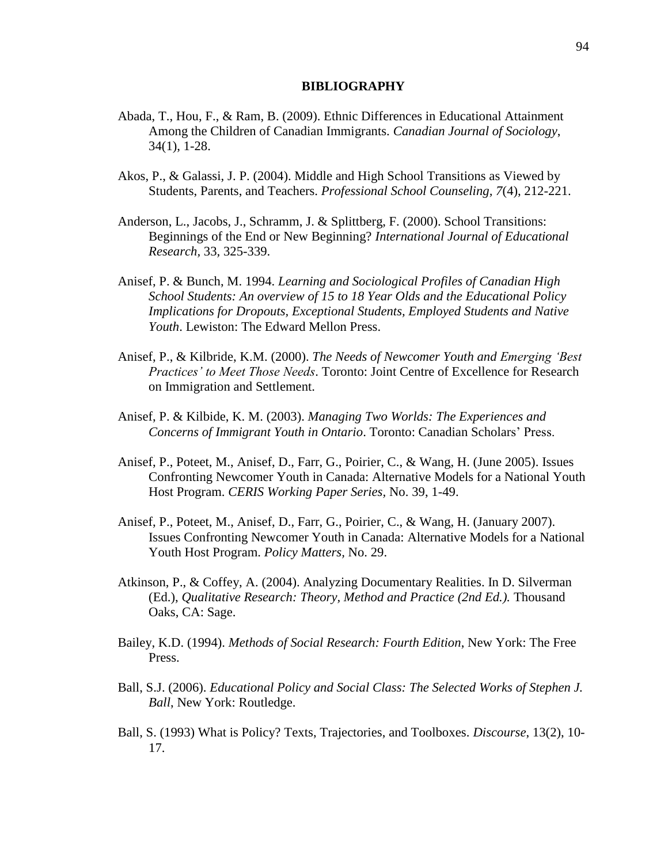### **BIBLIOGRAPHY**

- Abada, T., Hou, F., & Ram, B. (2009). Ethnic Differences in Educational Attainment Among the Children of Canadian Immigrants. *Canadian Journal of Sociology*, 34(1), 1-28.
- Akos, P., & Galassi, J. P. (2004). Middle and High School Transitions as Viewed by Students, Parents, and Teachers. *Professional School Counseling, 7*(4), 212-221.
- Anderson, L., Jacobs, J., Schramm, J. & Splittberg, F. (2000). School Transitions: Beginnings of the End or New Beginning? *International Journal of Educational Research,* 33*,* 325-339.
- Anisef, P. & Bunch, M. 1994. *Learning and Sociological Profiles of Canadian High School Students: An overview of 15 to 18 Year Olds and the Educational Policy Implications for Dropouts, Exceptional Students, Employed Students and Native Youth*. Lewiston: The Edward Mellon Press.
- Anisef, P., & Kilbride, K.M. (2000). *The Needs of Newcomer Youth and Emerging 'Best Practices' to Meet Those Needs*. Toronto: Joint Centre of Excellence for Research on Immigration and Settlement.
- Anisef, P. & Kilbide, K. M. (2003). *Managing Two Worlds: The Experiences and Concerns of Immigrant Youth in Ontario*. Toronto: Canadian Scholars' Press.
- Anisef, P., Poteet, M., Anisef, D., Farr, G., Poirier, C., & Wang, H. (June 2005). Issues Confronting Newcomer Youth in Canada: Alternative Models for a National Youth Host Program. *CERIS Working Paper Series,* No. 39, 1-49.
- Anisef, P., Poteet, M., Anisef, D., Farr, G., Poirier, C., & Wang, H. (January 2007). Issues Confronting Newcomer Youth in Canada: Alternative Models for a National Youth Host Program. *Policy Matters,* No. 29.
- Atkinson, P., & Coffey, A. (2004). Analyzing Documentary Realities. In D. Silverman (Ed.), *Qualitative Research: Theory, Method and Practice (2nd Ed.).* Thousand Oaks, CA: Sage.
- Bailey, K.D. (1994). *Methods of Social Research: Fourth Edition*, New York: The Free Press.
- Ball, S.J. (2006). *Educational Policy and Social Class: The Selected Works of Stephen J. Ball*, New York: Routledge.
- Ball, S. (1993) What is Policy? Texts, Trajectories, and Toolboxes. *Discourse*, 13(2), 10- 17.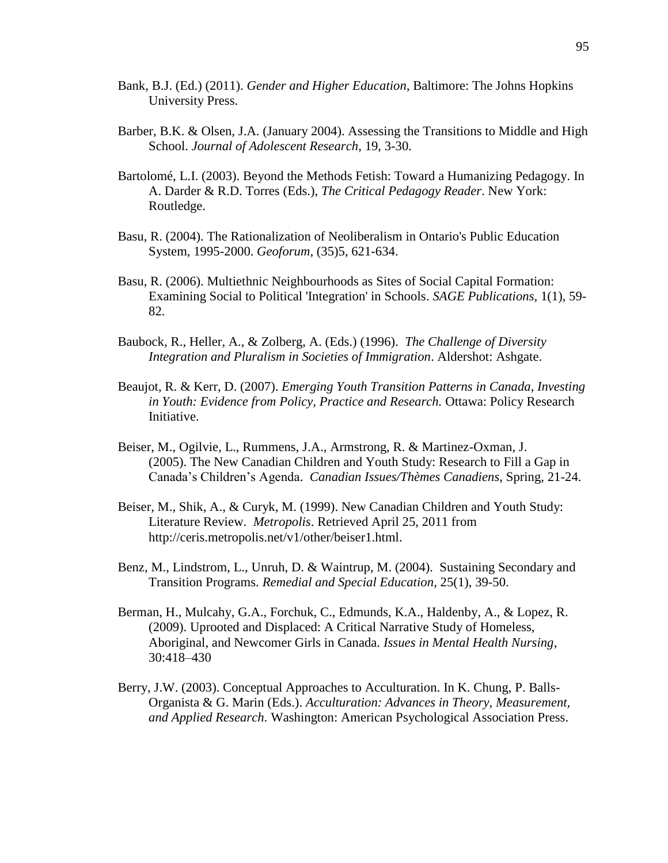- Bank, B.J. (Ed.) (2011). *Gender and Higher Education*, Baltimore: The Johns Hopkins University Press.
- Barber, B.K. & Olsen, J.A. (January 2004). Assessing the Transitions to Middle and High School. *Journal of Adolescent Research*, 19, 3-30.
- Bartolomé, L.I. (2003). Beyond the Methods Fetish: Toward a Humanizing Pedagogy. In A. Darder & R.D. Torres (Eds.), *The Critical Pedagogy Reader*. New York: Routledge.
- Basu, R. (2004). The Rationalization of Neoliberalism in Ontario's Public Education System, 1995-2000. *Geoforum*, (35)5, 621-634.
- Basu, R. (2006). Multiethnic Neighbourhoods as Sites of Social Capital Formation: Examining Social to Political 'Integration' in Schools. *SAGE Publications,* 1(1), 59- 82.
- Baubock, R., Heller, A., & Zolberg, A. (Eds.) (1996). *The Challenge of Diversity Integration and Pluralism in Societies of Immigration*. Aldershot: Ashgate.
- Beaujot, R. & Kerr, D. (2007). *Emerging Youth Transition Patterns in Canada, Investing in Youth: Evidence from Policy, Practice and Research.* Ottawa: Policy Research Initiative.
- Beiser, M., Ogilvie, L., Rummens, J.A., Armstrong, R. & Martinez-Oxman, J. (2005). The New Canadian Children and Youth Study: Research to Fill a Gap in Canada's Children's Agenda. *Canadian Issues/Thèmes Canadiens*, Spring, 21-24.
- Beiser, M., Shik, A., & Curyk, M. (1999). New Canadian Children and Youth Study: Literature Review. *Metropolis*. Retrieved April 25, 2011 from http://ceris.metropolis.net/v1/other/beiser1.html.
- Benz, M., Lindstrom, L., Unruh, D. & Waintrup, M. (2004). Sustaining Secondary and Transition Programs. *Remedial and Special Education*, 25(1), 39-50.
- Berman, H., Mulcahy, G.A., Forchuk, C., Edmunds, K.A., Haldenby, A., & Lopez, R. (2009). Uprooted and Displaced: A Critical Narrative Study of Homeless, Aboriginal, and Newcomer Girls in Canada. *Issues in Mental Health Nursing*, 30:418–430
- Berry, J.W. (2003). Conceptual Approaches to Acculturation. In K. Chung, P. Balls-Organista & G. Marin (Eds.). *Acculturation: Advances in Theory, Measurement, and Applied Research*. Washington: American Psychological Association Press.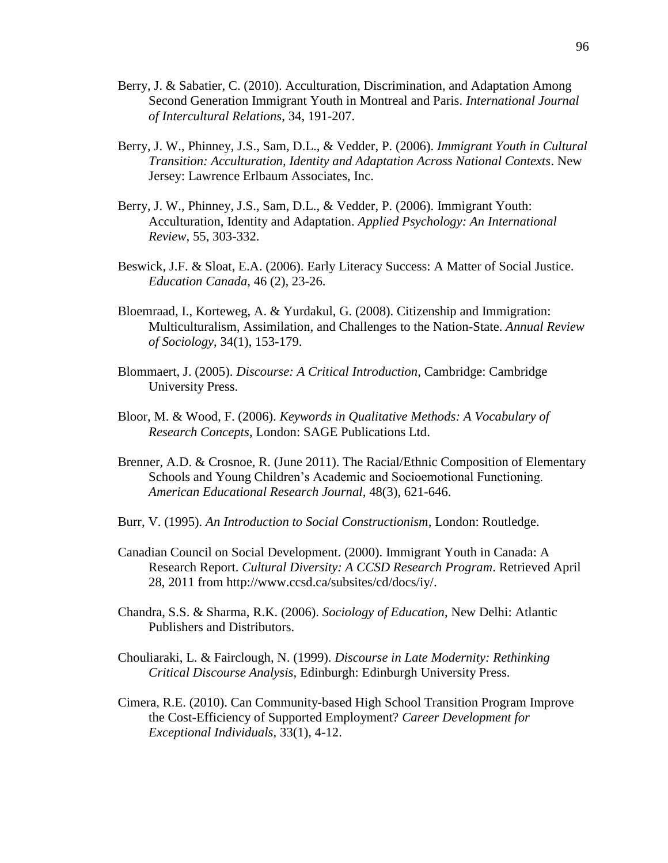- Berry, J. & Sabatier, C. (2010). Acculturation, Discrimination, and Adaptation Among Second Generation Immigrant Youth in Montreal and Paris. *International Journal of Intercultural Relations*, 34, 191-207.
- Berry, J. W., Phinney, J.S., Sam, D.L., & Vedder, P. (2006). *Immigrant Youth in Cultural Transition: Acculturation, Identity and Adaptation Across National Contexts*. New Jersey: Lawrence Erlbaum Associates, Inc.
- Berry, J. W., Phinney, J.S., Sam, D.L., & Vedder, P. (2006). Immigrant Youth: Acculturation, Identity and Adaptation. *Applied Psychology: An International Review*, 55, 303-332.
- Beswick, J.F. & Sloat, E.A. (2006). Early Literacy Success: A Matter of Social Justice. *Education Canada*, 46 (2), 23-26.
- Bloemraad, I., Korteweg, A. & Yurdakul, G. (2008). Citizenship and Immigration: Multiculturalism, Assimilation, and Challenges to the Nation-State. *Annual Review of Sociology*, 34(1), 153-179.
- Blommaert, J. (2005). *Discourse: A Critical Introduction*, Cambridge: Cambridge University Press.
- Bloor, M. & Wood, F. (2006). *Keywords in Qualitative Methods: A Vocabulary of Research Concepts*, London: SAGE Publications Ltd.
- Brenner, A.D. & Crosnoe, R. (June 2011). The Racial/Ethnic Composition of Elementary Schools and Young Children's Academic and Socioemotional Functioning. *American Educational Research Journal*, 48(3), 621-646.
- Burr, V. (1995). *An Introduction to Social Constructionism*, London: Routledge.
- Canadian Council on Social Development. (2000). Immigrant Youth in Canada: A Research Report. *Cultural Diversity: A CCSD Research Program*. Retrieved April 28, 2011 from http://www.ccsd.ca/subsites/cd/docs/iy/.
- Chandra, S.S. & Sharma, R.K. (2006). *Sociology of Education*, New Delhi: Atlantic Publishers and Distributors.
- Chouliaraki, L. & Fairclough, N. (1999). *Discourse in Late Modernity: Rethinking Critical Discourse Analysis*, Edinburgh: Edinburgh University Press.
- Cimera, R.E. (2010). Can Community-based High School Transition Program Improve the Cost-Efficiency of Supported Employment? *Career Development for Exceptional Individuals*, 33(1), 4-12.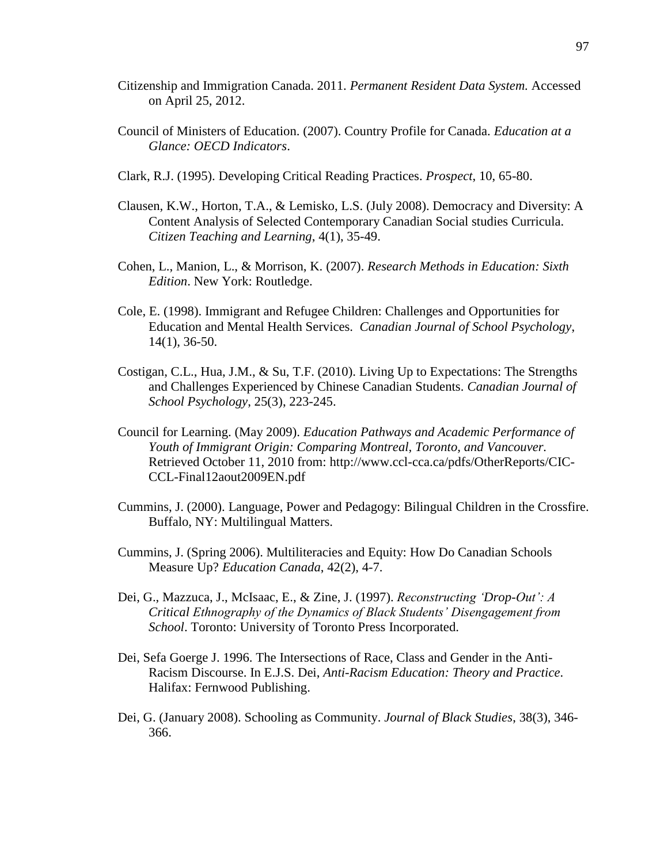- Citizenship and Immigration Canada. 2011. *Permanent Resident Data System.* Accessed on April 25, 2012.
- Council of Ministers of Education. (2007). Country Profile for Canada. *Education at a Glance: OECD Indicators*.
- Clark, R.J. (1995). Developing Critical Reading Practices. *Prospect*, 10, 65-80.
- Clausen, K.W., Horton, T.A., & Lemisko, L.S. (July 2008). Democracy and Diversity: A Content Analysis of Selected Contemporary Canadian Social studies Curricula. *Citizen Teaching and Learning*, 4(1), 35-49.
- Cohen, L., Manion, L., & Morrison, K. (2007). *Research Methods in Education: Sixth Edition*. New York: Routledge.
- Cole, E. (1998). Immigrant and Refugee Children: Challenges and Opportunities for Education and Mental Health Services. *Canadian Journal of School Psychology*, 14(1), 36-50.
- Costigan, C.L., Hua, J.M., & Su, T.F. (2010). Living Up to Expectations: The Strengths and Challenges Experienced by Chinese Canadian Students. *Canadian Journal of School Psychology*, 25(3), 223-245.
- Council for Learning. (May 2009). *Education Pathways and Academic Performance of Youth of Immigrant Origin: Comparing Montreal, Toronto, and Vancouver.* Retrieved October 11, 2010 from: http://www.ccl-cca.ca/pdfs/OtherReports/CIC-CCL-Final12aout2009EN.pdf
- Cummins, J. (2000). Language, Power and Pedagogy: Bilingual Children in the Crossfire. Buffalo, NY: Multilingual Matters.
- Cummins, J. (Spring 2006). Multiliteracies and Equity: How Do Canadian Schools Measure Up? *Education Canada*, 42(2), 4-7.
- Dei, G., Mazzuca, J., McIsaac, E., & Zine, J. (1997). *Reconstructing 'Drop-Out': A Critical Ethnography of the Dynamics of Black Students' Disengagement from School*. Toronto: University of Toronto Press Incorporated.
- Dei, Sefa Goerge J. 1996. The Intersections of Race, Class and Gender in the Anti-Racism Discourse. In E.J.S. Dei, *Anti-Racism Education: Theory and Practice*. Halifax: Fernwood Publishing.
- Dei, G. (January 2008). Schooling as Community. *Journal of Black Studies*, 38(3), 346- 366.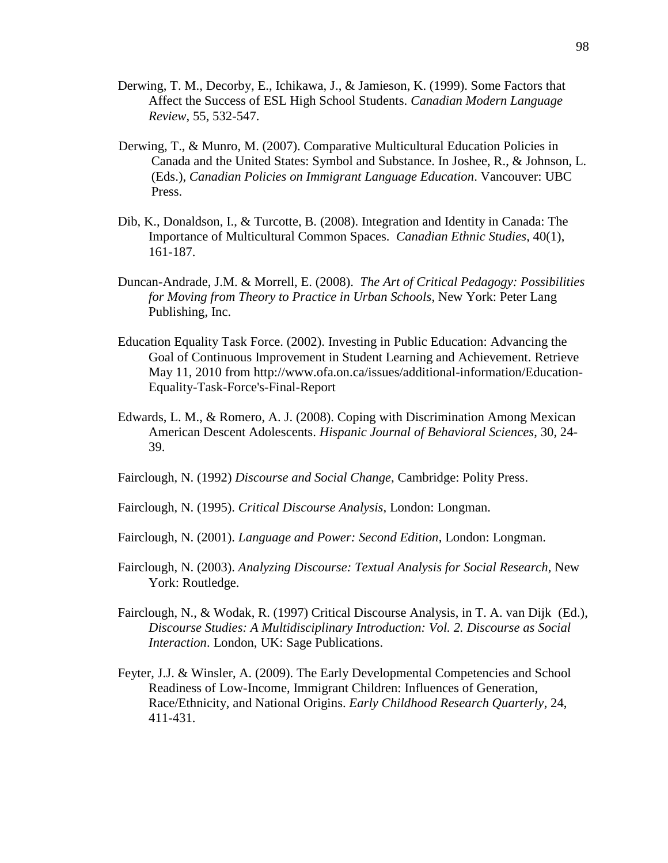- Derwing, T. M., Decorby, E., Ichikawa, J., & Jamieson, K. (1999). Some Factors that Affect the Success of ESL High School Students. *Canadian Modern Language Review*, 55, 532-547.
- Derwing, T., & Munro, M. (2007). Comparative Multicultural Education Policies in Canada and the United States: Symbol and Substance. In Joshee, R., & Johnson, L. (Eds.), *Canadian Policies on Immigrant Language Education*. Vancouver: UBC Press.
- Dib, K., Donaldson, I., & Turcotte, B. (2008). Integration and Identity in Canada: The Importance of Multicultural Common Spaces. *Canadian Ethnic Studies*, 40(1), 161-187.
- Duncan-Andrade, J.M. & Morrell, E. (2008). *The Art of Critical Pedagogy: Possibilities for Moving from Theory to Practice in Urban Schools*, New York: Peter Lang Publishing, Inc.
- Education Equality Task Force. (2002). Investing in Public Education: Advancing the Goal of Continuous Improvement in Student Learning and Achievement. Retrieve May 11, 2010 from http://www.ofa.on.ca/issues/additional-information/Education-Equality-Task-Force's-Final-Report
- Edwards, L. M., & Romero, A. J. (2008). Coping with Discrimination Among Mexican American Descent Adolescents. *Hispanic Journal of Behavioral Sciences*, 30, 24- 39.
- Fairclough, N. (1992) *Discourse and Social Change*, Cambridge: Polity Press.
- Fairclough, N. (1995). *Critical Discourse Analysis*, London: Longman.
- Fairclough, N. (2001). *Language and Power: Second Edition*, London: Longman.
- Fairclough, N. (2003). *Analyzing Discourse: Textual Analysis for Social Research*, New York: Routledge.
- Fairclough, N., & Wodak, R. (1997) Critical Discourse Analysis, in T. A. van Dijk (Ed.), *Discourse Studies: A Multidisciplinary Introduction: Vol. 2. Discourse as Social Interaction*. London, UK: Sage Publications.
- Feyter, J.J. & Winsler, A. (2009). The Early Developmental Competencies and School Readiness of Low-Income, Immigrant Children: Influences of Generation, Race/Ethnicity, and National Origins. *Early Childhood Research Quarterly*, 24, 411-431.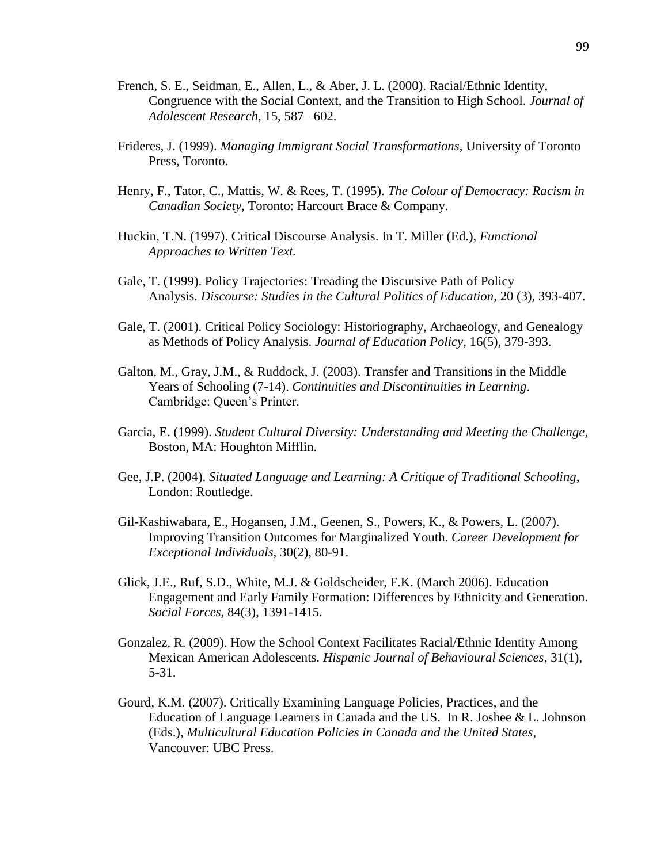- French, S. E., Seidman, E., Allen, L., & Aber, J. L. (2000). Racial/Ethnic Identity, Congruence with the Social Context, and the Transition to High School. *Journal of Adolescent Research*, 15, 587– 602.
- Frideres, J. (1999). *Managing Immigrant Social Transformations*, University of Toronto Press, Toronto.
- Henry, F., Tator, C., Mattis, W. & Rees, T. (1995). *The Colour of Democracy: Racism in Canadian Society*, Toronto: Harcourt Brace & Company.
- Huckin, T.N. (1997). Critical Discourse Analysis. In T. Miller (Ed.), *Functional Approaches to Written Text.*
- Gale, T. (1999). Policy Trajectories: Treading the Discursive Path of Policy Analysis. *Discourse: Studies in the Cultural Politics of Education*, 20 (3), 393-407.
- Gale, T. (2001). Critical Policy Sociology: Historiography, Archaeology, and Genealogy as Methods of Policy Analysis. *Journal of Education Policy*, 16(5), 379-393.
- Galton, M., Gray, J.M., & Ruddock, J. (2003). Transfer and Transitions in the Middle Years of Schooling (7-14). *Continuities and Discontinuities in Learning*. Cambridge: Queen's Printer.
- Garcia, E. (1999). *Student Cultural Diversity: Understanding and Meeting the Challenge*, Boston, MA: Houghton Mifflin.
- Gee, J.P. (2004). *Situated Language and Learning: A Critique of Traditional Schooling*, London: Routledge.
- Gil-Kashiwabara, E., Hogansen, J.M., Geenen, S., Powers, K., & Powers, L. (2007). Improving Transition Outcomes for Marginalized Youth. *Career Development for Exceptional Individuals,* 30(2), 80-91.
- Glick, J.E., Ruf, S.D., White, M.J. & Goldscheider, F.K. (March 2006). Education Engagement and Early Family Formation: Differences by Ethnicity and Generation. *Social Forces*, 84(3), 1391-1415.
- Gonzalez, R. (2009). How the School Context Facilitates Racial/Ethnic Identity Among Mexican American Adolescents. *Hispanic Journal of Behavioural Sciences*, 31(1), 5-31.
- Gourd, K.M. (2007). Critically Examining Language Policies, Practices, and the Education of Language Learners in Canada and the US. In R. Joshee & L. Johnson (Eds.), *Multicultural Education Policies in Canada and the United States*, Vancouver: UBC Press.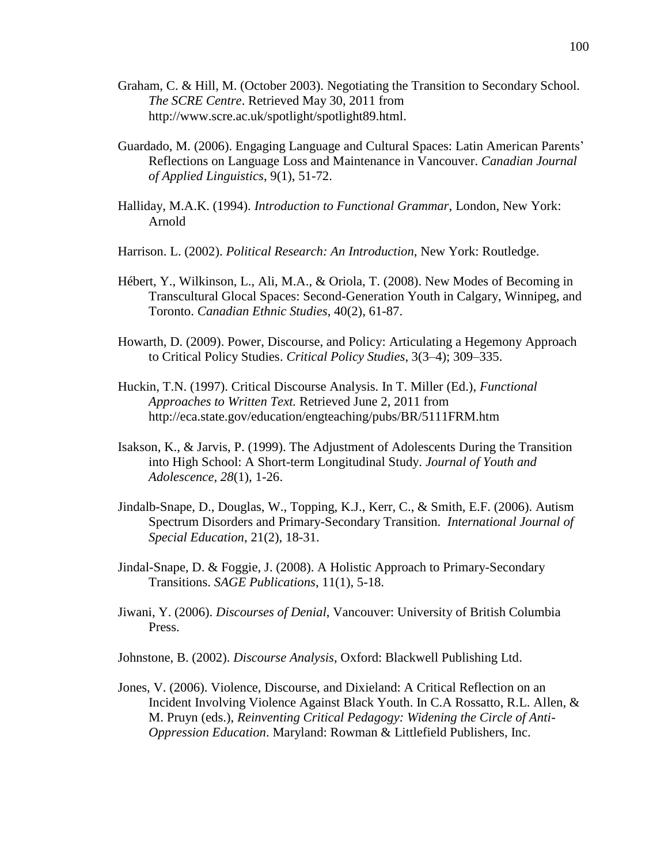- Graham, C. & Hill, M. (October 2003). Negotiating the Transition to Secondary School*. The SCRE Centre*. Retrieved May 30, 2011 from http://www.scre.ac.uk/spotlight/spotlight89.html.
- Guardado, M. (2006). Engaging Language and Cultural Spaces: Latin American Parents' Reflections on Language Loss and Maintenance in Vancouver. *Canadian Journal of Applied Linguistics*, 9(1), 51-72.
- Halliday, M.A.K. (1994). *Introduction to Functional Grammar*, London, New York: Arnold
- Harrison. L. (2002). *Political Research: An Introduction*, New York: Routledge.
- Hébert, Y., Wilkinson, L., Ali, M.A., & Oriola, T. (2008). New Modes of Becoming in Transcultural Glocal Spaces: Second-Generation Youth in Calgary, Winnipeg, and Toronto. *Canadian Ethnic Studies*, 40(2), 61-87.
- Howarth, D. (2009). Power, Discourse, and Policy: Articulating a Hegemony Approach to Critical Policy Studies. *Critical Policy Studies*, 3(3–4); 309–335.
- Huckin, T.N. (1997). Critical Discourse Analysis. In T. Miller (Ed.), *Functional Approaches to Written Text.* Retrieved June 2, 2011 from http://eca.state.gov/education/engteaching/pubs/BR/5111FRM.htm
- Isakson, K., & Jarvis, P. (1999). The Adjustment of Adolescents During the Transition into High School: A Short-term Longitudinal Study. *Journal of Youth and Adolescence, 28*(1), 1-26.
- Jindalb-Snape, D., Douglas, W., Topping, K.J., Kerr, C., & Smith, E.F. (2006). Autism Spectrum Disorders and Primary-Secondary Transition. *International Journal of Special Education*, 21(2), 18-31.
- Jindal-Snape, D. & Foggie, J. (2008). A Holistic Approach to Primary-Secondary Transitions. *SAGE Publications*, 11(1), 5-18.
- Jiwani, Y. (2006). *Discourses of Denial*, Vancouver: University of British Columbia Press.
- Johnstone, B. (2002). *Discourse Analysis*, Oxford: Blackwell Publishing Ltd.
- Jones, V. (2006). Violence, Discourse, and Dixieland: A Critical Reflection on an Incident Involving Violence Against Black Youth. In C.A Rossatto, R.L. Allen, & M. Pruyn (eds.), *Reinventing Critical Pedagogy: Widening the Circle of Anti-Oppression Education*. Maryland: Rowman & Littlefield Publishers, Inc.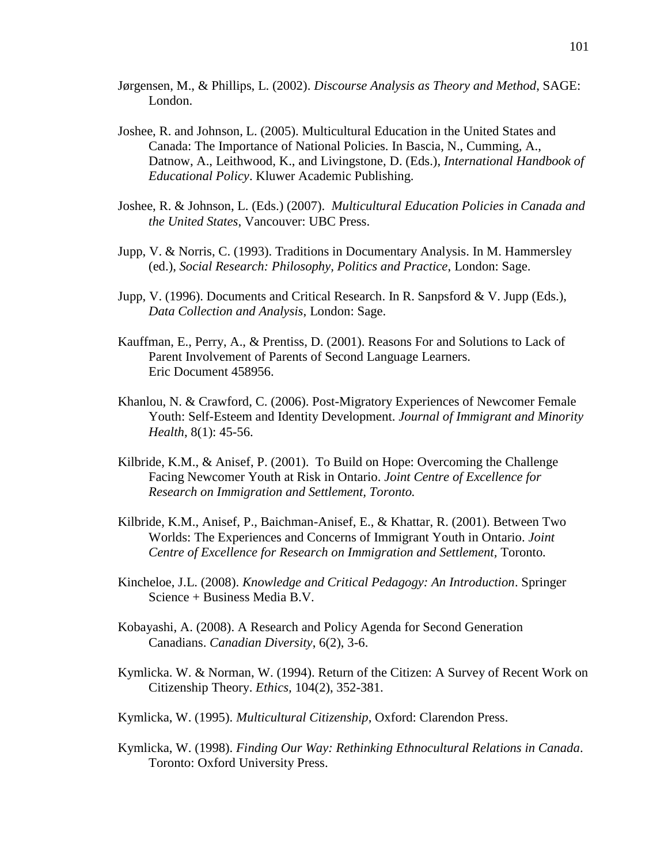- Jørgensen, M., & Phillips, L. (2002). *Discourse Analysis as Theory and Method*, SAGE: London.
- Joshee, R. and Johnson, L. (2005). Multicultural Education in the United States and Canada: The Importance of National Policies. In Bascia, N., Cumming, A., Datnow, A., Leithwood, K., and Livingstone, D. (Eds.), *International Handbook of Educational Policy*. Kluwer Academic Publishing.
- Joshee, R. & Johnson, L. (Eds.) (2007). *Multicultural Education Policies in Canada and the United States*, Vancouver: UBC Press.
- Jupp, V. & Norris, C. (1993). Traditions in Documentary Analysis. In M. Hammersley (ed.), *Social Research: Philosophy, Politics and Practice*, London: Sage.
- Jupp, V. (1996). Documents and Critical Research. In R. Sanpsford & V. Jupp (Eds.), *Data Collection and Analysis*, London: Sage.
- Kauffman, E., Perry, A., & Prentiss, D. (2001). Reasons For and Solutions to Lack of Parent Involvement of Parents of Second Language Learners. Eric Document 458956.
- Khanlou, N. & Crawford, C. (2006). Post-Migratory Experiences of Newcomer Female Youth: Self-Esteem and Identity Development. *Journal of Immigrant and Minority Health*, 8(1): 45-56.
- Kilbride, K.M., & Anisef, P. (2001). To Build on Hope: Overcoming the Challenge Facing Newcomer Youth at Risk in Ontario. *Joint Centre of Excellence for Research on Immigration and Settlement, Toronto.*
- Kilbride, K.M., Anisef, P., Baichman-Anisef, E., & Khattar, R. (2001). Between Two Worlds: The Experiences and Concerns of Immigrant Youth in Ontario. *Joint Centre of Excellence for Research on Immigration and Settlement,* Toronto*.*
- Kincheloe, J.L. (2008). *Knowledge and Critical Pedagogy: An Introduction*. Springer Science + Business Media B.V.
- Kobayashi, A. (2008). A Research and Policy Agenda for Second Generation Canadians. *Canadian Diversity*, 6(2), 3-6.
- [Kymlicka.](http://philpapers.org/s/Will%20Kymlicka) W. & [Norman,](http://philpapers.org/s/Wayne%20Norman) W. (1994). Return of the Citizen: A Survey of Recent Work on Citizenship Theory. *Ethics,* 104(2), 352-381.
- Kymlicka, W. (1995). *Multicultural Citizenship*, Oxford: Clarendon Press.
- Kymlicka, W. (1998). *Finding Our Way: Rethinking Ethnocultural Relations in Canada*. Toronto: Oxford University Press.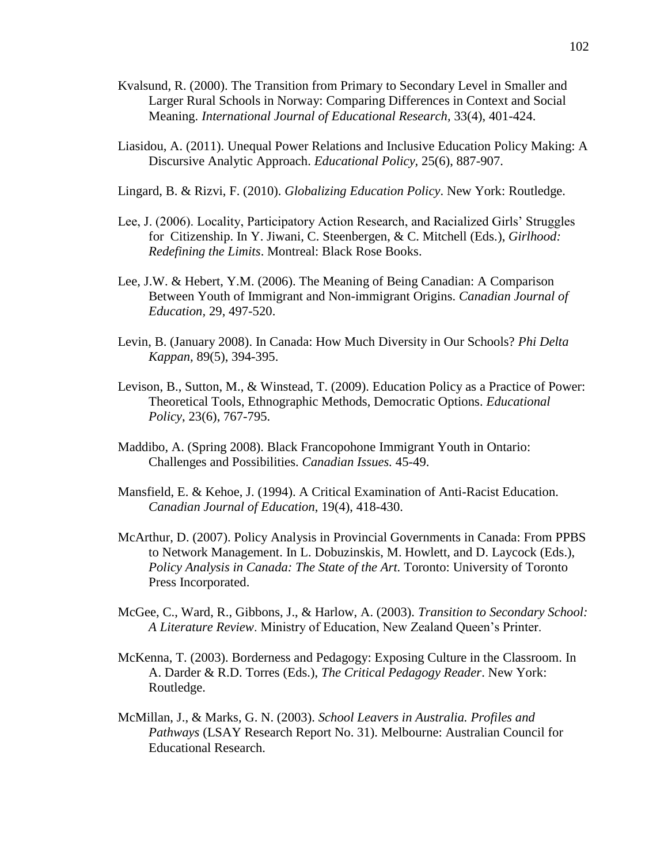- Kvalsund, R. (2000). The Transition from Primary to Secondary Level in Smaller and Larger Rural Schools in Norway: Comparing Differences in Context and Social Meaning. *International Journal of Educational Research,* 33(4), 401-424.
- Liasidou, A. (2011). Unequal Power Relations and Inclusive Education Policy Making: A Discursive Analytic Approach. *Educational Policy,* 25(6), 887-907.
- Lingard, B. & Rizvi, F. (2010). *Globalizing Education Policy*. New York: Routledge.
- Lee, J. (2006). Locality, Participatory Action Research, and Racialized Girls' Struggles for Citizenship. In Y. Jiwani, C. Steenbergen, & C. Mitchell (Eds.), *Girlhood: Redefining the Limits*. Montreal: Black Rose Books.
- Lee, J.W. & Hebert, Y.M. (2006). The Meaning of Being Canadian: A Comparison Between Youth of Immigrant and Non-immigrant Origins. *Canadian Journal of Education,* 29, 497-520.
- Levin, B. (January 2008). In Canada: How Much Diversity in Our Schools? *Phi Delta Kappan,* 89(5), 394-395.
- Levison, B., Sutton, M., & Winstead, T. (2009). Education Policy as a Practice of Power: Theoretical Tools, Ethnographic Methods, Democratic Options. *Educational Policy*, 23(6), 767-795.
- Maddibo, A. (Spring 2008). Black Francopohone Immigrant Youth in Ontario: Challenges and Possibilities. *Canadian Issues.* 45-49.
- Mansfield, E. & Kehoe, J. (1994). A Critical Examination of Anti-Racist Education. *Canadian Journal of Education*, 19(4), 418-430.
- McArthur, D. (2007). Policy Analysis in Provincial Governments in Canada: From PPBS to Network Management. In L. Dobuzinskis, M. Howlett, and D. Laycock (Eds.), *Policy Analysis in Canada: The State of the Art.* Toronto: University of Toronto Press Incorporated.
- McGee, C., Ward, R., Gibbons, J., & Harlow, A. (2003). *Transition to Secondary School: A Literature Review*. Ministry of Education, New Zealand Queen's Printer.
- McKenna, T. (2003). Borderness and Pedagogy: Exposing Culture in the Classroom. In A. Darder & R.D. Torres (Eds.), *The Critical Pedagogy Reader*. New York: Routledge.
- McMillan, J., & Marks, G. N. (2003). *School Leavers in Australia. Profiles and Pathways* (LSAY Research Report No. 31). Melbourne: Australian Council for Educational Research.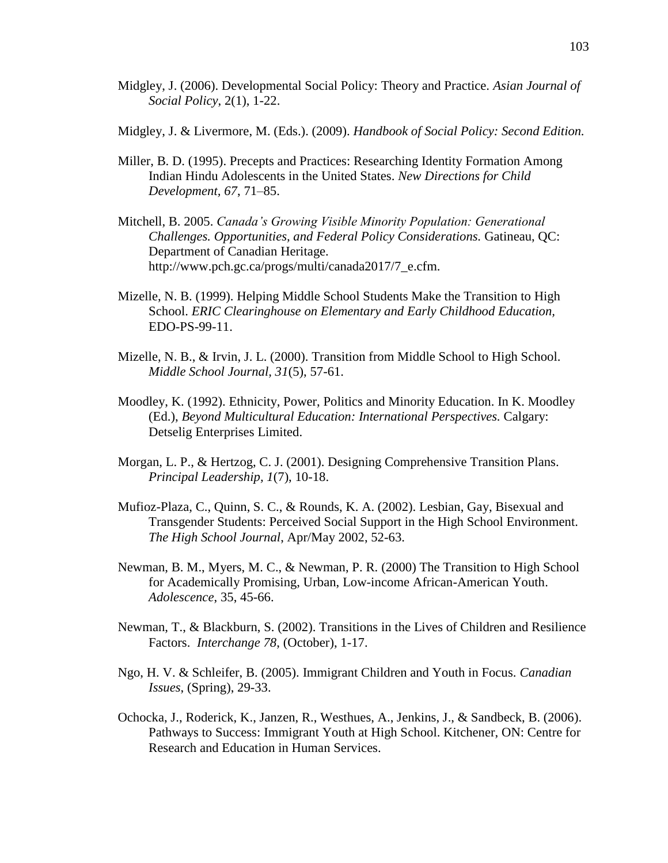- Midgley, J. (2006). Developmental Social Policy: Theory and Practice. *Asian Journal of Social Policy*, 2(1), 1-22.
- Midgley, J. & Livermore, M. (Eds.). (2009). *Handbook of Social Policy: Second Edition.*
- Miller, B. D. (1995). Precepts and Practices: Researching Identity Formation Among Indian Hindu Adolescents in the United States. *New Directions for Child Development, 67*, 71–85.
- Mitchell, B. 2005. *Canada's Growing Visible Minority Population: Generational Challenges. Opportunities, and Federal Policy Considerations.* Gatineau, QC: Department of Canadian Heritage. http://www.pch.gc.ca/progs/multi/canada2017/7\_e.cfm.
- Mizelle, N. B. (1999). Helping Middle School Students Make the Transition to High School. *ERIC Clearinghouse on Elementary and Early Childhood Education,*  EDO-PS-99-11.
- Mizelle, N. B., & Irvin, J. L. (2000). Transition from Middle School to High School. *Middle School Journal, 31*(5), 57-61.
- Moodley, K. (1992). Ethnicity, Power, Politics and Minority Education. In K. Moodley (Ed.), *Beyond Multicultural Education: International Perspectives.* Calgary: Detselig Enterprises Limited.
- Morgan, L. P., & Hertzog, C. J. (2001). Designing Comprehensive Transition Plans. *Principal Leadership, 1*(7), 10-18.
- Mufioz-Plaza, C., Quinn, S. C., & Rounds, K. A. (2002). Lesbian, Gay, Bisexual and Transgender Students: Perceived Social Support in the High School Environment. *The High School Journal*, Apr/May 2002, 52-63.
- Newman, B. M., Myers, M. C., & Newman, P. R. (2000) The Transition to High School for Academically Promising, Urban, Low-income African-American Youth. *Adolescence*, 35, 45-66.
- Newman, T., & Blackburn, S. (2002). Transitions in the Lives of Children and Resilience Factors. *Interchange 78*, (October), 1-17.
- Ngo, H. V. & Schleifer, B. (2005). Immigrant Children and Youth in Focus. *Canadian Issues*, (Spring), 29-33.
- Ochocka, J., Roderick, K., Janzen, R., Westhues, A., Jenkins, J., & Sandbeck, B. (2006). Pathways to Success: Immigrant Youth at High School. Kitchener, ON: Centre for Research and Education in Human Services.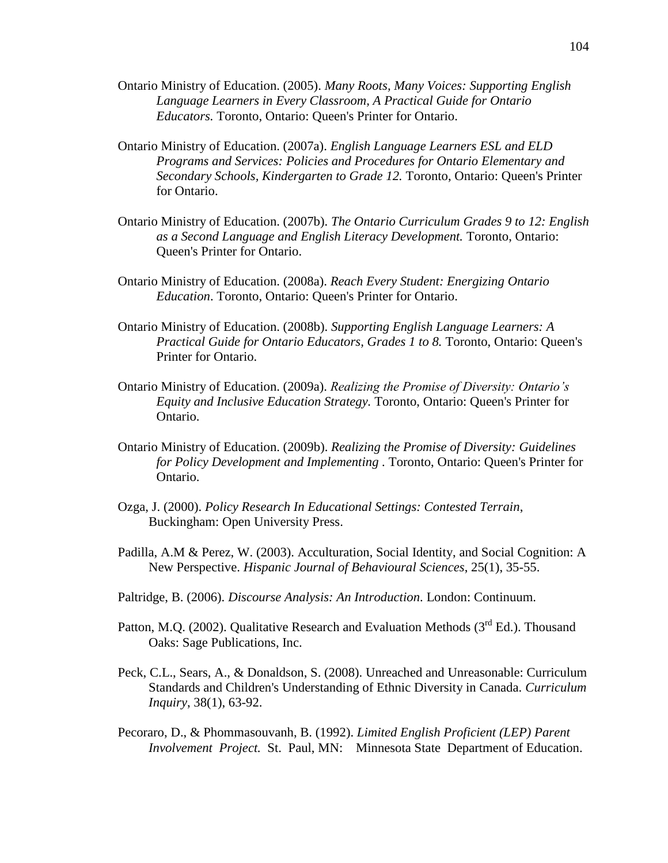- Ontario Ministry of Education. (2005). *Many Roots, Many Voices: Supporting English Language Learners in Every Classroom, A Practical Guide for Ontario Educators.* Toronto, Ontario: Queen's Printer for Ontario.
- Ontario Ministry of Education. (2007a). *English Language Learners ESL and ELD Programs and Services: Policies and Procedures for Ontario Elementary and Secondary Schools, Kindergarten to Grade 12.* Toronto, Ontario: Queen's Printer for Ontario.
- Ontario Ministry of Education. (2007b). *The Ontario Curriculum Grades 9 to 12: English as a Second Language and English Literacy Development.* Toronto, Ontario: Queen's Printer for Ontario.
- Ontario Ministry of Education. (2008a). *Reach Every Student: Energizing Ontario Education*. Toronto, Ontario: Queen's Printer for Ontario.
- Ontario Ministry of Education. (2008b). *Supporting English Language Learners: A Practical Guide for Ontario Educators, Grades 1 to 8.* Toronto, Ontario: Queen's Printer for Ontario.
- Ontario Ministry of Education. (2009a). *Realizing the Promise of Diversity: Ontario's Equity and Inclusive Education Strategy.* Toronto, Ontario: Queen's Printer for Ontario.
- Ontario Ministry of Education. (2009b). *Realizing the Promise of Diversity: Guidelines for Policy Development and Implementing .* Toronto, Ontario: Queen's Printer for Ontario.
- Ozga, J. (2000). *Policy Research In Educational Settings: Contested Terrain*, Buckingham: Open University Press.
- Padilla, A.M & Perez, W. (2003). Acculturation, Social Identity, and Social Cognition: A New Perspective. *Hispanic Journal of Behavioural Sciences*, 25(1), 35-55.
- Paltridge, B. (2006). *Discourse Analysis: An Introduction*. London: Continuum.
- Patton, M.Q. (2002). Qualitative Research and Evaluation Methods ( $3<sup>rd</sup> Ed$ .). Thousand Oaks: Sage Publications, Inc.
- Peck, C.L., Sears, A., & Donaldson, S. (2008). Unreached and Unreasonable: Curriculum Standards and Children's Understanding of Ethnic Diversity in Canada. *Curriculum Inquiry*, 38(1), 63-92.
- Pecoraro, D., & Phommasouvanh, B. (1992). *Limited English Proficient (LEP) Parent Involvement Project.* St. Paul, MN: Minnesota State Department of Education.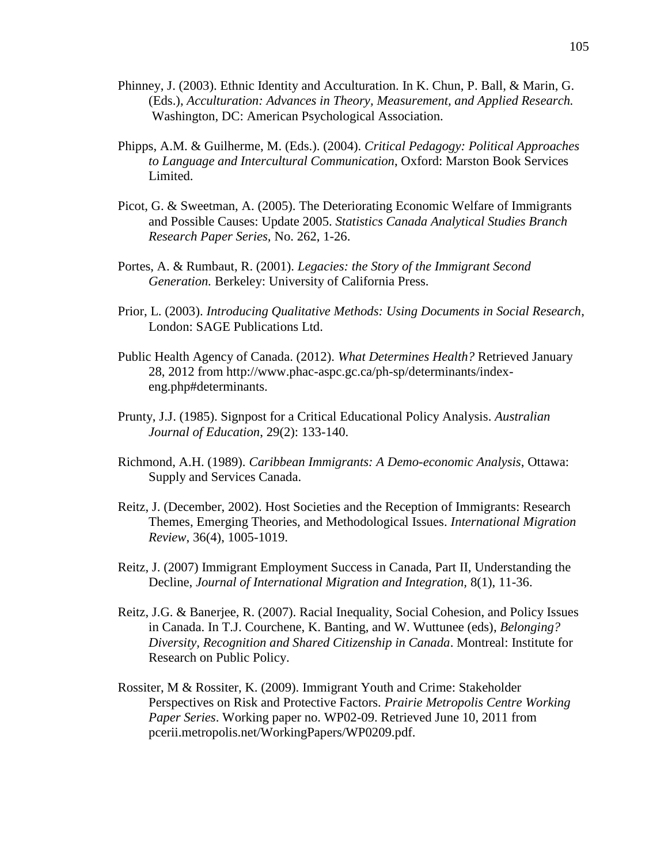- Phinney, J. (2003). Ethnic Identity and Acculturation. In K. Chun, P. Ball, & Marin, G. (Eds.), *Acculturation: Advances in Theory, Measurement, and Applied Research.*  Washington, DC: American Psychological Association.
- Phipps, A.M. & Guilherme, M. (Eds.). (2004). *Critical Pedagogy: Political Approaches to Language and Intercultural Communication*, Oxford: Marston Book Services Limited.
- Picot, G. & Sweetman, A. (2005). The Deteriorating Economic Welfare of Immigrants and Possible Causes: Update 2005. *Statistics Canada Analytical Studies Branch Research Paper Series,* No. 262, 1-26.
- Portes, A. & Rumbaut, R. (2001). *Legacies: the Story of the Immigrant Second Generation.* Berkeley: University of California Press.
- Prior, L. (2003). *Introducing Qualitative Methods: Using Documents in Social Research*, London: SAGE Publications Ltd.
- Public Health Agency of Canada. (2012). *What Determines Health?* Retrieved January 28, 2012 from http://www.phac-aspc.gc.ca/ph-sp/determinants/indexeng.php#determinants.
- Prunty, J.J. (1985). Signpost for a Critical Educational Policy Analysis. *Australian Journal of Education*, 29(2): 133-140.
- Richmond, A.H. (1989). *Caribbean Immigrants: A Demo-economic Analysis*, Ottawa: Supply and Services Canada.
- Reitz, J. (December, 2002). Host Societies and the Reception of Immigrants: Research Themes, Emerging Theories, and Methodological Issues. *International Migration Review*, 36(4), 1005-1019.
- Reitz, J. (2007) Immigrant Employment Success in Canada, Part II, Understanding the Decline, *Journal of International Migration and Integration,* 8(1), 11-36.
- Reitz, J.G. & Banerjee, R. (2007). [Racial Inequality, Social Cohesion, and Policy Issues](http://www.utoronto.ca/ethnicstudies/Reitz.Banerjee.pdf)  [in Canada.](http://www.utoronto.ca/ethnicstudies/Reitz.Banerjee.pdf) In T.J. Courchene, K. Banting, and W. Wuttunee (eds), *Belonging? Diversity, Recognition and Shared Citizenship in Canada*. Montreal: Institute for Research on Public Policy.
- Rossiter, M & Rossiter, K. (2009). Immigrant Youth and Crime: Stakeholder Perspectives on Risk and Protective Factors. *Prairie Metropolis Centre Working Paper Series*. Working paper no. WP02-09. Retrieved June 10, 2011 from pcerii.metropolis.net/WorkingPapers/WP0209.pdf.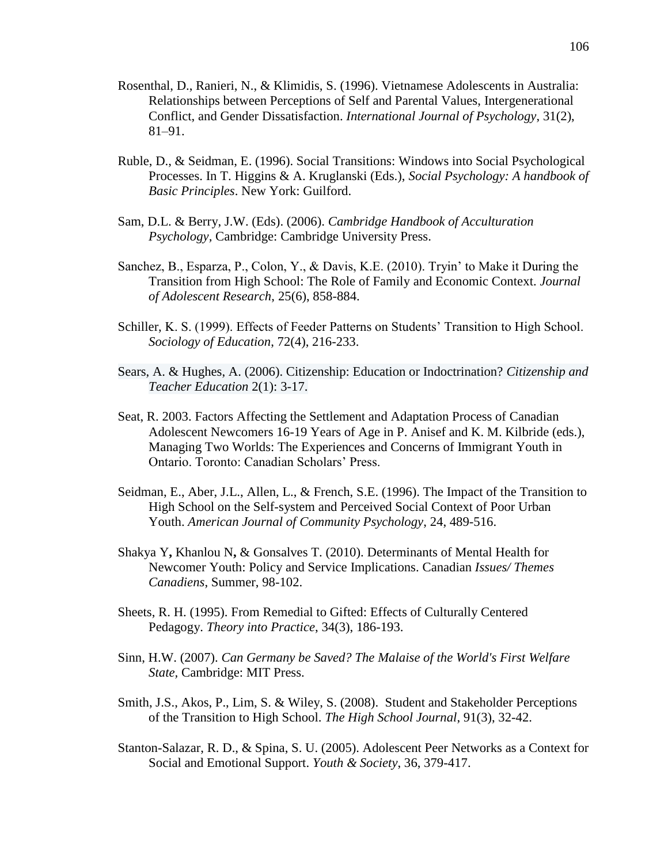- Rosenthal, D., Ranieri, N., & Klimidis, S. (1996). Vietnamese Adolescents in Australia: Relationships between Perceptions of Self and Parental Values, Intergenerational Conflict, and Gender Dissatisfaction. *International Journal of Psychology*, 31(2), 81–91.
- Ruble, D., & Seidman, E. (1996). Social Transitions: Windows into Social Psychological Processes. In T. Higgins & A. Kruglanski (Eds.), *Social Psychology: A handbook of Basic Principles*. New York: Guilford.
- Sam, D.L. & Berry, J.W. (Eds). (2006). *Cambridge Handbook of Acculturation Psychology,* Cambridge: Cambridge University Press.
- Sanchez, B., Esparza, P., Colon, Y., & Davis, K.E. (2010). Tryin' to Make it During the Transition from High School: The Role of Family and Economic Context. *Journal of Adolescent Research*, 25(6), 858-884.
- Schiller, K. S. (1999). Effects of Feeder Patterns on Students' Transition to High School. *Sociology of Education*, 72(4), 216-233.
- Sears, A. & Hughes, A. (2006). Citizenship: Education or Indoctrination? *Citizenship and Teacher Education* 2(1): 3-17.
- Seat, R. 2003. Factors Affecting the Settlement and Adaptation Process of Canadian Adolescent Newcomers 16-19 Years of Age in P. Anisef and K. M. Kilbride (eds.), Managing Two Worlds: The Experiences and Concerns of Immigrant Youth in Ontario. Toronto: Canadian Scholars' Press.
- Seidman, E., Aber, J.L., Allen, L., & French, S.E. (1996). The Impact of the Transition to High School on the Self-system and Perceived Social Context of Poor Urban Youth. *American Journal of Community Psychology*, 24, 489-516.
- Shakya Y**,** Khanlou N**,** & Gonsalves T. (2010). Determinants of Mental Health for Newcomer Youth: Policy and Service Implications. Canadian *Issues/ Themes Canadiens*, Summer, 98-102.
- Sheets, R. H. (1995). From Remedial to Gifted: Effects of Culturally Centered Pedagogy. *Theory into Practice*, 34(3), 186-193.
- Sinn, H.W. (2007). *Can Germany be Saved? The Malaise of the World's First Welfare State,* Cambridge: MIT Press.
- Smith, J.S., Akos, P., Lim, S. & Wiley, S. (2008). Student and Stakeholder Perceptions of the Transition to High School. *The High School Journal*, 91(3), 32-42.
- Stanton-Salazar, R. D., & Spina, S. U. (2005). Adolescent Peer Networks as a Context for Social and Emotional Support. *Youth & Society*, 36, 379-417.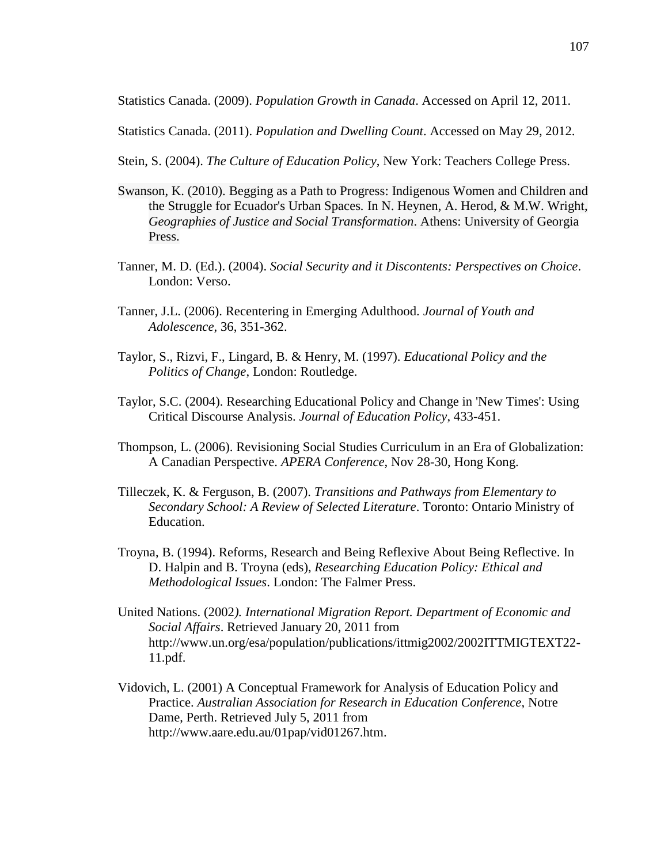Statistics Canada. (2009). *Population Growth in Canada*. Accessed on April 12, 2011.

Statistics Canada. (2011). *Population and Dwelling Count*. Accessed on May 29, 2012.

Stein, S. (2004). *The Culture of Education Policy*, New York: Teachers College Press.

- Swanson, K. (2010). Begging as a Path to Progress: Indigenous Women and Children and the Struggle for Ecuador's Urban Spaces*.* In N. Heynen, A. Herod, & M.W. Wright, *Geographies of Justice and Social Transformation*. Athens: University of Georgia Press.
- Tanner, M. D. (Ed.). (2004). *Social Security and it Discontents: Perspectives on Choice*. London: Verso.
- Tanner, J.L. (2006). Recentering in Emerging Adulthood. *Journal of Youth and Adolescence*, 36, 351-362.
- Taylor, S., Rizvi, F., Lingard, B. & Henry, M. (1997). *Educational Policy and the Politics of Change*, London: Routledge.
- Taylor, S.C. (2004). Researching Educational Policy and Change in 'New Times': Using Critical Discourse Analysis. *Journal of Education Policy*, 433-451.
- Thompson, L. (2006). Revisioning Social Studies Curriculum in an Era of Globalization: A Canadian Perspective. *APERA Conference*, Nov 28-30, Hong Kong.
- Tilleczek, K. & Ferguson, B. (2007). *Transitions and Pathways from Elementary to Secondary School: A Review of Selected Literature*. Toronto: Ontario Ministry of Education.
- Troyna, B. (1994). Reforms, Research and Being Reflexive About Being Reflective. In D. Halpin and B. Troyna (eds), *Researching Education Policy: Ethical and Methodological Issues*. London: The Falmer Press.
- United Nations. (2002*). International Migration Report. Department of Economic and Social Affairs*. Retrieved January 20, 2011 from http://www.un.org/esa/population/publications/ittmig2002/2002ITTMIGTEXT22- 11.pdf.
- Vidovich, L. (2001) A Conceptual Framework for Analysis of Education Policy and Practice. *Australian Association for Research in Education Conference*, Notre Dame, Perth. Retrieved July 5, 2011 from http://www.aare.edu.au/01pap/vid01267.htm.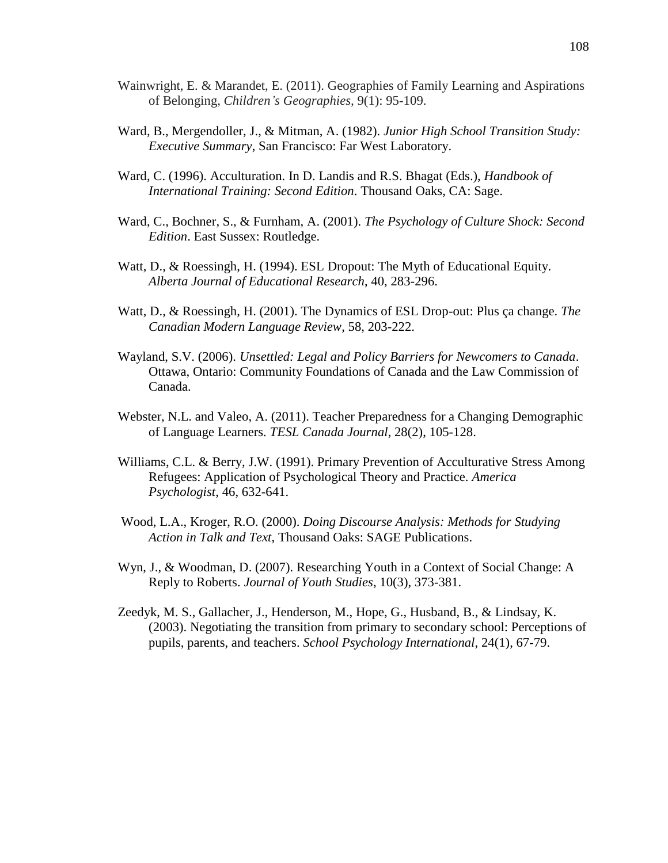- Wainwright, E. & Marandet, E. (2011). Geographies of Family Learning and Aspirations of Belonging, *Children's Geographies,* 9(1): 95-109.
- Ward, B., Mergendoller, J., & Mitman, A. (1982). *Junior High School Transition Study: Executive Summary*, San Francisco: Far West Laboratory.
- Ward, C. (1996). Acculturation. In D. Landis and R.S. Bhagat (Eds.), *Handbook of International Training: Second Edition*. Thousand Oaks, CA: Sage.
- Ward, C., Bochner, S., & Furnham, A. (2001). *The Psychology of Culture Shock: Second Edition*. East Sussex: Routledge.
- Watt, D., & Roessingh, H. (1994). ESL Dropout: The Myth of Educational Equity. *Alberta Journal of Educational Research*, 40, 283-296.
- Watt, D., & Roessingh, H. (2001). The Dynamics of ESL Drop-out: Plus ça change. *The Canadian Modern Language Review*, 58, 203-222.
- Wayland, S.V. (2006). *Unsettled: Legal and Policy Barriers for Newcomers to Canada*. Ottawa, Ontario: Community Foundations of Canada and the Law Commission of Canada.
- Webster, N.L. and Valeo, A. (2011). Teacher Preparedness for a Changing Demographic of Language Learners. *TESL Canada Journal*, 28(2), 105-128.
- Williams, C.L. & Berry, J.W. (1991). Primary Prevention of Acculturative Stress Among Refugees: Application of Psychological Theory and Practice. *America Psychologist*, 46, 632-641.
- Wood, L.A., Kroger, R.O. (2000). *Doing Discourse Analysis: Methods for Studying Action in Talk and Text*, Thousand Oaks: SAGE Publications.
- Wyn, J., & Woodman, D. (2007). Researching Youth in a Context of Social Change: A Reply to Roberts. *Journal of Youth Studies*, 10(3), 373-381.
- Zeedyk, M. S., Gallacher, J., Henderson, M., Hope, G., Husband, B., & Lindsay, K. (2003). Negotiating the transition from primary to secondary school: Perceptions of pupils, parents, and teachers. *School Psychology International*, 24(1), 67-79.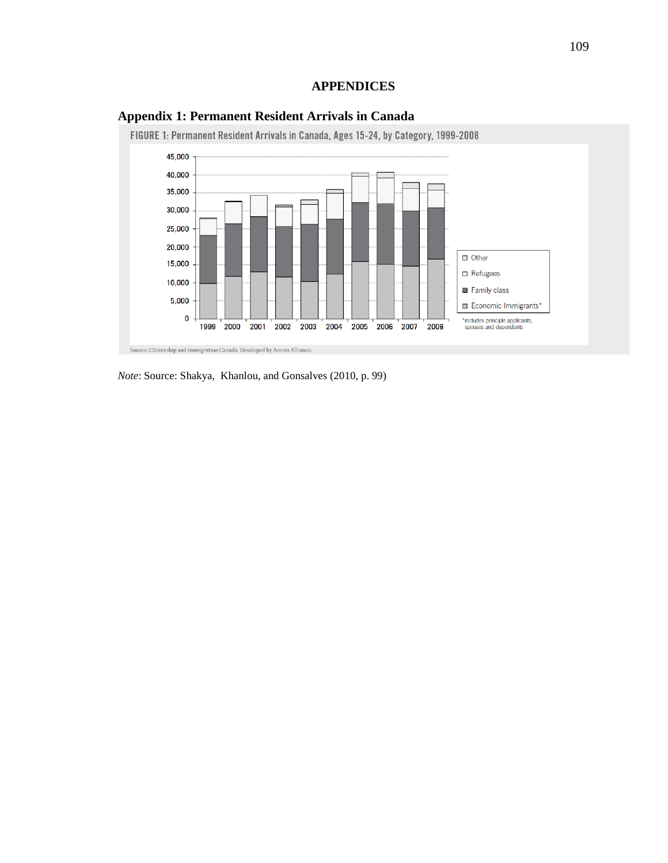## **APPENDICES**



## **Appendix 1: Permanent Resident Arrivals in Canada**

*Note*: Source: Shakya, Khanlou, and Gonsalves (2010, p. 99)